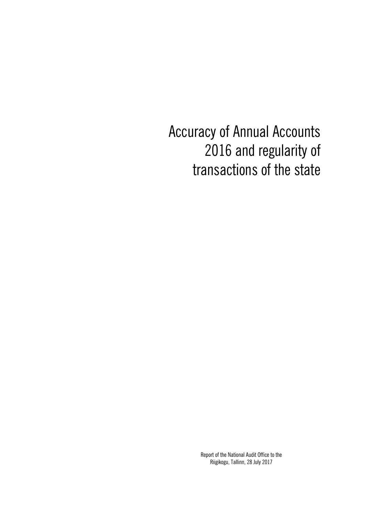Accuracy of Annual Accounts 2016 and regularity of transactions of the state

> Report of the National Audit Office to the Riigikogu, Tallinn, 28 July 2017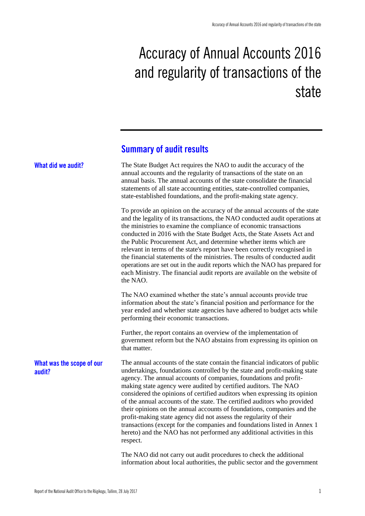# Accuracy of Annual Accounts 2016 and regularity of transactions of the state

# **Summary of audit results**

| What did we audit?                  | The State Budget Act requires the NAO to audit the accuracy of the<br>annual accounts and the regularity of transactions of the state on an<br>annual basis. The annual accounts of the state consolidate the financial<br>statements of all state accounting entities, state-controlled companies,<br>state-established foundations, and the profit-making state agency.                                                                                                                                                                                                                                                                                                                                                                                                    |  |  |  |  |  |
|-------------------------------------|------------------------------------------------------------------------------------------------------------------------------------------------------------------------------------------------------------------------------------------------------------------------------------------------------------------------------------------------------------------------------------------------------------------------------------------------------------------------------------------------------------------------------------------------------------------------------------------------------------------------------------------------------------------------------------------------------------------------------------------------------------------------------|--|--|--|--|--|
|                                     | To provide an opinion on the accuracy of the annual accounts of the state<br>and the legality of its transactions, the NAO conducted audit operations at<br>the ministries to examine the compliance of economic transactions<br>conducted in 2016 with the State Budget Acts, the State Assets Act and<br>the Public Procurement Act, and determine whether items which are<br>relevant in terms of the state's report have been correctly recognised in<br>the financial statements of the ministries. The results of conducted audit<br>operations are set out in the audit reports which the NAO has prepared for<br>each Ministry. The financial audit reports are available on the website of<br>the NAO.                                                              |  |  |  |  |  |
|                                     | The NAO examined whether the state's annual accounts provide true<br>information about the state's financial position and performance for the<br>year ended and whether state agencies have adhered to budget acts while<br>performing their economic transactions.                                                                                                                                                                                                                                                                                                                                                                                                                                                                                                          |  |  |  |  |  |
|                                     | Further, the report contains an overview of the implementation of<br>government reform but the NAO abstains from expressing its opinion on<br>that matter.                                                                                                                                                                                                                                                                                                                                                                                                                                                                                                                                                                                                                   |  |  |  |  |  |
| What was the scope of our<br>audit? | The annual accounts of the state contain the financial indicators of public<br>undertakings, foundations controlled by the state and profit-making state<br>agency. The annual accounts of companies, foundations and profit-<br>making state agency were audited by certified auditors. The NAO<br>considered the opinions of certified auditors when expressing its opinion<br>of the annual accounts of the state. The certified auditors who provided<br>their opinions on the annual accounts of foundations, companies and the<br>profit-making state agency did not assess the regularity of their<br>transactions (except for the companies and foundations listed in Annex 1<br>hereto) and the NAO has not performed any additional activities in this<br>respect. |  |  |  |  |  |
|                                     | The NAO did not carry out audit procedures to check the additional<br>information about local authorities, the public sector and the government                                                                                                                                                                                                                                                                                                                                                                                                                                                                                                                                                                                                                              |  |  |  |  |  |

Report of the National Audit Office to the Riigikogu, Tallinn, 28 July 2017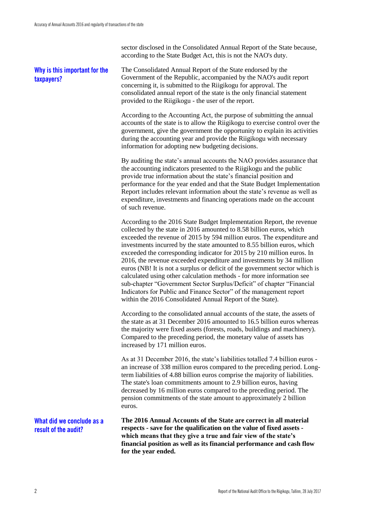sector disclosed in the Consolidated Annual Report of the State because, according to the State Budget Act, this is not the NAO's duty.

# **Why is this important for the taxpayers?**

The Consolidated Annual Report of the State endorsed by the Government of the Republic, accompanied by the NAO's audit report concerning it, is submitted to the Riigikogu for approval. The consolidated annual report of the state is the only financial statement provided to the Riigikogu - the user of the report.

According to the Accounting Act, the purpose of submitting the annual accounts of the state is to allow the Riigikogu to exercise control over the government, give the government the opportunity to explain its activities during the accounting year and provide the Riigikogu with necessary information for adopting new budgeting decisions.

By auditing the state's annual accounts the NAO provides assurance that the accounting indicators presented to the Riigikogu and the public provide true information about the state's financial position and performance for the year ended and that the State Budget Implementation Report includes relevant information about the state's revenue as well as expenditure, investments and financing operations made on the account of such revenue.

According to the 2016 State Budget Implementation Report, the revenue collected by the state in 2016 amounted to 8.58 billion euros, which exceeded the revenue of 2015 by 594 million euros. The expenditure and investments incurred by the state amounted to 8.55 billion euros, which exceeded the corresponding indicator for 2015 by 210 million euros. In 2016, the revenue exceeded expenditure and investments by 34 million euros (NB! It is not a surplus or deficit of the government sector which is calculated using other calculation methods - for more information see sub-chapter "Government Sector Surplus/Deficit" of chapter "Financial Indicators for Public and Finance Sector" of the management report within the 2016 Consolidated Annual Report of the State).

According to the consolidated annual accounts of the state, the assets of the state as at 31 December 2016 amounted to 16.5 billion euros whereas the majority were fixed assets (forests, roads, buildings and machinery). Compared to the preceding period, the monetary value of assets has increased by 171 million euros.

As at 31 December 2016, the state's liabilities totalled 7.4 billion euros an increase of 338 million euros compared to the preceding period. Longterm liabilities of 4.88 billion euros comprise the majority of liabilities. The state's loan commitments amount to 2.9 billion euros, having decreased by 16 million euros compared to the preceding period. The pension commitments of the state amount to approximately 2 billion euros.

**What did we conclude as a result of the audit?**

**The 2016 Annual Accounts of the State are correct in all material respects - save for the qualification on the value of fixed assets which means that they give a true and fair view of the state's financial position as well as its financial performance and cash flow for the year ended.**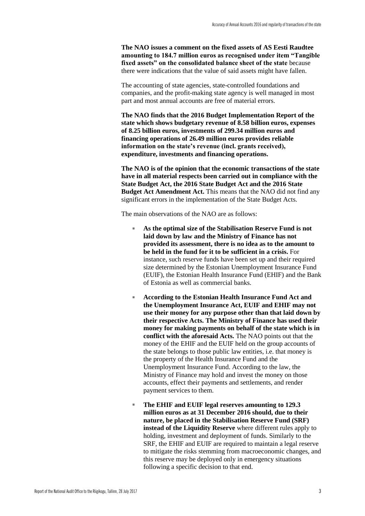**The NAO issues a comment on the fixed assets of AS Eesti Raudtee amounting to 184.7 million euros as recognised under item "Tangible fixed assets" on the consolidated balance sheet of the state** because there were indications that the value of said assets might have fallen.

The accounting of state agencies, state-controlled foundations and companies, and the profit-making state agency is well managed in most part and most annual accounts are free of material errors.

**The NAO finds that the 2016 Budget Implementation Report of the state which shows budgetary revenue of 8.58 billion euros, expenses of 8.25 billion euros, investments of 299.34 million euros and financing operations of 26.49 million euros provides reliable information on the state's revenue (incl. grants received), expenditure, investments and financing operations.**

**The NAO is of the opinion that the economic transactions of the state have in all material respects been carried out in compliance with the State Budget Act, the 2016 State Budget Act and the 2016 State Budget Act Amendment Act.** This means that the NAO did not find any significant errors in the implementation of the State Budget Acts.

The main observations of the NAO are as follows:

- As the optimal size of the Stabilisation Reserve Fund is not **laid down by law and the Ministry of Finance has not provided its assessment, there is no idea as to the amount to be held in the fund for it to be sufficient in a crisis.** For instance, such reserve funds have been set up and their required size determined by the Estonian Unemployment Insurance Fund (EUIF), the Estonian Health Insurance Fund (EHIF) and the Bank of Estonia as well as commercial banks.
- **According to the Estonian Health Insurance Fund Act and the Unemployment Insurance Act, EUIF and EHIF may not use their money for any purpose other than that laid down by their respective Acts. The Ministry of Finance has used their money for making payments on behalf of the state which is in conflict with the aforesaid Acts.** The NAO points out that the money of the EHIF and the EUIF held on the group accounts of the state belongs to those public law entities, i.e. that money is the property of the Health Insurance Fund and the Unemployment Insurance Fund. According to the law, the Ministry of Finance may hold and invest the money on those accounts, effect their payments and settlements, and render payment services to them.
- The EHIF and EUIF legal reserves amounting to 129.3 **million euros as at 31 December 2016 should, due to their nature, be placed in the Stabilisation Reserve Fund (SRF) instead of the Liquidity Reserve** where different rules apply to holding, investment and deployment of funds. Similarly to the SRF, the EHIF and EUIF are required to maintain a legal reserve to mitigate the risks stemming from macroeconomic changes, and this reserve may be deployed only in emergency situations following a specific decision to that end.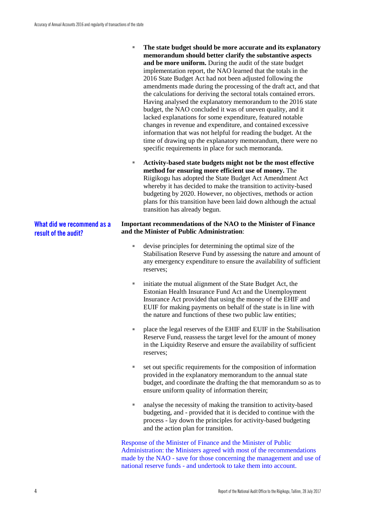- **The state budget should be more accurate and its explanatory memorandum should better clarify the substantive aspects and be more uniform.** During the audit of the state budget implementation report, the NAO learned that the totals in the 2016 State Budget Act had not been adjusted following the amendments made during the processing of the draft act, and that the calculations for deriving the sectoral totals contained errors. Having analysed the explanatory memorandum to the 2016 state budget, the NAO concluded it was of uneven quality, and it lacked explanations for some expenditure, featured notable changes in revenue and expenditure, and contained excessive information that was not helpful for reading the budget. At the time of drawing up the explanatory memorandum, there were no specific requirements in place for such memoranda.
- **Activity-based state budgets might not be the most effective method for ensuring more efficient use of money.** The Riigikogu has adopted the State Budget Act Amendment Act whereby it has decided to make the transition to activity-based budgeting by 2020. However, no objectives, methods or action plans for this transition have been laid down although the actual transition has already begun.

#### **Important recommendations of the NAO to the Minister of Finance and the Minister of Public Administration**:

- devise principles for determining the optimal size of the Stabilisation Reserve Fund by assessing the nature and amount of any emergency expenditure to ensure the availability of sufficient reserves;
- initiate the mutual alignment of the State Budget Act, the Estonian Health Insurance Fund Act and the Unemployment Insurance Act provided that using the money of the EHIF and EUIF for making payments on behalf of the state is in line with the nature and functions of these two public law entities;
- place the legal reserves of the EHIF and EUIF in the Stabilisation Reserve Fund, reassess the target level for the amount of money in the Liquidity Reserve and ensure the availability of sufficient reserves;
- set out specific requirements for the composition of information provided in the explanatory memorandum to the annual state budget, and coordinate the drafting the that memorandum so as to ensure uniform quality of information therein;
- analyse the necessity of making the transition to activity-based budgeting, and - provided that it is decided to continue with the process - lay down the principles for activity-based budgeting and the action plan for transition.

Response of the Minister of Finance and the Minister of Public Administration: the Ministers agreed with most of the recommendations made by the NAO - save for those concerning the management and use of national reserve funds - and undertook to take them into account.

**What did we recommend as a result of the audit?**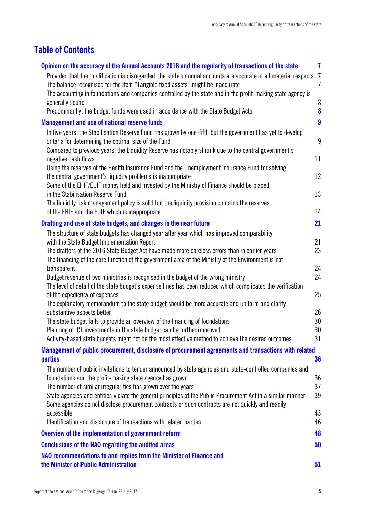# **Table of Contents**

| Opinion on the accuracy of the Annual Accounts 2016 and the regularity of transactions of the state                                                                                                   | $\mathbf{7}$     |
|-------------------------------------------------------------------------------------------------------------------------------------------------------------------------------------------------------|------------------|
| Provided that the qualification is disregarded, the state's annual accounts are accurate in all material respects                                                                                     | $\overline{1}$   |
| The balance recognised for the item "Tangible fixed assets" might be inaccurate                                                                                                                       | $\overline{7}$   |
| The accounting in foundations and companies controlled by the state and in the profit-making state agency is                                                                                          |                  |
| generally sound                                                                                                                                                                                       | 8                |
| Predominantly, the budget funds were used in accordance with the State Budget Acts                                                                                                                    | 8                |
| <b>Management and use of national reserve funds</b>                                                                                                                                                   | $\boldsymbol{9}$ |
| In five years, the Stabilisation Reserve Fund has grown by one-fifth but the government has yet to develop<br>criteria for determining the optimal size of the Fund                                   | $\boldsymbol{9}$ |
| Compared to previous years, the Liquidity Reserve has notably shrunk due to the central government's<br>negative cash flows                                                                           | 11               |
| Using the reserves of the Health Insurance Fund and the Unemployment Insurance Fund for solving                                                                                                       |                  |
| the central government's liquidity problems is inappropriate                                                                                                                                          | 12               |
| Some of the EHIF/EUIF money held and invested by the Ministry of Finance should be placed                                                                                                             |                  |
| in the Stabilisation Reserve Fund                                                                                                                                                                     | 13               |
| The liquidity risk management policy is solid but the liquidity provision contains the reserves                                                                                                       |                  |
| of the EHIF and the EUIF which is inappropriate                                                                                                                                                       | 14               |
| Drafting and use of state budgets, and changes in the near future                                                                                                                                     | 21               |
| The structure of state budgets has changed year after year which has improved comparability                                                                                                           |                  |
| with the State Budget Implementation Report                                                                                                                                                           | 21               |
| The drafters of the 2016 State Budget Act have made more careless errors than in earlier years<br>The financing of the core function of the government area of the Ministry of the Environment is not | 23               |
| transparent                                                                                                                                                                                           | 24               |
| Budget revenue of two ministries is recognised in the budget of the wrong ministry                                                                                                                    | 24               |
| The level of detail of the state budget's expense lines has been reduced which complicates the verification                                                                                           |                  |
| of the expediency of expenses<br>The explanatory memorandum to the state budget should be more accurate and uniform and clarify                                                                       | 25               |
| substantive aspects better                                                                                                                                                                            | 26               |
| The state budget fails to provide an overview of the financing of foundations                                                                                                                         | 30               |
| Planning of ICT investments in the state budget can be further improved                                                                                                                               | 30               |
| Activity-based state budgets might not be the most effective method to achieve the desired outcomes                                                                                                   | 31               |
| Management of public procurement, disclosure of procurement agreements and transactions with related                                                                                                  |                  |
| <b>parties</b>                                                                                                                                                                                        | 36               |
| The number of public invitations to tender announced by state agencies and state-controlled companies and                                                                                             |                  |
| foundations and the profit-making state agency has grown                                                                                                                                              | 36               |
| The number of similar irregularities has grown over the years                                                                                                                                         | 37               |
| State agencies and entities violate the general principles of the Public Procurement Act in a similar manner                                                                                          | 39               |
| Some agencies do not disclose procurement contracts or such contracts are not quickly and readily                                                                                                     |                  |
| accessible                                                                                                                                                                                            | 43               |
| Identification and disclosure of transactions with related parties                                                                                                                                    | 46               |
| Overview of the implementation of government reform                                                                                                                                                   | 48               |
| <b>Conclusions of the NAO regarding the audited areas</b>                                                                                                                                             | 50               |
| NAO recommendations to and replies from the Minister of Finance and                                                                                                                                   |                  |
| the Minister of Public Administration                                                                                                                                                                 | 51               |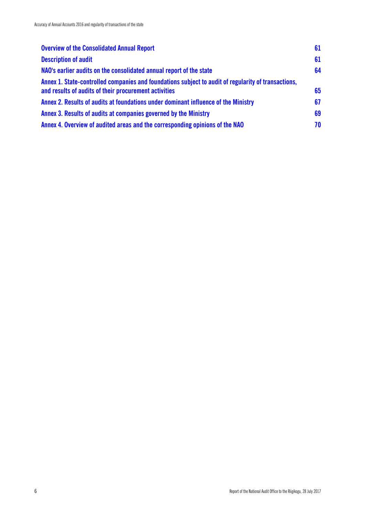| <b>Overview of the Consolidated Annual Report</b>                                                                                                            | 61 |
|--------------------------------------------------------------------------------------------------------------------------------------------------------------|----|
| <b>Description of audit</b>                                                                                                                                  | 61 |
| NAO's earlier audits on the consolidated annual report of the state                                                                                          | 64 |
| Annex 1. State-controlled companies and foundations subject to audit of regularity of transactions,<br>and results of audits of their procurement activities | 65 |
| Annex 2. Results of audits at foundations under dominant influence of the Ministry                                                                           | 67 |
| Annex 3. Results of audits at companies governed by the Ministry                                                                                             | 69 |
| Annex 4. Overview of audited areas and the corresponding opinions of the NAO                                                                                 | 70 |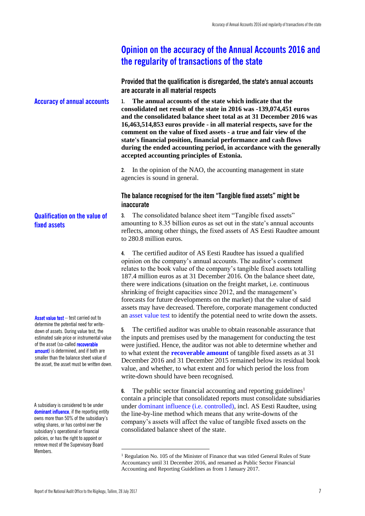# <span id="page-8-0"></span>**Opinion on the accuracy of the Annual Accounts 2016 and the regularity of transactions of the state**

<span id="page-8-1"></span>**Provided that the qualification is disregarded, the state's annual accounts are accurate in all material respects**

**1. The annual accounts of the state which indicate that the consolidated net result of the state in 2016 was -139,074,451 euros and the consolidated balance sheet total as at 31 December 2016 was 16,463,514,853 euros provide - in all material respects, save for the comment on the value of fixed assets - a true and fair view of the state's financial position, financial performance and cash flows during the ended accounting period, in accordance with the generally accepted accounting principles of Estonia. Accuracy of annual accounts**

> **2.** In the opinion of the NAO, the accounting management in state agencies is sound in general.

### <span id="page-8-2"></span>**The balance recognised for the item "Tangible fixed assets" might be inaccurate**

**3.** The consolidated balance sheet item "Tangible fixed assets" amounting to 8.35 billion euros as set out in the state's annual accounts reflects, among other things, the fixed assets of AS Eesti Raudtee amount to 280.8 million euros.

**4.** The certified auditor of AS Eesti Raudtee has issued a qualified opinion on the company's annual accounts. The auditor's comment relates to the book value of the company's tangible fixed assets totalling 187.4 million euros as at 31 December 2016. On the balance sheet date, there were indications (situation on the freight market, i.e. continuous shrinking of freight capacities since 2012, and the management's forecasts for future developments on the market) that the value of said assets may have decreased. Therefore, corporate management conducted an asset value test to identify the potential need to write down the assets.

**5.** The certified auditor was unable to obtain reasonable assurance that the inputs and premises used by the management for conducting the test were justified. Hence, the auditor was not able to determine whether and to what extent the **recoverable amount** of tangible fixed assets as at 31 December 2016 and 31 December 2015 remained below its residual book value, and whether, to what extent and for which period the loss from write-down should have been recognised.

**6.** The public sector financial accounting and reporting guidelines<sup>1</sup> contain a principle that consolidated reports must consolidate subsidiaries under dominant influence (i.e. controlled), incl. AS Eesti Raudtee, using the line-by-line method which means that any write-downs of the company's assets will affect the value of tangible fixed assets on the consolidated balance sheet of the state.

**Qualification on the value of fixed assets**

Asset value test – test carried out to determine the potential need for writedown of assets. During value test, the estimated sale price or instrumental value of the asset (so-called **recoverable** amount) is determined, and if both are smaller than the balance sheet value of the asset, the asset must be written down.

A subsidiary is considered to be under dominant influence, if the reporting entity owns more than 50% of the subsidiary's voting shares, or has control over the subsidiary's operational or financial policies, or has the right to appoint or remove most of the Supervisory Board Members.

 $\overline{\phantom{a}}$ 

<sup>&</sup>lt;sup>1</sup> Regulation No. 105 of the Minister of Finance that was titled General Rules of State Accountancy until 31 December 2016, and renamed as Public Sector Financial Accounting and Reporting Guidelines as from 1 January 2017.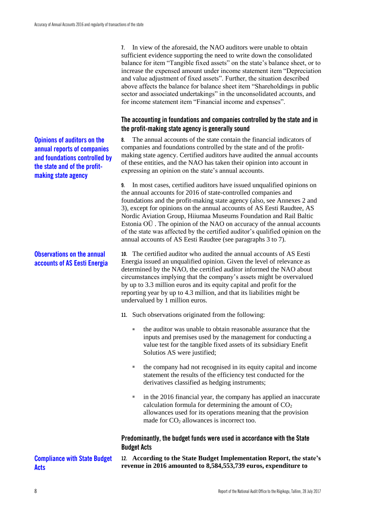**Opinions of auditors on the annual reports of companies and foundations controlled by the state and of the profitmaking state agency**

# **Observations on the annual accounts of AS Eesti Energia**

**7.** In view of the aforesaid, the NAO auditors were unable to obtain sufficient evidence supporting the need to write down the consolidated balance for item "Tangible fixed assets" on the state's balance sheet, or to increase the expensed amount under income statement item "Depreciation and value adjustment of fixed assets". Further, the situation described above affects the balance for balance sheet item "Shareholdings in public sector and associated undertakings" in the unconsolidated accounts, and for income statement item "Financial income and expenses".

# <span id="page-9-0"></span>**The accounting in foundations and companies controlled by the state and in the profit-making state agency is generally sound**

**8.** The annual accounts of the state contain the financial indicators of companies and foundations controlled by the state and of the profitmaking state agency. Certified auditors have audited the annual accounts of these entities, and the NAO has taken their opinion into account in expressing an opinion on the state's annual accounts.

**9.** In most cases, certified auditors have issued unqualified opinions on the annual accounts for 2016 of state-controlled companies and foundations and the profit-making state agency (also, see Annexes 2 and 3), except for opinions on the annual accounts of AS Eesti Raudtee, AS Nordic Aviation Group, Hiiumaa Museums Foundation and Rail Baltic Estonia OÜ . The opinion of the NAO on accuracy of the annual accounts of the state was affected by the certified auditor's qualified opinion on the annual accounts of AS Eesti Raudtee (see paragraphs 3 to 7).

**10.** The certified auditor who audited the annual accounts of AS Eesti Energia issued an unqualified opinion. Given the level of relevance as determined by the NAO, the certified auditor informed the NAO about circumstances implying that the company's assets might be overvalued by up to 3.3 million euros and its equity capital and profit for the reporting year by up to 4.3 million, and that its liabilities might be undervalued by 1 million euros.

**11.** Such observations originated from the following:

- the auditor was unable to obtain reasonable assurance that the inputs and premises used by the management for conducting a value test for the tangible fixed assets of its subsidiary Enefit Solutios AS were justified;
- the company had not recognised in its equity capital and income statement the results of the efficiency test conducted for the derivatives classified as hedging instruments;
- in the 2016 financial year, the company has applied an inaccurate calculation formula for determining the amount of  $CO<sub>2</sub>$ allowances used for its operations meaning that the provision made for  $CO<sub>2</sub>$  allowances is incorrect too.

# <span id="page-9-1"></span>**Predominantly, the budget funds were used in accordance with the State Budget Acts**

**12. According to the State Budget Implementation Report, the state's revenue in 2016 amounted to 8,584,553,739 euros, expenditure to** 

**Acts**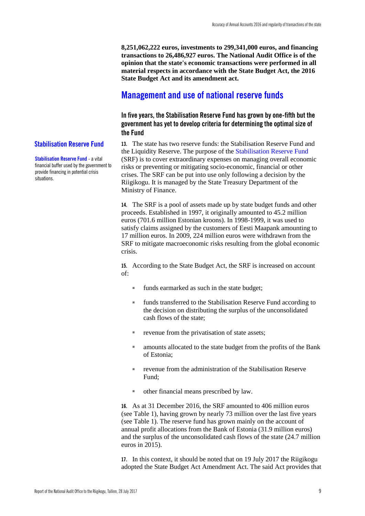**8,251,062,222 euros, investments to 299,341,000 euros, and financing transactions to 26,486,927 euros. The National Audit Office is of the opinion that the state's economic transactions were performed in all material respects in accordance with the State Budget Act, the 2016 State Budget Act and its amendment act.**

# <span id="page-10-0"></span>**Management and use of national reserve funds**

<span id="page-10-1"></span>**In five years, the Stabilisation Reserve Fund has grown by one-fifth but the government has yet to develop criteria for determining the optimal size of the Fund**

**13.** The state has two reserve funds: the Stabilisation Reserve Fund and the Liquidity Reserve. The purpose of the Stabilisation Reserve Fund (SRF) is to cover extraordinary expenses on managing overall economic risks or preventing or mitigating socio-economic, financial or other crises. The SRF can be put into use only following a decision by the Riigikogu. It is managed by the State Treasury Department of the Ministry of Finance.

**14.** The SRF is a pool of assets made up by state budget funds and other proceeds. Established in 1997, it originally amounted to 45.2 million euros (701.6 million Estonian kroons). In 1998-1999, it was used to satisfy claims assigned by the customers of Eesti Maapank amounting to 17 million euros. In 2009, 224 million euros were withdrawn from the SRF to mitigate macroeconomic risks resulting from the global economic crisis.

**15.** According to the State Budget Act, the SRF is increased on account of:

- funds earmarked as such in the state budget;
- funds transferred to the Stabilisation Reserve Fund according to the decision on distributing the surplus of the unconsolidated cash flows of the state;
- revenue from the privatisation of state assets;
- amounts allocated to the state budget from the profits of the Bank of Estonia;
- revenue from the administration of the Stabilisation Reserve Fund;
- other financial means prescribed by law.

**16.** As at 31 December 2016, the SRF amounted to 406 million euros (see Table 1), having grown by nearly 73 million over the last five years (see Table 1). The reserve fund has grown mainly on the account of annual profit allocations from the Bank of Estonia (31.9 million euros) and the surplus of the unconsolidated cash flows of the state (24.7 million euros in 2015).

**17.** In this context, it should be noted that on 19 July 2017 the Riigikogu adopted the State Budget Act Amendment Act. The said Act provides that

#### **Stabilisation Reserve Fund**

**Stabilisation Reserve Fund** - a vital financial buffer used by the government to provide financing in potential crisis situations.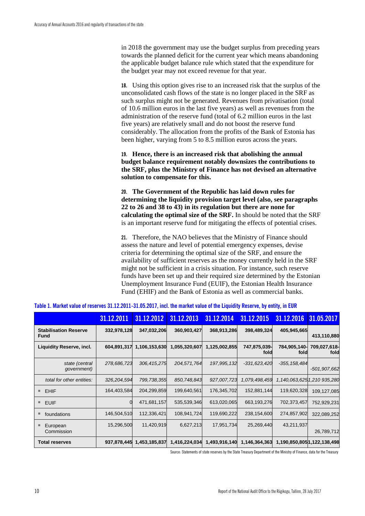in 2018 the government may use the budget surplus from preceding years towards the planned deficit for the current year which means abandoning the applicable budget balance rule which stated that the expenditure for the budget year may not exceed revenue for that year.

**18.** Using this option gives rise to an increased risk that the surplus of the unconsolidated cash flows of the state is no longer placed in the SRF as such surplus might not be generated. Revenues from privatisation (total of 10.6 million euros in the last five years) as well as revenues from the administration of the reserve fund (total of 6.2 million euros in the last five years) are relatively small and do not boost the reserve fund considerably. The allocation from the profits of the Bank of Estonia has been higher, varying from 5 to 8.5 million euros across the years.

**19. Hence, there is an increased risk that abolishing the annual budget balance requirement notably downsizes the contributions to the SRF, plus the Ministry of Finance has not devised an alternative solution to compensate for this.**

**20. The Government of the Republic has laid down rules for determining the liquidity provision target level (also, see paragraphs 22 to 26 and 38 to 43) in its regulation but there are none for calculating the optimal size of the SRF.** In should be noted that the SRF is an important reserve fund for mitigating the effects of potential crises.

**21.** Therefore, the NAO believes that the Ministry of Finance should assess the nature and level of potential emergency expenses, devise criteria for determining the optimal size of the SRF, and ensure the availability of sufficient reserves as the money currently held in the SRF might not be sufficient in a crisis situation. For instance, such reserve funds have been set up and their required size determined by the Estonian Unemployment Insurance Fund (EUIF), the Estonian Health Insurance Fund (EHIF) and the Bank of Estonia as well as commercial banks.

|                                             | 31.12.2011  | 31.12.2012    | 31.12.2013    | 31.12.2014    | 31.12.2015           | 31.12.2016                  | 31.05.2017                 |
|---------------------------------------------|-------------|---------------|---------------|---------------|----------------------|-----------------------------|----------------------------|
| <b>Stabilisation Reserve</b><br><b>Fund</b> | 332,978,128 | 347,032,206   | 360,903,427   | 368,913,286   | 398,489,324          | 405,945,665                 | 413,110,880                |
| <b>Liquidity Reserve, incl.</b>             | 604,891,317 | 1,106,153,630 | 1,055,320,607 | 1,125,002,855 | 747,875,039-<br>fold | 784,905,140-<br>fold        | 709,027,618-<br>fold       |
| state (central<br>government)               | 278,686,723 | 306,415,275   | 204,571,764   | 197,995,132   | $-331,623,420$       | $-355, 158, 484$            | $-501,907,662$             |
| total for other entities:                   | 326,204,594 | 799,738,355   | 850,748,843   | 927,007,723   | 1,079,498,459        |                             | 1,140,063,6251,210 935,280 |
| <b>EHIF</b><br>ш                            | 164,403,584 | 204,299,859   | 199,640,561   | 176,345,702   | 152,881,144          | 119,620,328                 | 109,127,085                |
| <b>EUIF</b><br>ш                            |             | 471,681,157   | 535,539,346   | 613,020,065   | 663,193,276          | 702,373,457                 | 752,929,231                |
| foundations                                 | 146,504,510 | 112,336,421   | 108,941,724   | 119,690,222   | 238,154,600          | 274,857,902                 | 322,089,252                |
| European<br>Commission                      | 15,296,500  | 11,420,919    | 6,627,213     | 17,951,734    | 25,269,440           | 43,211,937                  | 26,789,712                 |
| <b>Total reserves</b>                       | 937,878,445 | 1,453,185,837 | 1,416,224,034 | 1,493,916,140 | 1,146,364,363        | 1,190,850,805 1,122,138,498 |                            |

|  |  |  | Table 1. Market value of reserves 31.12.2011-31.05.2017, incl. the market value of the Liquidity Reserve, by entity, in EUR |  |  |  |  |
|--|--|--|-----------------------------------------------------------------------------------------------------------------------------|--|--|--|--|
|  |  |  |                                                                                                                             |  |  |  |  |

Source: Statements of state reserves by the State Treasury Department of the Ministry of Finance, data for the Treasury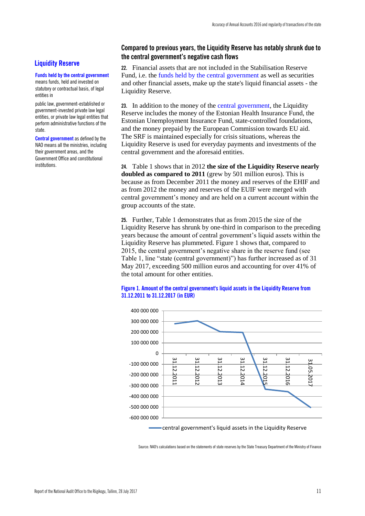# **Liquidity Reserve**

#### **Funds held by the central government**

means funds, held and invested on statutory or contractual basis, of legal entities in

public law, government-established or government-invested private law legal entities, or private law legal entities that perform administrative functions of the state.

**Central government** as defined by the NAO means all the ministries, including their government areas, and the Government Office and constitutional institutions.

#### <span id="page-12-0"></span>**Compared to previous years, the Liquidity Reserve has notably shrunk due to the central government's negative cash flows**

**22.** Financial assets that are not included in the Stabilisation Reserve Fund, i.e. the funds held by the central government as well as securities and other financial assets, make up the state's liquid financial assets - the Liquidity Reserve.

**23.** In addition to the money of the central government, the Liquidity Reserve includes the money of the Estonian Health Insurance Fund, the Estonian Unemployment Insurance Fund, state-controlled foundations, and the money prepaid by the European Commission towards EU aid. The SRF is maintained especially for crisis situations, whereas the Liquidity Reserve is used for everyday payments and investments of the central government and the aforesaid entities.

**24.** Table 1 shows that in 2012 **the size of the Liquidity Reserve nearly doubled as compared to 2011** (grew by 501 million euros). This is because as from December 2011 the money and reserves of the EHIF and as from 2012 the money and reserves of the EUIF were merged with central government's money and are held on a current account within the group accounts of the state.

**25.** Further, Table 1 demonstrates that as from 2015 the size of the Liquidity Reserve has shrunk by one-third in comparison to the preceding years because the amount of central government's liquid assets within the Liquidity Reserve has plummeted. Figure 1 shows that, compared to 2015, the central government's negative share in the reserve fund (see Table 1, line "state (central government)") has further increased as of 31 May 2017, exceeding 500 million euros and accounting for over 41% of the total amount for other entities.

#### **Figure 1. Amount of the central government's liquid assets in the Liquidity Reserve from 31.12.2011 to 31.12.2017 (in EUR)**



central government's liquid assets in the Liquidity Reserve

Source: NAO's calculations based on the statements of state reserves by the State Treasury Department of the Ministry of Finance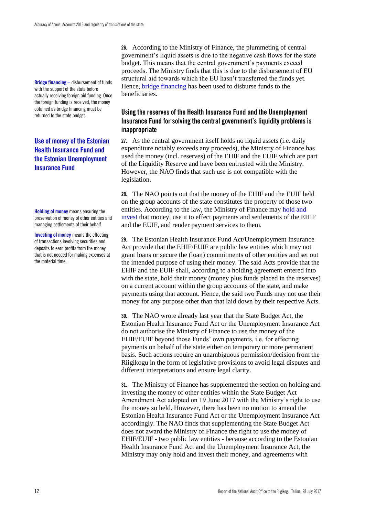**Bridge financing –** disbursement of funds with the support of the state before actually receiving foreign aid funding. Once the foreign funding is received, the money obtained as bridge financing must be returned to the state budget.

# **Use of money of the Estonian Health Insurance Fund and the Estonian Unemployment Insurance Fund**

**Holding of money** means ensuring the preservation of money of other entities and managing settlements of their behalf.

**Investing of money** means the effecting of transactions involving securities and deposits to earn profits from the money that is not needed for making expenses at the material time.

**26.** According to the Ministry of Finance, the plummeting of central government's liquid assets is due to the negative cash flows for the state budget. This means that the central government's payments exceed proceeds. The Ministry finds that this is due to the disbursement of EU structural aid towards which the EU hasn't transferred the funds yet. Hence, bridge financing has been used to disburse funds to the beneficiaries.

# <span id="page-13-0"></span>**Using the reserves of the Health Insurance Fund and the Unemployment Insurance Fund for solving the central government's liquidity problems is inappropriate**

**27.** As the central government itself holds no liquid assets (i.e. daily expenditure notably exceeds any proceeds), the Ministry of Finance has used the money (incl. reserves) of the EHIF and the EUIF which are part of the Liquidity Reserve and have been entrusted with the Ministry. However, the NAO finds that such use is not compatible with the legislation.

**28.** The NAO points out that the money of the EHIF and the EUIF held on the group accounts of the state constitutes the property of those two entities. According to the law, the Ministry of Finance may hold and invest that money, use it to effect payments and settlements of the EHIF and the EUIF, and render payment services to them.

**29.** The Estonian Health Insurance Fund Act/Unemployment Insurance Act provide that the EHIF/EUIF are public law entities which may not grant loans or secure the (loan) commitments of other entities and set out the intended purpose of using their money. The said Acts provide that the EHIF and the EUIF shall, according to a holding agreement entered into with the state, hold their money (money plus funds placed in the reserves) on a current account within the group accounts of the state, and make payments using that account. Hence, the said two Funds may not use their money for any purpose other than that laid down by their respective Acts.

**30.** The NAO wrote already last year that the State Budget Act, the Estonian Health Insurance Fund Act or the Unemployment Insurance Act do not authorise the Ministry of Finance to use the money of the EHIF/EUIF beyond those Funds' own payments, i.e. for effecting payments on behalf of the state either on temporary or more permanent basis. Such actions require an unambiguous permission/decision from the Riigikogu in the form of legislative provisions to avoid legal disputes and different interpretations and ensure legal clarity.

**31.** The Ministry of Finance has supplemented the section on holding and investing the money of other entities within the State Budget Act Amendment Act adopted on 19 June 2017 with the Ministry's right to use the money so held. However, there has been no motion to amend the Estonian Health Insurance Fund Act or the Unemployment Insurance Act accordingly. The NAO finds that supplementing the State Budget Act does not award the Ministry of Finance the right to use the money of EHIF/EUIF - two public law entities - because according to the Estonian Health Insurance Fund Act and the Unemployment Insurance Act, the Ministry may only hold and invest their money, and agreements with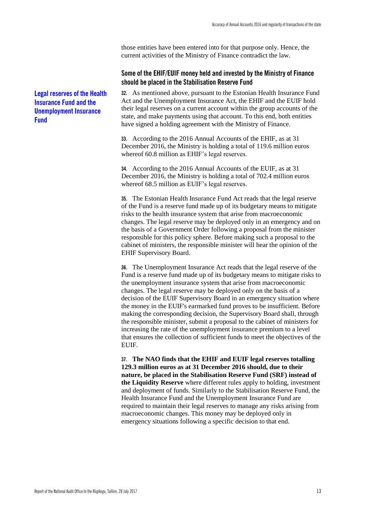those entities have been entered into for that purpose only. Hence, the current activities of the Ministry of Finance contradict the law.

# <span id="page-14-0"></span>**Some of the EHIF/EUIF money held and invested by the Ministry of Finance should be placed in the Stabilisation Reserve Fund**

**32.** As mentioned above, pursuant to the Estonian Health Insurance Fund Act and the Unemployment Insurance Act, the EHIF and the EUIF hold their legal reserves on a current account within the group accounts of the state, and make payments using that account. To this end, both entities have signed a holding agreement with the Ministry of Finance.

**33.** According to the 2016 Annual Accounts of the EHIF, as at 31 December 2016, the Ministry is holding a total of 119.6 million euros whereof 60.8 million as EHIF's legal reserves.

**34.** According to the 2016 Annual Accounts of the EUIF, as at 31 December 2016, the Ministry is holding a total of 702.4 million euros whereof 68.5 million as EUIF's legal reserves.

**35.** The Estonian Health Insurance Fund Act reads that the legal reserve of the Fund is a reserve fund made up of its budgetary means to mitigate risks to the health insurance system that arise from macroeconomic changes. The legal reserve may be deployed only in an emergency and on the basis of a Government Order following a proposal from the minister responsible for this policy sphere. Before making such a proposal to the cabinet of ministers, the responsible minister will hear the opinion of the EHIF Supervisory Board.

**36.** The Unemployment Insurance Act reads that the legal reserve of the Fund is a reserve fund made up of its budgetary means to mitigate risks to the unemployment insurance system that arise from macroeconomic changes. The legal reserve may be deployed only on the basis of a decision of the EUIF Supervisory Board in an emergency situation where the money in the EUIF's earmarked fund proves to be insufficient. Before making the corresponding decision, the Supervisory Board shall, through the responsible minister, submit a proposal to the cabinet of ministers for increasing the rate of the unemployment insurance premium to a level that ensures the collection of sufficient funds to meet the objectives of the EUIF.

**37. The NAO finds that the EHIF and EUIF legal reserves totalling 129.3 million euros as at 31 December 2016 should, due to their nature, be placed in the Stabilisation Reserve Fund (SRF) instead of the Liquidity Reserve** where different rules apply to holding, investment and deployment of funds. Similarly to the Stabilisation Reserve Fund, the Health Insurance Fund and the Unemployment Insurance Fund are required to maintain their legal reserves to manage any risks arising from macroeconomic changes. This money may be deployed only in emergency situations following a specific decision to that end.

**Legal reserves of the Health Insurance Fund and the Unemployment Insurance Fund**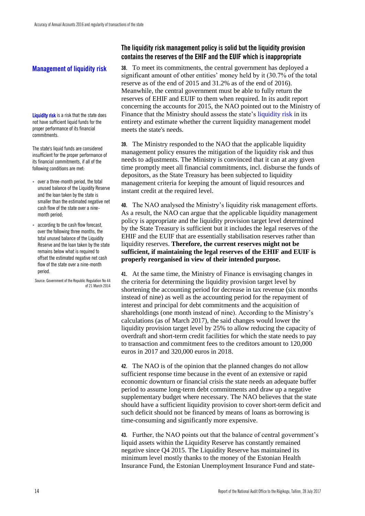# **Management of liquidity risk**

**Liquidity risk** is a risk that the state does not have sufficient liquid funds for the proper performance of its financial commitments.

The state's liquid funds are considered insufficient for the proper performance of its financial commitments, if all of the following conditions are met:

- over a three-month period, the total unused balance of the Liquidity Reserve and the loan taken by the state is smaller than the estimated negative net cash flow of the state over a ninemonth period;
- according to the cash flow forecast, over the following three months, the total unused balance of the Liquidity Reserve and the loan taken by the state remains below what is required to offset the estimated negative net cash flow of the state over a nine-month period.

Source: Government of the Republic Regulation No 44 of 21 March 2014

# <span id="page-15-0"></span>**The liquidity risk management policy is solid but the liquidity provision contains the reserves of the EHIF and the EUIF which is inappropriate**

**38.** To meet its commitments, the central government has deployed a significant amount of other entities' money held by it (30.7% of the total reserve as of the end of 2015 and 31.2% as of the end of 2016). Meanwhile, the central government must be able to fully return the reserves of EHIF and EUIF to them when required. In its audit report concerning the accounts for 2015, the NAO pointed out to the Ministry of Finance that the Ministry should assess the state's liquidity risk in its entirety and estimate whether the current liquidity management model meets the state's needs.

**39.** The Ministry responded to the NAO that the applicable liquidity management policy ensures the mitigation of the liquidity risk and thus needs to adjustments. The Ministry is convinced that it can at any given time promptly meet all financial commitments, incl. disburse the funds of depositors, as the State Treasury has been subjected to liquidity management criteria for keeping the amount of liquid resources and instant credit at the required level.

**40.** The NAO analysed the Ministry's liquidity risk management efforts. As a result, the NAO can argue that the applicable liquidity management policy is appropriate and the liquidity provision target level determined by the State Treasury is sufficient but it includes the legal reserves of the EHIF and the EUIF that are essentially stabilisation reserves rather than liquidity reserves. **Therefore, the current reserves might not be sufficient, if maintaining the legal reserves of the EHIF and EUIF is properly reorganised in view of their intended purpose.**

**41.** At the same time, the Ministry of Finance is envisaging changes in the criteria for determining the liquidity provision target level by shortening the accounting period for decrease in tax revenue (six months instead of nine) as well as the accounting period for the repayment of interest and principal for debt commitments and the acquisition of shareholdings (one month instead of nine). According to the Ministry's calculations (as of March 2017), the said changes would lower the liquidity provision target level by 25% to allow reducing the capacity of overdraft and short-term credit facilities for which the state needs to pay to transaction and commitment fees to the creditors amount to 120,000 euros in 2017 and 320,000 euros in 2018.

**42.** The NAO is of the opinion that the planned changes do not allow sufficient response time because in the event of an extensive or rapid economic downturn or financial crisis the state needs an adequate buffer period to assume long-term debt commitments and draw up a negative supplementary budget where necessary. The NAO believes that the state should have a sufficient liquidity provision to cover short-term deficit and such deficit should not be financed by means of loans as borrowing is time-consuming and significantly more expensive.

**43.** Further, the NAO points out that the balance of central government's liquid assets within the Liquidity Reserve has constantly remained negative since Q4 2015. The Liquidity Reserve has maintained its minimum level mostly thanks to the money of the Estonian Health Insurance Fund, the Estonian Unemployment Insurance Fund and state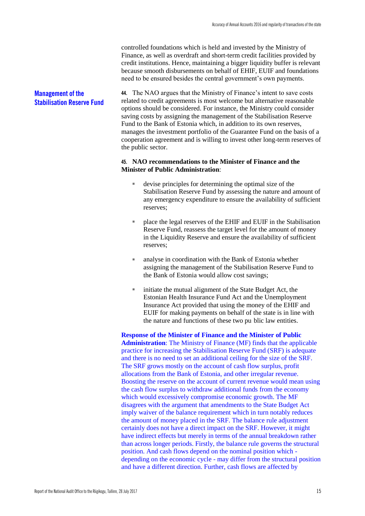controlled foundations which is held and invested by the Ministry of Finance, as well as overdraft and short-term credit facilities provided by credit institutions. Hence, maintaining a bigger liquidity buffer is relevant because smooth disbursements on behalf of EHIF, EUIF and foundations need to be ensured besides the central government's own payments.

#### **Management of the Stabilisation Reserve Fund**

**44.** The NAO argues that the Ministry of Finance's intent to save costs related to credit agreements is most welcome but alternative reasonable options should be considered. For instance, the Ministry could consider saving costs by assigning the management of the Stabilisation Reserve Fund to the Bank of Estonia which, in addition to its own reserves, manages the investment portfolio of the Guarantee Fund on the basis of a cooperation agreement and is willing to invest other long-term reserves of the public sector.

#### **45. NAO recommendations to the Minister of Finance and the Minister of Public Administration**:

- devise principles for determining the optimal size of the Stabilisation Reserve Fund by assessing the nature and amount of any emergency expenditure to ensure the availability of sufficient reserves;
- place the legal reserves of the EHIF and EUIF in the Stabilisation Reserve Fund, reassess the target level for the amount of money in the Liquidity Reserve and ensure the availability of sufficient reserves;
- analyse in coordination with the Bank of Estonia whether assigning the management of the Stabilisation Reserve Fund to the Bank of Estonia would allow cost savings;
- initiate the mutual alignment of the State Budget Act, the Estonian Health Insurance Fund Act and the Unemployment Insurance Act provided that using the money of the EHIF and EUIF for making payments on behalf of the state is in line with the nature and functions of these two pu blic law entities.

**Response of the Minister of Finance and the Minister of Public Administration**: The Ministry of Finance (MF) finds that the applicable practice for increasing the Stabilisation Reserve Fund (SRF) is adequate and there is no need to set an additional ceiling for the size of the SRF. The SRF grows mostly on the account of cash flow surplus, profit allocations from the Bank of Estonia, and other irregular revenue. Boosting the reserve on the account of current revenue would mean using the cash flow surplus to withdraw additional funds from the economy which would excessively compromise economic growth. The MF disagrees with the argument that amendments to the State Budget Act imply waiver of the balance requirement which in turn notably reduces the amount of money placed in the SRF. The balance rule adjustment certainly does not have a direct impact on the SRF. However, it might have indirect effects but merely in terms of the annual breakdown rather than across longer periods. Firstly, the balance rule governs the structural position. And cash flows depend on the nominal position which depending on the economic cycle - may differ from the structural position and have a different direction. Further, cash flows are affected by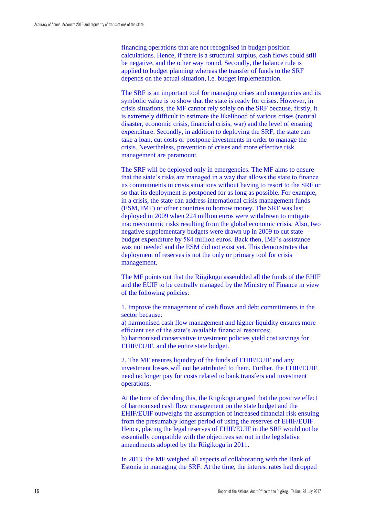financing operations that are not recognised in budget position calculations. Hence, if there is a structural surplus, cash flows could still be negative, and the other way round. Secondly, the balance rule is applied to budget planning whereas the transfer of funds to the SRF depends on the actual situation, i.e. budget implementation.

The SRF is an important tool for managing crises and emergencies and its symbolic value is to show that the state is ready for crises. However, in crisis situations, the MF cannot rely solely on the SRF because, firstly, it is extremely difficult to estimate the likelihood of various crises (natural disaster, economic crisis, financial crisis, war) and the level of ensuing expenditure. Secondly, in addition to deploying the SRF, the state can take a loan, cut costs or postpone investments in order to manage the crisis. Nevertheless, prevention of crises and more effective risk management are paramount.

The SRF will be deployed only in emergencies. The MF aims to ensure that the state's risks are managed in a way that allows the state to finance its commitments in crisis situations without having to resort to the SRF or so that its deployment is postponed for as long as possible. For example, in a crisis, the state can address international crisis management funds (ESM, IMF) or other countries to borrow money. The SRF was last deployed in 2009 when 224 million euros were withdrawn to mitigate macroeconomic risks resulting from the global economic crisis. Also, two negative supplementary budgets were drawn up in 2009 to cut state budget expenditure by 584 million euros. Back then, IMF's assistance was not needed and the ESM did not exist yet. This demonstrates that deployment of reserves is not the only or primary tool for crisis management.

The MF points out that the Riigikogu assembled all the funds of the EHIF and the EUIF to be centrally managed by the Ministry of Finance in view of the following policies:

1. Improve the management of cash flows and debt commitments in the sector because:

a) harmonised cash flow management and higher liquidity ensures more efficient use of the state's available financial resources; b) harmonised conservative investment policies yield cost savings for

EHIF/EUIF, and the entire state budget. 2. The MF ensures liquidity of the funds of EHIF/EUIF and any

investment losses will not be attributed to them. Further, the EHIF/EUIF need no longer pay for costs related to bank transfers and investment operations.

At the time of deciding this, the Riigikogu argued that the positive effect of harmonised cash flow management on the state budget and the EHIF/EUIF outweighs the assumption of increased financial risk ensuing from the presumably longer period of using the reserves of EHIF/EUIF. Hence, placing the legal reserves of EHIF/EUIF in the SRF would not be essentially compatible with the objectives set out in the legislative amendments adopted by the Riigikogu in 2011.

In 2013, the MF weighed all aspects of collaborating with the Bank of Estonia in managing the SRF. At the time, the interest rates had dropped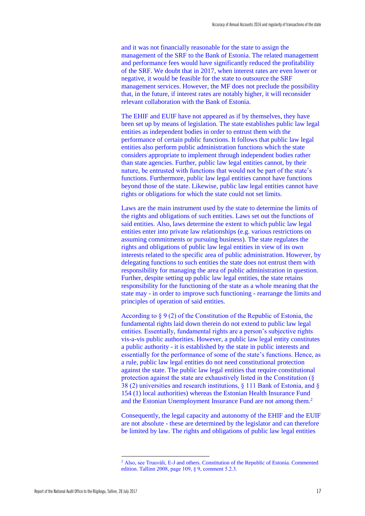and it was not financially reasonable for the state to assign the management of the SRF to the Bank of Estonia. The related management and performance fees would have significantly reduced the profitability of the SRF. We doubt that in 2017, when interest rates are even lower or negative, it would be feasible for the state to outsource the SRF management services. However, the MF does not preclude the possibility that, in the future, if interest rates are notably higher, it will reconsider relevant collaboration with the Bank of Estonia.

The EHIF and EUIF have not appeared as if by themselves, they have been set up by means of legislation. The state establishes public law legal entities as independent bodies in order to entrust them with the performance of certain public functions. It follows that public law legal entities also perform public administration functions which the state considers appropriate to implement through independent bodies rather than state agencies. Further, public law legal entities cannot, by their nature, be entrusted with functions that would not be part of the state's functions. Furthermore, public law legal entities cannot have functions beyond those of the state. Likewise, public law legal entities cannot have rights or obligations for which the state could not set limits.

Laws are the main instrument used by the state to determine the limits of the rights and obligations of such entities. Laws set out the functions of said entities. Also, laws determine the extent to which public law legal entities enter into private law relationships (e.g. various restrictions on assuming commitments or pursuing business). The state regulates the rights and obligations of public law legal entities in view of its own interests related to the specific area of public administration. However, by delegating functions to such entities the state does not entrust them with responsibility for managing the area of public administration in question. Further, despite setting up public law legal entities, the state retains responsibility for the functioning of the state as a whole meaning that the state may - in order to improve such functioning - rearrange the limits and principles of operation of said entities.

According to § 9 (2) of the Constitution of the Republic of Estonia, the fundamental rights laid down therein do not extend to public law legal entities. Essentially, fundamental rights are a person's subjective rights vis-a-vis public authorities. However, a public law legal entity constitutes a public authority - it is established by the state in public interests and essentially for the performance of some of the state's functions. Hence, as a rule, public law legal entities do not need constitutional protection against the state. The public law legal entities that require constitutional protection against the state are exhaustively listed in the Constitution (§ 38 (2) universities and research institutions, § 111 Bank of Estonia, and § 154 (1) local authorities) whereas the Estonian Health Insurance Fund and the Estonian Unemployment Insurance Fund are not among them.<sup>2</sup>

Consequently, the legal capacity and autonomy of the EHIF and the EUIF are not absolute - these are determined by the legislator and can therefore be limited by law. The rights and obligations of public law legal entities

<u>.</u>

<sup>2</sup> Also, see Truuväli, E-J and others. Constitution of the Republic of Estonia. Commented edition. Tallinn 2008, page 109, § 9, comment 5.2.3.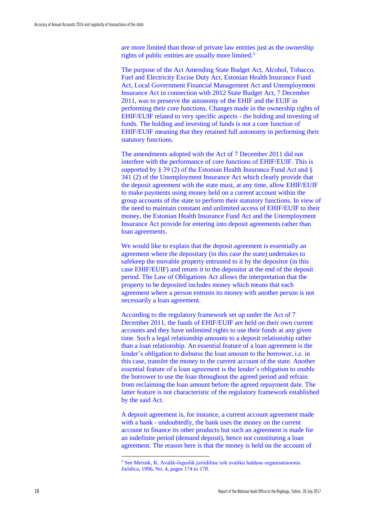are more limited than those of private law entities just as the ownership rights of public entities are usually more limited.<sup>3</sup>

The purpose of the Act Amending State Budget Act, Alcohol, Tobacco, Fuel and Electricity Excise Duty Act, Estonian Health Insurance Fund Act, Local Government Financial Management Act and Unemployment Insurance Act in connection with 2012 State Budget Act, 7 December 2011, was to preserve the autonomy of the EHIF and the EUIF in performing their core functions. Changes made in the ownership rights of EHIF/EUIF related to very specific aspects - the holding and investing of funds. The holding and investing of funds is not a core function of EHIF/EUIF meaning that they retained full autonomy in performing their statutory functions.

The amendments adopted with the Act of 7 December 2011 did not interfere with the performance of core functions of EHIF/EUIF. This is supported by § 39 (2) of the Estonian Health Insurance Fund Act and § 341 (2) of the Unemployment Insurance Act which clearly provide that the deposit agreement with the state must, at any time, allow EHIF/EUIF to make payments using money held on a current account within the group accounts of the state to perform their statutory functions. In view of the need to maintain constant and unlimited access of EHIF/EUIF to their money, the Estonian Health Insurance Fund Act and the Unemployment Insurance Act provide for entering into deposit agreements rather than loan agreements.

We would like to explain that the deposit agreement is essentially an agreement where the depositary (in this case the state) undertakes to safekeep the movable property entrusted to it by the depositor (in this case EHIF/EUIF) and return it to the depositor at the end of the deposit period. The Law of Obligations Act allows the interpretation that the property to be deposited includes money which means that each agreement where a person entrusts its money with another person is not necessarily a loan agreement.

According to the regulatory framework set up under the Act of 7 December 2011, the funds of EHIF/EUIF are held on their own current accounts and they have unlimited rights to use their funds at any given time. Such a legal relationship amounts to a deposit relationship rather than a loan relationship. An essential feature of a loan agreement is the lender's obligation to disburse the loan amount to the borrower, i.e. in this case, transfer the money to the current account of the state. Another essential feature of a loan agreement is the lender's obligation to enable the borrower to use the loan throughout the agreed period and refrain from reclaiming the loan amount before the agreed repayment date. The latter feature is not characteristic of the regulatory framework established by the said Act.

A deposit agreement is, for instance, a current account agreement made with a bank - undoubtedly, the bank uses the money on the current account to finance its other products but such an agreement is made for an indefinite period (demand deposit), hence not constituting a loan agreement. The reason here is that the money is held on the account of

<u>.</u>

<sup>3</sup> See Merusk, K. Avalik-õiguslik juriidiline isik avaliku halduse organisatsioonis. Juridica, 1996, No. 4, pages 174 to 178.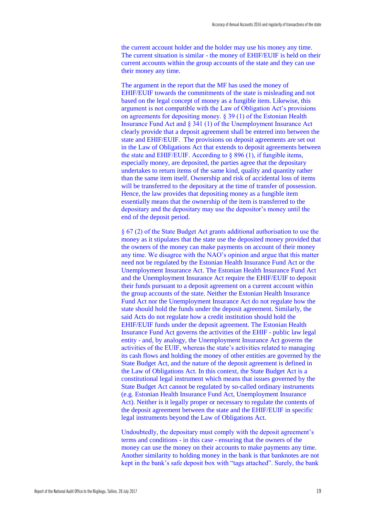the current account holder and the holder may use his money any time. The current situation is similar - the money of EHIF/EUIF is held on their current accounts within the group accounts of the state and they can use their money any time.

The argument in the report that the MF has used the money of EHIF/EUIF towards the commitments of the state is misleading and not based on the legal concept of money as a fungible item. Likewise, this argument is not compatible with the Law of Obligation Act's provisions on agreements for depositing money. § 39 (1) of the Estonian Health Insurance Fund Act and § 341 (1) of the Unemployment Insurance Act clearly provide that a deposit agreement shall be entered into between the state and EHIF/EUIF. The provisions on deposit agreements are set out in the Law of Obligations Act that extends to deposit agreements between the state and EHIF/EUIF. According to § 896 (1), if fungible items, especially money, are deposited, the parties agree that the depositary undertakes to return items of the same kind, quality and quantity rather than the same item itself. Ownership and risk of accidental loss of items will be transferred to the depositary at the time of transfer of possession. Hence, the law provides that depositing money as a fungible item essentially means that the ownership of the item is transferred to the depositary and the depositary may use the depositor's money until the end of the deposit period.

§ 67 (2) of the State Budget Act grants additional authorisation to use the money as it stipulates that the state use the deposited money provided that the owners of the money can make payments on account of their money any time. We disagree with the NAO's opinion and argue that this matter need not be regulated by the Estonian Health Insurance Fund Act or the Unemployment Insurance Act. The Estonian Health Insurance Fund Act and the Unemployment Insurance Act require the EHIF/EUIF to deposit their funds pursuant to a deposit agreement on a current account within the group accounts of the state. Neither the Estonian Health Insurance Fund Act nor the Unemployment Insurance Act do not regulate how the state should hold the funds under the deposit agreement. Similarly, the said Acts do not regulate how a credit institution should hold the EHIF/EUIF funds under the deposit agreement. The Estonian Health Insurance Fund Act governs the activities of the EHIF - public law legal entity - and, by analogy, the Unemployment Insurance Act governs the activities of the EUIF, whereas the state's activities related to managing its cash flows and holding the money of other entities are governed by the State Budget Act, and the nature of the deposit agreement is defined in the Law of Obligations Act. In this context, the State Budget Act is a constitutional legal instrument which means that issues governed by the State Budget Act cannot be regulated by so-called ordinary instruments (e.g. Estonian Health Insurance Fund Act, Unemployment Insurance Act). Neither is it legally proper or necessary to regulate the contents of the deposit agreement between the state and the EHIF/EUIF in specific legal instruments beyond the Law of Obligations Act.

Undoubtedly, the depositary must comply with the deposit agreement's terms and conditions - in this case - ensuring that the owners of the money can use the money on their accounts to make payments any time. Another similarity to holding money in the bank is that banknotes are not kept in the bank's safe deposit box with "tags attached". Surely, the bank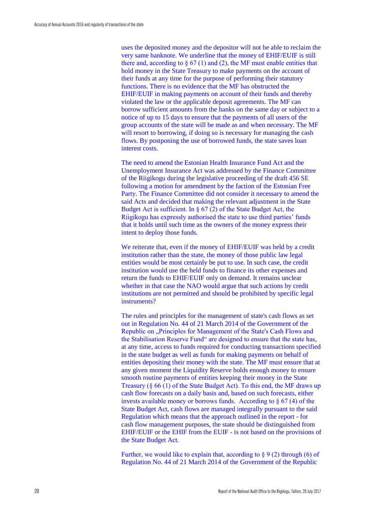uses the deposited money and the depositor will not be able to reclaim the very same banknote. We underline that the money of EHIF/EUIF is still there and, according to  $\S 67 (1)$  and (2), the MF must enable entities that hold money in the State Treasury to make payments on the account of their funds at any time for the purpose of performing their statutory functions. There is no evidence that the MF has obstructed the EHIF/EUIF in making payments on account of their funds and thereby violated the law or the applicable deposit agreements. The MF can borrow sufficient amounts from the banks on the same day or subject to a notice of up to 15 days to ensure that the payments of all users of the group accounts of the state will be made as and when necessary. The MF will resort to borrowing, if doing so is necessary for managing the cash flows. By postponing the use of borrowed funds, the state saves loan interest costs.

The need to amend the Estonian Health Insurance Fund Act and the Unemployment Insurance Act was addressed by the Finance Committee of the Riigikogu during the legislative proceeding of the draft 456 SE following a motion for amendment by the faction of the Estonian Free Party. The Finance Committee did not consider it necessary to amend the said Acts and decided that making the relevant adjustment in the State Budget Act is sufficient. In  $\S 67(2)$  of the State Budget Act, the Riigikogu has expressly authorised the state to use third parties' funds that it holds until such time as the owners of the money express their intent to deploy those funds.

We reiterate that, even if the money of EHIF/EUIF was held by a credit institution rather than the state, the money of those public law legal entities would be most certainly be put to use. In such case, the credit institution would use the held funds to finance its other expenses and return the funds to EHIF/EUIF only on demand. It remains unclear whether in that case the NAO would argue that such actions by credit institutions are not permitted and should be prohibited by specific legal instruments?

The rules and principles for the management of state's cash flows as set out in Regulation No. 44 of 21 March 2014 of the Government of the Republic on "Principles for Management of the State's Cash Flows and the Stabilisation Reserve Fund" are designed to ensure that the state has, at any time, access to funds required for conducting transactions specified in the state budget as well as funds for making payments on behalf of entities depositing their money with the state. The MF must ensure that at any given moment the Liquidity Reserve holds enough money to ensure smooth routine payments of entities keeping their money in the State Treasury (§ 66 (1) of the State Budget Act). To this end, the MF draws up cash flow forecasts on a daily basis and, based on such forecasts, either invests available money or borrows funds. According to  $\S 67(4)$  of the State Budget Act, cash flows are managed integrally pursuant to the said Regulation which means that the approach outlined in the report - for cash flow management purposes, the state should be distinguished from EHIF/EUIF or the EHIF from the EUIF - is not based on the provisions of the State Budget Act.

Further, we would like to explain that, according to § 9 (2) through (6) of Regulation No. 44 of 21 March 2014 of the Government of the Republic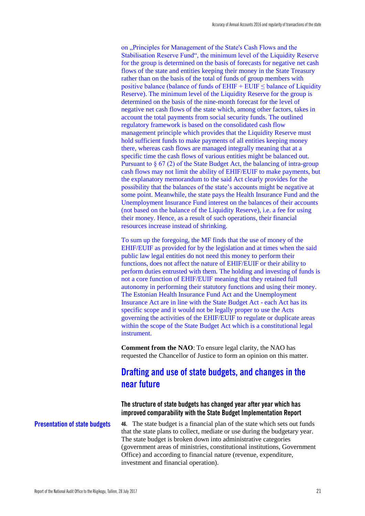on "Principles for Management of the State's Cash Flows and the Stabilisation Reserve Fund", the minimum level of the Liquidity Reserve for the group is determined on the basis of forecasts for negative net cash flows of the state and entities keeping their money in the State Treasury rather than on the basis of the total of funds of group members with positive balance (balance of funds of  $E HIF + EUIF \leq$  balance of Liquidity Reserve). The minimum level of the Liquidity Reserve for the group is determined on the basis of the nine-month forecast for the level of negative net cash flows of the state which, among other factors, takes in account the total payments from social security funds. The outlined regulatory framework is based on the consolidated cash flow management principle which provides that the Liquidity Reserve must hold sufficient funds to make payments of all entities keeping money there, whereas cash flows are managed integrally meaning that at a specific time the cash flows of various entities might be balanced out. Pursuant to § 67 (2) of the State Budget Act, the balancing of intra-group cash flows may not limit the ability of EHIF/EUIF to make payments, but the explanatory memorandum to the said Act clearly provides for the possibility that the balances of the state's accounts might be negative at some point. Meanwhile, the state pays the Health Insurance Fund and the Unemployment Insurance Fund interest on the balances of their accounts (not based on the balance of the Liquidity Reserve), i.e. a fee for using their money. Hence, as a result of such operations, their financial resources increase instead of shrinking.

To sum up the foregoing, the MF finds that the use of money of the EHIF/EUIF as provided for by the legislation and at times when the said public law legal entities do not need this money to perform their functions, does not affect the nature of EHIF/EUIF or their ability to perform duties entrusted with them. The holding and investing of funds is not a core function of EHIF/EUIF meaning that they retained full autonomy in performing their statutory functions and using their money. The Estonian Health Insurance Fund Act and the Unemployment Insurance Act are in line with the State Budget Act - each Act has its specific scope and it would not be legally proper to use the Acts governing the activities of the EHIF/EUIF to regulate or duplicate areas within the scope of the State Budget Act which is a constitutional legal instrument.

**Comment from the NAO**: To ensure legal clarity, the NAO has requested the Chancellor of Justice to form an opinion on this matter.

# <span id="page-22-0"></span>**Drafting and use of state budgets, and changes in the near future**

# <span id="page-22-1"></span>**The structure of state budgets has changed year after year which has improved comparability with the State Budget Implementation Report**

**Presentation of state budgets**

**46.** The state budget is a financial plan of the state which sets out funds that the state plans to collect, mediate or use during the budgetary year. The state budget is broken down into administrative categories (government areas of ministries, constitutional institutions, Government Office) and according to financial nature (revenue, expenditure, investment and financial operation).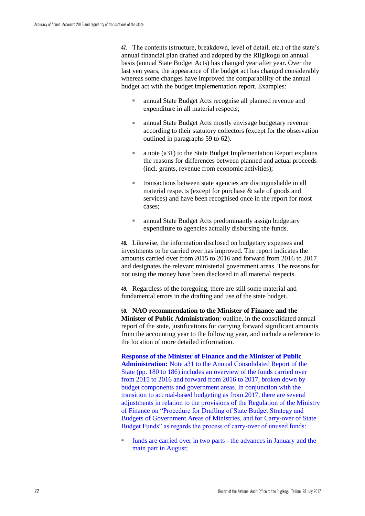**47.** The contents (structure, breakdown, level of detail, etc.) of the state's annual financial plan drafted and adopted by the Riigikogu on annual basis (annual State Budget Acts) has changed year after year. Over the last yen years, the appearance of the budget act has changed considerably whereas some changes have improved the comparability of the annual budget act with the budget implementation report. Examples:

- annual State Budget Acts recognise all planned revenue and expenditure in all material respects;
- annual State Budget Acts mostly envisage budgetary revenue according to their statutory collectors (except for the observation outlined in paragraphs 59 to 62).
- a note (a31) to the State Budget Implementation Report explains the reasons for differences between planned and actual proceeds (incl. grants, revenue from economic activities);
- transactions between state agencies are distinguishable in all material respects (except for purchase & sale of goods and services) and have been recognised once in the report for most cases;
- annual State Budget Acts predominantly assign budgetary expenditure to agencies actually disbursing the funds.

**48.** Likewise, the information disclosed on budgetary expenses and investments to be carried over has improved. The report indicates the amounts carried over from 2015 to 2016 and forward from 2016 to 2017 and designates the relevant ministerial government areas. The reasons for not using the money have been disclosed in all material respects.

**49.** Regardless of the foregoing, there are still some material and fundamental errors in the drafting and use of the state budget.

**50. NAO recommendation to the Minister of Finance and the Minister of Public Administration**: outline, in the consolidated annual report of the state, justifications for carrying forward significant amounts from the accounting year to the following year, and include a reference to the location of more detailed information.

**Response of the Minister of Finance and the Minister of Public Administration:** Note a31 to the Annual Consolidated Report of the State (pp. 180 to 186) includes an overview of the funds carried over from 2015 to 2016 and forward from 2016 to 2017, broken down by budget components and government areas. In conjunction with the transition to accrual-based budgeting as from 2017, there are several adjustments in relation to the provisions of the Regulation of the Ministry of Finance on "Procedure for Drafting of State Budget Strategy and Budgets of Government Areas of Ministries, and for Carry-over of State Budget Funds" as regards the process of carry-over of unused funds:

funds are carried over in two parts - the advances in January and the main part in August;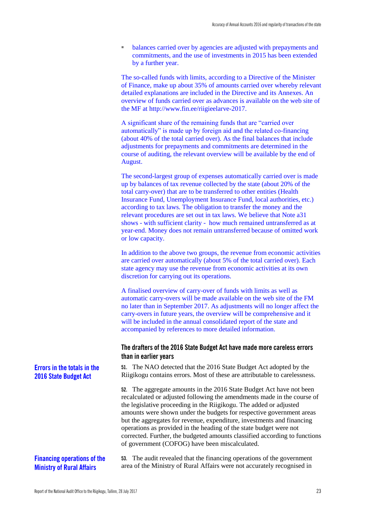balances carried over by agencies are adjusted with prepayments and commitments, and the use of investments in 2015 has been extended by a further year.

The so-called funds with limits, according to a Directive of the Minister of Finance, make up about 35% of amounts carried over whereby relevant detailed explanations are included in the Directive and its Annexes. An overview of funds carried over as advances is available on the web site of the MF at http://www.fin.ee/riigieelarve-2017.

A significant share of the remaining funds that are "carried over automatically" is made up by foreign aid and the related co-financing (about 40% of the total carried over). As the final balances that include adjustments for prepayments and commitments are determined in the course of auditing, the relevant overview will be available by the end of August.

The second-largest group of expenses automatically carried over is made up by balances of tax revenue collected by the state (about 20% of the total carry-over) that are to be transferred to other entities (Health Insurance Fund, Unemployment Insurance Fund, local authorities, etc.) according to tax laws. The obligation to transfer the money and the relevant procedures are set out in tax laws. We believe that Note a31 shows - with sufficient clarity - how much remained untransferred as at year-end. Money does not remain untransferred because of omitted work or low capacity.

In addition to the above two groups, the revenue from economic activities are carried over automatically (about 5% of the total carried over). Each state agency may use the revenue from economic activities at its own discretion for carrying out its operations.

A finalised overview of carry-over of funds with limits as well as automatic carry-overs will be made available on the web site of the FM no later than in September 2017. As adjustments will no longer affect the carry-overs in future years, the overview will be comprehensive and it will be included in the annual consolidated report of the state and accompanied by references to more detailed information.

#### <span id="page-24-0"></span>**The drafters of the 2016 State Budget Act have made more careless errors than in earlier years**

**51.** The NAO detected that the 2016 State Budget Act adopted by the Riigikogu contains errors. Most of these are attributable to carelessness.

**52.** The aggregate amounts in the 2016 State Budget Act have not been recalculated or adjusted following the amendments made in the course of the legislative proceeding in the Riigikogu. The added or adjusted amounts were shown under the budgets for respective government areas but the aggregates for revenue, expenditure, investments and financing operations as provided in the heading of the state budget were not corrected. Further, the budgeted amounts classified according to functions of government (COFOG) have been miscalculated.

# **Financing operations of the Ministry of Rural Affairs**

**53.** The audit revealed that the financing operations of the government area of the Ministry of Rural Affairs were not accurately recognised in

# **Errors in the totals in the 2016 State Budget Act**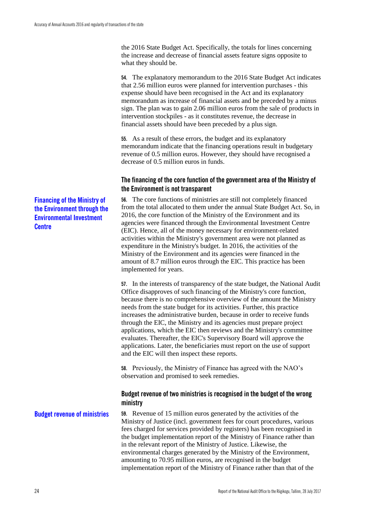the 2016 State Budget Act. Specifically, the totals for lines concerning the increase and decrease of financial assets feature signs opposite to what they should be.

**54.** The explanatory memorandum to the 2016 State Budget Act indicates that 2.56 million euros were planned for intervention purchases - this expense should have been recognised in the Act and its explanatory memorandum as increase of financial assets and be preceded by a minus sign. The plan was to gain 2.06 million euros from the sale of products in intervention stockpiles - as it constitutes revenue, the decrease in financial assets should have been preceded by a plus sign.

**55.** As a result of these errors, the budget and its explanatory memorandum indicate that the financing operations result in budgetary revenue of 0.5 million euros. However, they should have recognised a decrease of 0.5 million euros in funds.

# <span id="page-25-0"></span>**The financing of the core function of the government area of the Ministry of the Environment is not transparent**

**56.** The core functions of ministries are still not completely financed from the total allocated to them under the annual State Budget Act. So, in 2016, the core function of the Ministry of the Environment and its agencies were financed through the Environmental Investment Centre (EIC). Hence, all of the money necessary for environment-related activities within the Ministry's government area were not planned as expenditure in the Ministry's budget. In 2016, the activities of the Ministry of the Environment and its agencies were financed in the amount of 8.7 million euros through the EIC. This practice has been implemented for years.

**57.** In the interests of transparency of the state budget, the National Audit Office disapproves of such financing of the Ministry's core function, because there is no comprehensive overview of the amount the Ministry needs from the state budget for its activities. Further, this practice increases the administrative burden, because in order to receive funds through the EIC, the Ministry and its agencies must prepare project applications, which the EIC then reviews and the Ministry's committee evaluates. Thereafter, the EIC's Supervisory Board will approve the applications. Later, the beneficiaries must report on the use of support and the EIC will then inspect these reports.

**58.** Previously, the Ministry of Finance has agreed with the NAO's observation and promised to seek remedies.

# <span id="page-25-1"></span>**Budget revenue of two ministries is recognised in the budget of the wrong ministry**

**59.** Revenue of 15 million euros generated by the activities of the Ministry of Justice (incl. government fees for court procedures, various fees charged for services provided by registers) has been recognised in the budget implementation report of the Ministry of Finance rather than in the relevant report of the Ministry of Justice. Likewise, the environmental charges generated by the Ministry of the Environment, amounting to 70.95 million euros, are recognised in the budget implementation report of the Ministry of Finance rather than that of the **Budget revenue of ministries**

# **Financing of the Ministry of the Environment through the Environmental Investment Centre**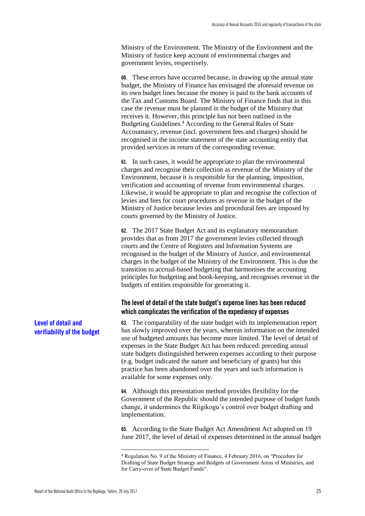Ministry of the Environment. The Ministry of the Environment and the Ministry of Justice keep account of environmental charges and government levies, respectively.

**60.** These errors have occurred because, in drawing up the annual state budget, the Ministry of Finance has envisaged the aforesaid revenue on its own budget lines because the money is paid to the bank accounts of the Tax and Customs Board. The Ministry of Finance finds that in this case the revenue must be planned in the budget of the Ministry that receives it. However, this principle has not been outlined in the Budgeting Guidelines.<sup>4</sup> According to the General Rules of State Accountancy, revenue (incl. government fees and charges) should be recognised in the income statement of the state accounting entity that provided services in return of the corresponding revenue.

**61.** In such cases, it would be appropriate to plan the environmental charges and recognise their collection as revenue of the Ministry of the Environment, because it is responsible for the planning, imposition, verification and accounting of revenue from environmental charges. Likewise, it would be appropriate to plan and recognise the collection of levies and fees for court procedures as revenue in the budget of the Ministry of Justice because levies and procedural fees are imposed by courts governed by the Ministry of Justice.

**62.** The 2017 State Budget Act and its explanatory memorandum provides that as from 2017 the government levies collected through courts and the Centre of Registers and Information Systems are recognised in the budget of the Ministry of Justice, and environmental charges in the budget of the Ministry of the Environment. This is due the transition to accrual-based budgeting that harmonises the accounting principles for budgeting and book-keeping, and recognises revenue in the budgets of entities responsible for generating it.

# <span id="page-26-0"></span>**The level of detail of the state budget's expense lines has been reduced which complicates the verification of the expediency of expenses**

**63.** The comparability of the state budget with its implementation report has slowly improved over the years, whereas information on the intended use of budgeted amounts has become more limited. The level of detail of expenses in the State Budget Act has been reduced: preceding annual state budgets distinguished between expenses according to their purpose (e.g. budget indicated the nature and beneficiary of grants) but this practice has been abandoned over the years and such information is available for some expenses only.

**64.** Although this presentation method provides flexibility for the Government of the Republic should the intended purpose of budget funds change, it undermines the Riigikogu's control over budget drafting and implementation.

**65.** According to the State Budget Act Amendment Act adopted on 19 June 2017, the level of detail of expenses determined in the annual budget

# **Level of detail and verifiability of the budget**

<u>.</u>

<sup>4</sup> Regulation No. 9 of the Ministry of Finance, 4 February 2016, on "Procedure for Drafting of State Budget Strategy and Budgets of Government Areas of Ministries, and for Carry-over of State Budget Funds".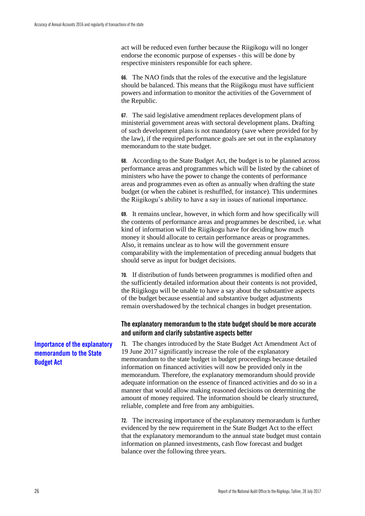act will be reduced even further because the Riigikogu will no longer endorse the economic purpose of expenses - this will be done by respective ministers responsible for each sphere.

**66.** The NAO finds that the roles of the executive and the legislature should be balanced. This means that the Riigikogu must have sufficient powers and information to monitor the activities of the Government of the Republic.

**67.** The said legislative amendment replaces development plans of ministerial government areas with sectoral development plans. Drafting of such development plans is not mandatory (save where provided for by the law), if the required performance goals are set out in the explanatory memorandum to the state budget.

**68.** According to the State Budget Act, the budget is to be planned across performance areas and programmes which will be listed by the cabinet of ministers who have the power to change the contents of performance areas and programmes even as often as annually when drafting the state budget (or when the cabinet is reshuffled, for instance). This undermines the Riigikogu's ability to have a say in issues of national importance.

**69.** It remains unclear, however, in which form and how specifically will the contents of performance areas and programmes be described, i.e. what kind of information will the Riigikogu have for deciding how much money it should allocate to certain performance areas or programmes. Also, it remains unclear as to how will the government ensure comparability with the implementation of preceding annual budgets that should serve as input for budget decisions.

**70.** If distribution of funds between programmes is modified often and the sufficiently detailed information about their contents is not provided, the Riigikogu will be unable to have a say about the substantive aspects of the budget because essential and substantive budget adjustments remain overshadowed by the technical changes in budget presentation.

# <span id="page-27-0"></span>**The explanatory memorandum to the state budget should be more accurate and uniform and clarify substantive aspects better**

**71.** The changes introduced by the State Budget Act Amendment Act of 19 June 2017 significantly increase the role of the explanatory memorandum to the state budget in budget proceedings because detailed information on financed activities will now be provided only in the memorandum. Therefore, the explanatory memorandum should provide adequate information on the essence of financed activities and do so in a manner that would allow making reasoned decisions on determining the amount of money required. The information should be clearly structured, reliable, complete and free from any ambiguities.

**72.** The increasing importance of the explanatory memorandum is further evidenced by the new requirement in the State Budget Act to the effect that the explanatory memorandum to the annual state budget must contain information on planned investments, cash flow forecast and budget balance over the following three years.

# **Importance of the explanatory memorandum to the State Budget Act**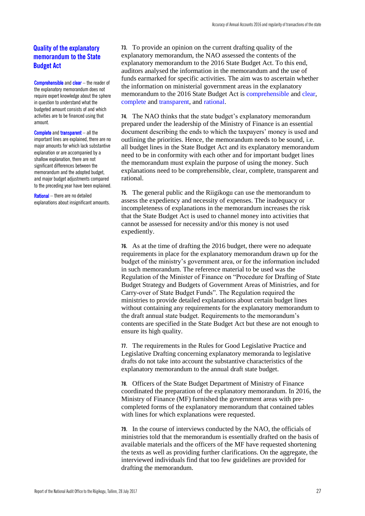# **Quality of the explanatory memorandum to the State Budget Act**

Comprehensible and clear – the reader of the explanatory memorandum does not require expert knowledge about the sphere in question to understand what the budgeted amount consists of and which activities are to be financed using that amount.

Complete and transparent – all the important lines are explained, there are no major amounts for which lack substantive explanation or are accompanied by a shallow explanation, there are not significant differences between the memorandum and the adopted budget, and major budget adjustments compared to the preceding year have been explained.

Rational – there are no detailed explanations about insignificant amounts. **73.** To provide an opinion on the current drafting quality of the explanatory memorandum, the NAO assessed the contents of the explanatory memorandum to the 2016 State Budget Act. To this end, auditors analysed the information in the memorandum and the use of funds earmarked for specific activities. The aim was to ascertain whether the information on ministerial government areas in the explanatory memorandum to the 2016 State Budget Act is comprehensible and clear, complete and transparent, and rational.

**74.** The NAO thinks that the state budget's explanatory memorandum prepared under the leadership of the Ministry of Finance is an essential document describing the ends to which the taxpayers' money is used and outlining the priorities. Hence, the memorandum needs to be sound, i.e. all budget lines in the State Budget Act and its explanatory memorandum need to be in conformity with each other and for important budget lines the memorandum must explain the purpose of using the money. Such explanations need to be comprehensible, clear, complete, transparent and rational.

**75.** The general public and the Riigikogu can use the memorandum to assess the expediency and necessity of expenses. The inadequacy or incompleteness of explanations in the memorandum increases the risk that the State Budget Act is used to channel money into activities that cannot be assessed for necessity and/or this money is not used expediently.

**76.** As at the time of drafting the 2016 budget, there were no adequate requirements in place for the explanatory memorandum drawn up for the budget of the ministry's government area, or for the information included in such memorandum. The reference material to be used was the Regulation of the Minister of Finance on "Procedure for Drafting of State Budget Strategy and Budgets of Government Areas of Ministries, and for Carry-over of State Budget Funds". The Regulation required the ministries to provide detailed explanations about certain budget lines without containing any requirements for the explanatory memorandum to the draft annual state budget. Requirements to the memorandum's contents are specified in the State Budget Act but these are not enough to ensure its high quality.

**77.** The requirements in the Rules for Good Legislative Practice and Legislative Drafting concerning explanatory memoranda to legislative drafts do not take into account the substantive characteristics of the explanatory memorandum to the annual draft state budget.

**78.** Officers of the State Budget Department of Ministry of Finance coordinated the preparation of the explanatory memorandum. In 2016, the Ministry of Finance (MF) furnished the government areas with precompleted forms of the explanatory memorandum that contained tables with lines for which explanations were requested.

**79.** In the course of interviews conducted by the NAO, the officials of ministries told that the memorandum is essentially drafted on the basis of available materials and the officers of the MF have requested shortening the texts as well as providing further clarifications. On the aggregate, the interviewed individuals find that too few guidelines are provided for drafting the memorandum.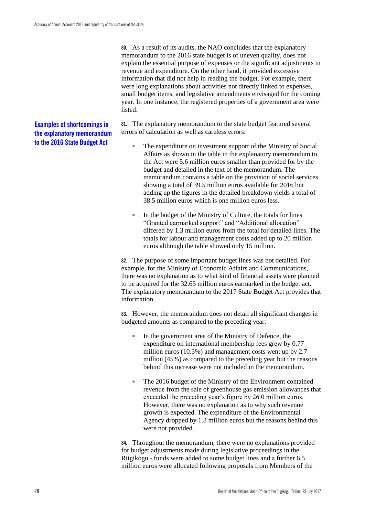**80.** As a result of its audits, the NAO concludes that the explanatory memorandum to the 2016 state budget is of uneven quality, does not explain the essential purpose of expenses or the significant adjustments in revenue and expenditure. On the other hand, it provided excessive information that did not help in reading the budget. For example, there were long explanations about activities not directly linked to expenses, small budget items, and legislative amendments envisaged for the coming year. In one instance, the registered properties of a government area were listed.

**81.** The explanatory memorandum to the state budget featured several errors of calculation as well as careless errors:

- The expenditure on investment support of the Ministry of Social Affairs as shown in the table in the explanatory memorandum to the Act were 5.6 million euros smaller than provided for by the budget and detailed in the text of the memorandum. The memorandum contains a table on the provision of social services showing a total of 39.5 million euros available for 2016 but adding up the figures in the detailed breakdown yields a total of 38.5 million euros which is one million euros less.
- In the budget of the Ministry of Culture, the totals for lines "Granted earmarked support" and "Additional allocation" differed by 1.3 million euros from the total for detailed lines. The totals for labour and management costs added up to 20 million euros although the table showed only 15 million.

**82.** The purpose of some important budget lines was not detailed. For example, for the Ministry of Economic Affairs and Communications, there was no explanation as to what kind of financial assets were planned to be acquired for the 32.65 million euros earmarked in the budget act. The explanatory memorandum to the 2017 State Budget Act provides that information.

**83.** However, the memorandum does not detail all significant changes in budgeted amounts as compared to the preceding year:

- In the government area of the Ministry of Defence, the expenditure on international membership fees grew by 0.77 million euros (10.3%) and management costs went up by 2.7 million (45%) as compared to the preceding year but the reasons behind this increase were not included in the memorandum.
- The 2016 budget of the Ministry of the Environment contained revenue from the sale of greenhouse gas emission allowances that exceeded the preceding year's figure by 26.0 million euros. However, there was no explanation as to why such revenue growth is expected. The expenditure of the Environmental Agency dropped by 1.8 million euros but the reasons behind this were not provided.

**84.** Throughout the memorandum, there were no explanations provided for budget adjustments made during legislative proceedings in the Riigikogu - funds were added to some budget lines and a further 6.5 million euros were allocated following proposals from Members of the

# **Examples of shortcomings in the explanatory memorandum to the 2016 State Budget Act**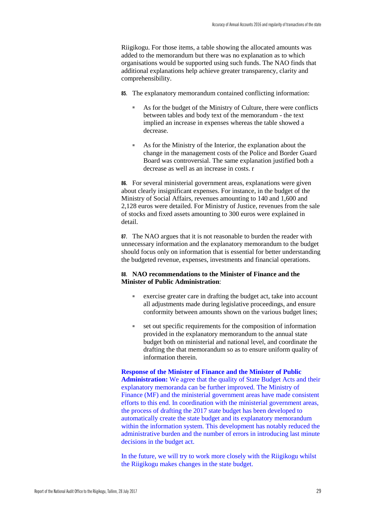Riigikogu. For those items, a table showing the allocated amounts was added to the memorandum but there was no explanation as to which organisations would be supported using such funds. The NAO finds that additional explanations help achieve greater transparency, clarity and comprehensibility.

- **85.** The explanatory memorandum contained conflicting information:
	- As for the budget of the Ministry of Culture, there were conflicts between tables and body text of the memorandum - the text implied an increase in expenses whereas the table showed a decrease.
	- As for the Ministry of the Interior, the explanation about the change in the management costs of the Police and Border Guard Board was controversial. The same explanation justified both a decrease as well as an increase in costs. r

**86.** For several ministerial government areas, explanations were given about clearly insignificant expenses. For instance, in the budget of the Ministry of Social Affairs, revenues amounting to 140 and 1,600 and 2,128 euros were detailed. For Ministry of Justice, revenues from the sale of stocks and fixed assets amounting to 300 euros were explained in detail.

**87.** The NAO argues that it is not reasonable to burden the reader with unnecessary information and the explanatory memorandum to the budget should focus only on information that is essential for better understanding the budgeted revenue, expenses, investments and financial operations.

#### **88. NAO recommendations to the Minister of Finance and the Minister of Public Administration**:

- exercise greater care in drafting the budget act, take into account all adjustments made during legislative proceedings, and ensure conformity between amounts shown on the various budget lines;
- set out specific requirements for the composition of information provided in the explanatory memorandum to the annual state budget both on ministerial and national level, and coordinate the drafting the that memorandum so as to ensure uniform quality of information therein.

**Response of the Minister of Finance and the Minister of Public Administration:** We agree that the quality of State Budget Acts and their explanatory memoranda can be further improved. The Ministry of Finance (MF) and the ministerial government areas have made consistent efforts to this end. In coordination with the ministerial government areas, the process of drafting the 2017 state budget has been developed to automatically create the state budget and its explanatory memorandum within the information system. This development has notably reduced the administrative burden and the number of errors in introducing last minute decisions in the budget act.

In the future, we will try to work more closely with the Riigikogu whilst the Riigikogu makes changes in the state budget.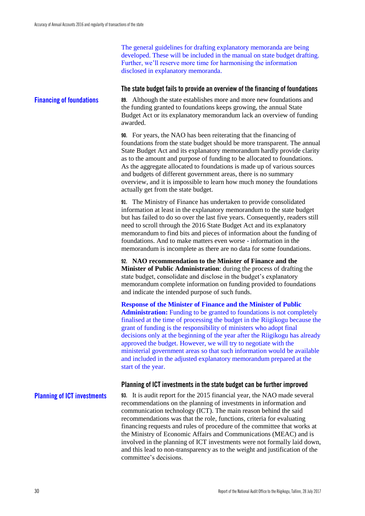The general guidelines for drafting explanatory memoranda are being developed. These will be included in the manual on state budget drafting. Further, we'll reserve more time for harmonising the information disclosed in explanatory memoranda.

#### <span id="page-31-0"></span>**The state budget fails to provide an overview of the financing of foundations**

**89.** Although the state establishes more and more new foundations and the funding granted to foundations keeps growing, the annual State Budget Act or its explanatory memorandum lack an overview of funding awarded. **Financing of foundations**

> **90.** For years, the NAO has been reiterating that the financing of foundations from the state budget should be more transparent. The annual State Budget Act and its explanatory memorandum hardly provide clarity as to the amount and purpose of funding to be allocated to foundations. As the aggregate allocated to foundations is made up of various sources and budgets of different government areas, there is no summary overview, and it is impossible to learn how much money the foundations actually get from the state budget.

**91.** The Ministry of Finance has undertaken to provide consolidated information at least in the explanatory memorandum to the state budget but has failed to do so over the last five years. Consequently, readers still need to scroll through the 2016 State Budget Act and its explanatory memorandum to find bits and pieces of information about the funding of foundations. And to make matters even worse - information in the memorandum is incomplete as there are no data for some foundations.

**92. NAO recommendation to the Minister of Finance and the Minister of Public Administration**: during the process of drafting the state budget, consolidate and disclose in the budget's explanatory memorandum complete information on funding provided to foundations and indicate the intended purpose of such funds.

**Response of the Minister of Finance and the Minister of Public**  Administration: Funding to be granted to foundations is not completely finalised at the time of processing the budget in the Riigikogu because the grant of funding is the responsibility of ministers who adopt final decisions only at the beginning of the year after the Riigikogu has already approved the budget. However, we will try to negotiate with the ministerial government areas so that such information would be available and included in the adjusted explanatory memorandum prepared at the start of the year.

#### <span id="page-31-1"></span>**Planning of ICT investments in the state budget can be further improved**

#### **Planning of ICT investments**

**93.** It is audit report for the 2015 financial year, the NAO made several recommendations on the planning of investments in information and communication technology (ICT). The main reason behind the said recommendations was that the role, functions, criteria for evaluating financing requests and rules of procedure of the committee that works at the Ministry of Economic Affairs and Communications (MEAC) and is involved in the planning of ICT investments were not formally laid down, and this lead to non-transparency as to the weight and justification of the committee's decisions.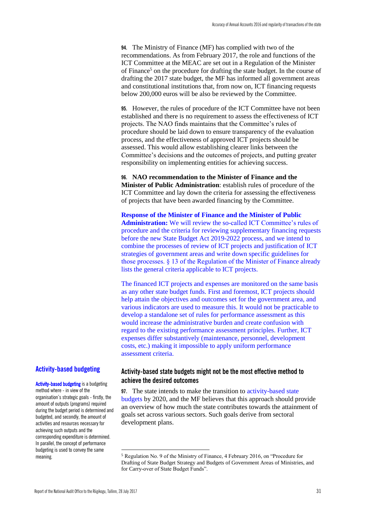**94.** The Ministry of Finance (MF) has complied with two of the recommendations. As from February 2017, the role and functions of the ICT Committee at the MEAC are set out in a Regulation of the Minister of Finance<sup>5</sup> on the procedure for drafting the state budget. In the course of drafting the 2017 state budget, the MF has informed all government areas and constitutional institutions that, from now on, ICT financing requests below 200,000 euros will be also be reviewed by the Committee.

**95.** However, the rules of procedure of the ICT Committee have not been established and there is no requirement to assess the effectiveness of ICT projects. The NAO finds maintains that the Committee's rules of procedure should be laid down to ensure transparency of the evaluation process, and the effectiveness of approved ICT projects should be assessed. This would allow establishing clearer links between the Committee's decisions and the outcomes of projects, and putting greater responsibility on implementing entities for achieving success.

**96. NAO recommendation to the Minister of Finance and the Minister of Public Administration**: establish rules of procedure of the ICT Committee and lay down the criteria for assessing the effectiveness of projects that have been awarded financing by the Committee.

**Response of the Minister of Finance and the Minister of Public Administration:** We will review the so-called ICT Committee's rules of procedure and the criteria for reviewing supplementary financing requests before the new State Budget Act 2019-2022 process, and we intend to combine the processes of review of ICT projects and justification of ICT strategies of government areas and write down specific guidelines for those processes. § 13 of the Regulation of the Minister of Finance already lists the general criteria applicable to ICT projects.

The financed ICT projects and expenses are monitored on the same basis as any other state budget funds. First and foremost, ICT projects should help attain the objectives and outcomes set for the government area, and various indicators are used to measure this. It would not be practicable to develop a standalone set of rules for performance assessment as this would increase the administrative burden and create confusion with regard to the existing performance assessment principles. Further, ICT expenses differ substantively (maintenance, personnel, development costs, etc.) making it impossible to apply uniform performance assessment criteria.

#### **Activity-based budgeting**

Activity-based budgeting is a budgeting method where - in view of the organisation's strategic goals - firstly, the amount of outputs (programs) required during the budget period is determined and budgeted, and secondly, the amount of activities and resources necessary for achieving such outputs and the corresponding expenditure is determined. In parallel, the concept of performance budgeting is used to convey the same meaning.

# <span id="page-32-0"></span>**Activity-based state budgets might not be the most effective method to achieve the desired outcomes**

**97.** The state intends to make the transition to activity-based state budgets by 2020, and the MF believes that this approach should provide an overview of how much the state contributes towards the attainment of goals set across various sectors. Such goals derive from sectoral development plans.

<u>.</u>

<sup>5</sup> Regulation No. 9 of the Ministry of Finance, 4 February 2016, on "Procedure for Drafting of State Budget Strategy and Budgets of Government Areas of Ministries, and for Carry-over of State Budget Funds".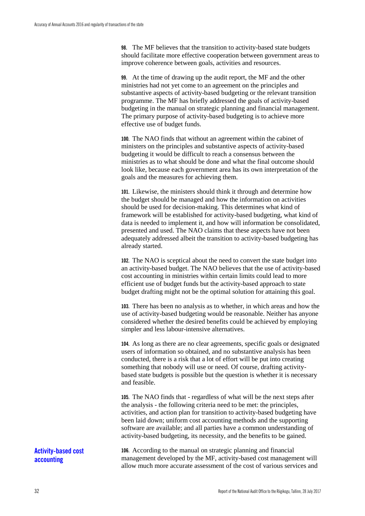**98.** The MF believes that the transition to activity-based state budgets should facilitate more effective cooperation between government areas to improve coherence between goals, activities and resources.

**99.** At the time of drawing up the audit report, the MF and the other ministries had not yet come to an agreement on the principles and substantive aspects of activity-based budgeting or the relevant transition programme. The MF has briefly addressed the goals of activity-based budgeting in the manual on strategic planning and financial management. The primary purpose of activity-based budgeting is to achieve more effective use of budget funds.

**100.** The NAO finds that without an agreement within the cabinet of ministers on the principles and substantive aspects of activity-based budgeting it would be difficult to reach a consensus between the ministries as to what should be done and what the final outcome should look like, because each government area has its own interpretation of the goals and the measures for achieving them.

**101.** Likewise, the ministers should think it through and determine how the budget should be managed and how the information on activities should be used for decision-making. This determines what kind of framework will be established for activity-based budgeting, what kind of data is needed to implement it, and how will information be consolidated, presented and used. The NAO claims that these aspects have not been adequately addressed albeit the transition to activity-based budgeting has already started.

**102.** The NAO is sceptical about the need to convert the state budget into an activity-based budget. The NAO believes that the use of activity-based cost accounting in ministries within certain limits could lead to more efficient use of budget funds but the activity-based approach to state budget drafting might not be the optimal solution for attaining this goal.

**103.** There has been no analysis as to whether, in which areas and how the use of activity-based budgeting would be reasonable. Neither has anyone considered whether the desired benefits could be achieved by employing simpler and less labour-intensive alternatives.

**104.** As long as there are no clear agreements, specific goals or designated users of information so obtained, and no substantive analysis has been conducted, there is a risk that a lot of effort will be put into creating something that nobody will use or need. Of course, drafting activitybased state budgets is possible but the question is whether it is necessary and feasible.

**105.** The NAO finds that - regardless of what will be the next steps after the analysis - the following criteria need to be met: the principles, activities, and action plan for transition to activity-based budgeting have been laid down; uniform cost accounting methods and the supporting software are available; and all parties have a common understanding of activity-based budgeting, its necessity, and the benefits to be gained.

**Activity-based cost accounting**

**106.** According to the manual on strategic planning and financial management developed by the MF, activity-based cost management will allow much more accurate assessment of the cost of various services and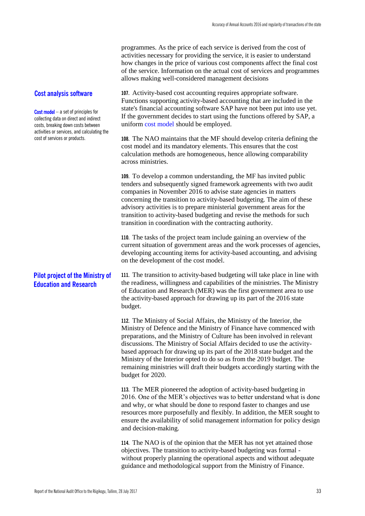programmes. As the price of each service is derived from the cost of activities necessary for providing the service, it is easier to understand how changes in the price of various cost components affect the final cost of the service. Information on the actual cost of services and programmes allows making well-considered management decisions

**107.** Activity-based cost accounting requires appropriate software. Functions supporting activity-based accounting that are included in the state's financial accounting software SAP have not been put into use yet. If the government decides to start using the functions offered by SAP, a uniform cost model should be employed.

**108.** The NAO maintains that the MF should develop criteria defining the cost model and its mandatory elements. This ensures that the cost calculation methods are homogeneous, hence allowing comparability across ministries.

**109.** To develop a common understanding, the MF has invited public tenders and subsequently signed framework agreements with two audit companies in November 2016 to advise state agencies in matters concerning the transition to activity-based budgeting. The aim of these advisory activities is to prepare ministerial government areas for the transition to activity-based budgeting and revise the methods for such transition in coordination with the contracting authority.

**110.** The tasks of the project team include gaining an overview of the current situation of government areas and the work processes of agencies, developing accounting items for activity-based accounting, and advising on the development of the cost model.

**111.** The transition to activity-based budgeting will take place in line with the readiness, willingness and capabilities of the ministries. The Ministry of Education and Research (MER) was the first government area to use the activity-based approach for drawing up its part of the 2016 state budget.

> **112.** The Ministry of Social Affairs, the Ministry of the Interior, the Ministry of Defence and the Ministry of Finance have commenced with preparations, and the Ministry of Culture has been involved in relevant discussions. The Ministry of Social Affairs decided to use the activitybased approach for drawing up its part of the 2018 state budget and the Ministry of the Interior opted to do so as from the 2019 budget. The remaining ministries will draft their budgets accordingly starting with the budget for 2020.

> **113.** The MER pioneered the adoption of activity-based budgeting in 2016. One of the MER's objectives was to better understand what is done and why, or what should be done to respond faster to changes and use resources more purposefully and flexibly. In addition, the MER sought to ensure the availability of solid management information for policy design and decision-making.

**114.** The NAO is of the opinion that the MER has not yet attained those objectives. The transition to activity-based budgeting was formal without properly planning the operational aspects and without adequate guidance and methodological support from the Ministry of Finance.

#### **Cost analysis software**

Cost model – a set of principles for collecting data on direct and indirect costs, breaking down costs between activities or services, and calculating the cost of services or products.

# **Pilot project of the Ministry of Education and Research**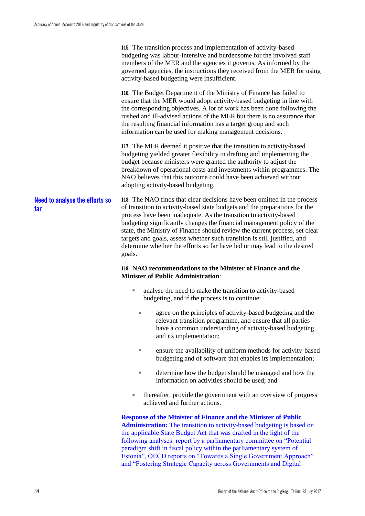**115.** The transition process and implementation of activity-based budgeting was labour-intensive and burdensome for the involved staff members of the MER and the agencies it governs. As informed by the governed agencies, the instructions they received from the MER for using activity-based budgeting were insufficient.

**116.** The Budget Department of the Ministry of Finance has failed to ensure that the MER would adopt activity-based budgeting in line with the corresponding objectives. A lot of work has been done following the rushed and ill-advised actions of the MER but there is no assurance that the resulting financial information has a target group and such information can be used for making management decisions.

**117.** The MER deemed it positive that the transition to activity-based budgeting yielded greater flexibility in drafting and implementing the budget because ministers were granted the authority to adjust the breakdown of operational costs and investments within programmes. The NAO believes that this outcome could have been achieved without adopting activity-based budgeting.

**118.** The NAO finds that clear decisions have been omitted in the process of transition to activity-based state budgets and the preparations for the process have been inadequate. As the transition to activity-based budgeting significantly changes the financial management policy of the state, the Ministry of Finance should review the current process, set clear targets and goals, assess whether such transition is still justified, and determine whether the efforts so far have led or may lead to the desired goals. **Need to analyse the efforts so far** 

#### **119. NAO recommendations to the Minister of Finance and the Minister of Public Administration**:

- analyse the need to make the transition to activity-based budgeting, and if the process is to continue:
	- agree on the principles of activity-based budgeting and the relevant transition programme, and ensure that all parties have a common understanding of activity-based budgeting and its implementation;
	- ensure the availability of uniform methods for activity-based budgeting and of software that enables its implementation;
	- determine how the budget should be managed and how the information on activities should be used; and
- thereafter, provide the government with an overview of progress achieved and further actions.

**Response of the Minister of Finance and the Minister of Public Administration:** The transition to activity-based budgeting is based on the applicable State Budget Act that was drafted in the light of the following analyses: report by a parliamentary committee on "Potential paradigm shift in fiscal policy within the parliamentary system of Estonia", OECD reports on "Towards a Single Government Approach" and "Fostering Strategic Capacity across Governments and Digital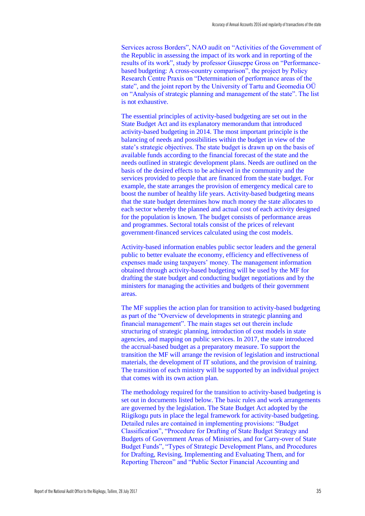Services across Borders", NAO audit on "Activities of the Government of the Republic in assessing the impact of its work and in reporting of the results of its work", study by professor Giuseppe Gross on "Performancebased budgeting: A cross-country comparison", the project by Policy Research Centre Praxis on "Determination of performance areas of the state", and the joint report by the University of Tartu and Geomedia OÜ on "Analysis of strategic planning and management of the state". The list is not exhaustive.

The essential principles of activity-based budgeting are set out in the State Budget Act and its explanatory memorandum that introduced activity-based budgeting in 2014. The most important principle is the balancing of needs and possibilities within the budget in view of the state's strategic objectives. The state budget is drawn up on the basis of available funds according to the financial forecast of the state and the needs outlined in strategic development plans. Needs are outlined on the basis of the desired effects to be achieved in the community and the services provided to people that are financed from the state budget. For example, the state arranges the provision of emergency medical care to boost the number of healthy life years. Activity-based budgeting means that the state budget determines how much money the state allocates to each sector whereby the planned and actual cost of each activity designed for the population is known. The budget consists of performance areas and programmes. Sectoral totals consist of the prices of relevant government-financed services calculated using the cost models.

Activity-based information enables public sector leaders and the general public to better evaluate the economy, efficiency and effectiveness of expenses made using taxpayers' money. The management information obtained through activity-based budgeting will be used by the MF for drafting the state budget and conducting budget negotiations and by the ministers for managing the activities and budgets of their government areas.

The MF supplies the action plan for transition to activity-based budgeting as part of the "Overview of developments in strategic planning and financial management". The main stages set out therein include structuring of strategic planning, introduction of cost models in state agencies, and mapping on public services. In 2017, the state introduced the accrual-based budget as a preparatory measure. To support the transition the MF will arrange the revision of legislation and instructional materials, the development of IT solutions, and the provision of training. The transition of each ministry will be supported by an individual project that comes with its own action plan.

The methodology required for the transition to activity-based budgeting is set out in documents listed below. The basic rules and work arrangements are governed by the legislation. The State Budget Act adopted by the Riigikogu puts in place the legal framework for activity-based budgeting. Detailed rules are contained in implementing provisions: "Budget Classification", "Procedure for Drafting of State Budget Strategy and Budgets of Government Areas of Ministries, and for Carry-over of State Budget Funds", "Types of Strategic Development Plans, and Procedures for Drafting, Revising, Implementing and Evaluating Them, and for Reporting Thereon" and "Public Sector Financial Accounting and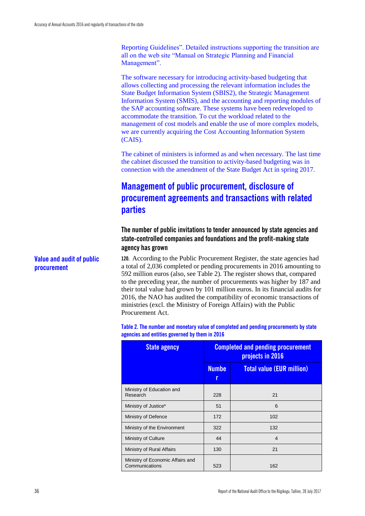Reporting Guidelines". Detailed instructions supporting the transition are all on the web site "Manual on Strategic Planning and Financial Management".

The software necessary for introducing activity-based budgeting that allows collecting and processing the relevant information includes the State Budget Information System (SBIS2), the Strategic Management Information System (SMIS), and the accounting and reporting modules of the SAP accounting software. These systems have been redeveloped to accommodate the transition. To cut the workload related to the management of cost models and enable the use of more complex models, we are currently acquiring the Cost Accounting Information System (CAIS).

The cabinet of ministers is informed as and when necessary. The last time the cabinet discussed the transition to activity-based budgeting was in connection with the amendment of the State Budget Act in spring 2017.

### **Management of public procurement, disclosure of procurement agreements and transactions with related parties**

### **The number of public invitations to tender announced by state agencies and state-controlled companies and foundations and the profit-making state agency has grown**

**120.** According to the Public Procurement Register, the state agencies had a total of 2,036 completed or pending procurements in 2016 amounting to 592 million euros (also, see Table 2). The register shows that, compared to the preceding year, the number of procurements was higher by 187 and their total value had grown by 101 million euros. In its financial audits for 2016, the NAO has audited the compatibility of economic transactions of ministries (excl. the Ministry of Foreign Affairs) with the Public Procurement Act.

**Table 2. The number and monetary value of completed and pending procurements by state agencies and entities governed by them in 2016**

| <b>State agency</b>                                | <b>Completed and pending procurement</b><br>projects in 2016 |                                  |
|----------------------------------------------------|--------------------------------------------------------------|----------------------------------|
|                                                    | <b>Numbe</b><br>r                                            | <b>Total value (EUR million)</b> |
| Ministry of Education and<br>Research              | 228                                                          | 21                               |
| Ministry of Justice*                               | 51                                                           | 6                                |
| Ministry of Defence                                | 172                                                          | 102                              |
| Ministry of the Environment                        | 322                                                          | 132                              |
| Ministry of Culture                                | 44                                                           | $\overline{4}$                   |
| Ministry of Rural Affairs                          | 130                                                          | 21                               |
| Ministry of Economic Affairs and<br>Communications | 523                                                          | 162                              |

**Value and audit of public procurement**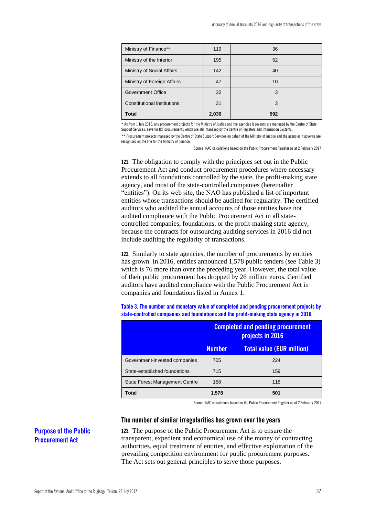| Ministry of Finance**       | 119   | 36  |  |
|-----------------------------|-------|-----|--|
| Ministry of the Interior    | 195   | 52  |  |
| Ministry of Social Affairs  | 142   | 40  |  |
| Ministry of Foreign Affairs | 47    | 10  |  |
| Government Office           | 32    | 3   |  |
| Constitutional institutions | 31    | 3   |  |
| <b>Total</b>                | 2,036 | 592 |  |

\* As from 1 July 2016, any procurement projects for the Ministry of Justice and the agencies it governs are managed by the Centre of State Support Services, save for ICT procurements which are still managed by the Centre of Registers and Information Systems.

\*\* Procurement projects managed by the Centre of State Support Services on behalf of the Ministry of Justice and the agencies it governs are recognised on the line for the Ministry of Finance.

Source: NAO calculations based on the Public Procurement Register as at 2 February 2017

**121.** The obligation to comply with the principles set out in the Public Procurement Act and conduct procurement procedures where necessary extends to all foundations controlled by the state, the profit-making state agency, and most of the state-controlled companies (hereinafter "entities"). On its web site, the NAO has published a list of important entities whose transactions should be audited for regularity. The certified auditors who audited the annual accounts of those entities have not audited compliance with the Public Procurement Act in all statecontrolled companies, foundations, or the profit-making state agency, because the contracts for outsourcing auditing services in 2016 did not include auditing the regularity of transactions.

**122.** Similarly to state agencies, the number of procurements by entities has grown. In 2016, entities announced 1,578 public tenders (see Table 3) which is 76 more than over the preceding year. However, the total value of their public procurement has dropped by 26 million euros. Certified auditors have audited compliance with the Public Procurement Act in companies and foundations listed in Annex 1.

|                                       | <b>Completed and pending procurement</b><br>projects in 2016 |                                  |
|---------------------------------------|--------------------------------------------------------------|----------------------------------|
|                                       | <b>Number</b>                                                | <b>Total value (EUR million)</b> |
| Government-invested companies         | 705                                                          | 224                              |
| State-established foundations         | 715                                                          | 159                              |
| <b>State Forest Management Centre</b> | 158                                                          | 118                              |
| Total                                 | 1,578                                                        | 501                              |

**Table 3. The number and monetary value of completed and pending procurement projects by state-controlled companies and foundations and the profit-making state agency in 2016**

Source: NAO calculations based on the Public Procurement Register as at 2 February 2017

#### **The number of similar irregularities has grown over the years**

**123.** The purpose of the Public Procurement Act is to ensure the transparent, expedient and economical use of the money of contracting authorities, equal treatment of entities, and effective exploitation of the prevailing competition environment for public procurement purposes. The Act sets out general principles to serve those purposes.

### **Purpose of the Public Procurement Act**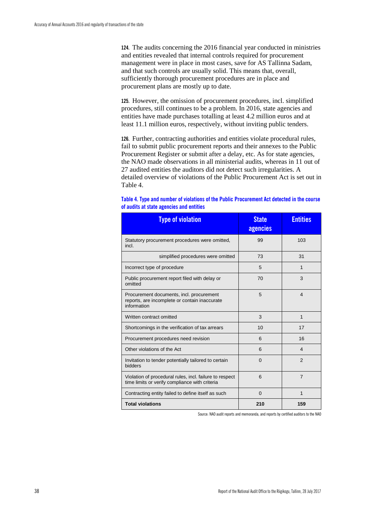**124.** The audits concerning the 2016 financial year conducted in ministries and entities revealed that internal controls required for procurement management were in place in most cases, save for AS Tallinna Sadam, and that such controls are usually solid. This means that, overall, sufficiently thorough procurement procedures are in place and procurement plans are mostly up to date.

**125.** However, the omission of procurement procedures, incl. simplified procedures, still continues to be a problem. In 2016, state agencies and entities have made purchases totalling at least 4.2 million euros and at least 11.1 million euros, respectively, without inviting public tenders.

**126.** Further, contracting authorities and entities violate procedural rules, fail to submit public procurement reports and their annexes to the Public Procurement Register or submit after a delay, etc. As for state agencies, the NAO made observations in all ministerial audits, whereas in 11 out of 27 audited entities the auditors did not detect such irregularities. A detailed overview of violations of the Public Procurement Act is set out in Table 4.

| <b>Type of violation</b>                                                                                  | <b>State</b><br>agencies | <b>Entities</b> |
|-----------------------------------------------------------------------------------------------------------|--------------------------|-----------------|
| Statutory procurement procedures were omitted,<br>incl.                                                   | 99                       | 103             |
| simplified procedures were omitted                                                                        | 73                       | 31              |
| Incorrect type of procedure                                                                               | 5                        | $\mathbf{1}$    |
| Public procurement report filed with delay or<br>omitted                                                  | 70                       | 3               |
| Procurement documents, incl. procurement<br>reports, are incomplete or contain inaccurate<br>information  | 5                        | 4               |
| Written contract omitted                                                                                  | 3                        | $\mathbf{1}$    |
| Shortcomings in the verification of tax arrears                                                           | 10                       | 17              |
| Procurement procedures need revision                                                                      | 6                        | 16              |
| Other violations of the Act                                                                               | 6                        | 4               |
| Invitation to tender potentially tailored to certain<br>bidders                                           | $\Omega$                 | $\overline{2}$  |
| Violation of procedural rules, incl. failure to respect<br>time limits or verify compliance with criteria | 6                        | $\overline{7}$  |
| Contracting entity failed to define itself as such                                                        | $\Omega$                 | 1               |
| <b>Total violations</b>                                                                                   | 210                      | 159             |

| Table 4. Type and number of violations of the Public Procurement Act detected in the course |  |
|---------------------------------------------------------------------------------------------|--|
| of audits at state agencies and entities                                                    |  |

Source: NAO audit reports and memoranda, and reports by certified auditors to the NAO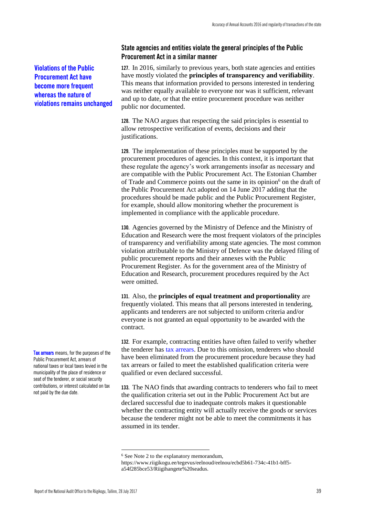### **State agencies and entities violate the general principles of the Public Procurement Act in a similar manner**

**127.** In 2016, similarly to previous years, both state agencies and entities have mostly violated the **principles of transparency and verifiability**. This means that information provided to persons interested in tendering was neither equally available to everyone nor was it sufficient, relevant and up to date, or that the entire procurement procedure was neither public nor documented.

**128.** The NAO argues that respecting the said principles is essential to allow retrospective verification of events, decisions and their justifications.

**129.** The implementation of these principles must be supported by the procurement procedures of agencies. In this context, it is important that these regulate the agency's work arrangements insofar as necessary and are compatible with the Public Procurement Act. The Estonian Chamber of Trade and Commerce points out the same in its opinion $<sup>6</sup>$  on the draft of</sup> the Public Procurement Act adopted on 14 June 2017 adding that the procedures should be made public and the Public Procurement Register, for example, should allow monitoring whether the procurement is implemented in compliance with the applicable procedure.

**130.** Agencies governed by the Ministry of Defence and the Ministry of Education and Research were the most frequent violators of the principles of transparency and verifiability among state agencies. The most common violation attributable to the Ministry of Defence was the delayed filing of public procurement reports and their annexes with the Public Procurement Register. As for the government area of the Ministry of Education and Research, procurement procedures required by the Act were omitted.

**131.** Also, the **principles of equal treatment and proportionality** are frequently violated. This means that all persons interested in tendering, applicants and tenderers are not subjected to uniform criteria and/or everyone is not granted an equal opportunity to be awarded with the contract.

**132.** For example, contracting entities have often failed to verify whether the tenderer has tax arrears. Due to this omission, tenderers who should have been eliminated from the procurement procedure because they had tax arrears or failed to meet the established qualification criteria were qualified or even declared successful.

**133.** The NAO finds that awarding contracts to tenderers who fail to meet the qualification criteria set out in the Public Procurement Act but are declared successful due to inadequate controls makes it questionable whether the contracting entity will actually receive the goods or services because the tenderer might not be able to meet the commitments it has assumed in its tender.

**Violations of the Public Procurement Act have become more frequent whereas the nature of violations remains unchanged**

Tax arrears means, for the purposes of the Public Procurement Act, arrears of national taxes or local taxes levied in the municipality of the place of residence or seat of the tenderer, or social security contributions, or interest calculated on tax not paid by the due date.

<u>.</u>

<sup>&</sup>lt;sup>6</sup> See Note 2 to the explanatory memorandum,

[https://www.riigikogu.ee/tegevus/eelnoud/eelnou/ecbd5b61-734c-41b1-bff5](https://www.riigikogu.ee/tegevus/eelnoud/eelnou/ecbd5b61-734c-41b1-bff5-a54f285bce53/Riigihangete%20seadus) [a54f285bce53/Riigihangete%20seadus.](https://www.riigikogu.ee/tegevus/eelnoud/eelnou/ecbd5b61-734c-41b1-bff5-a54f285bce53/Riigihangete%20seadus)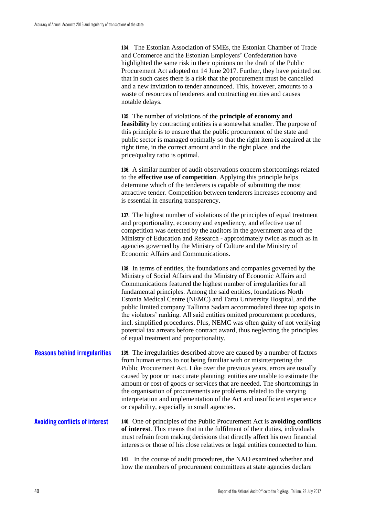**134.** The Estonian Association of SMEs, the Estonian Chamber of Trade and Commerce and the Estonian Employers' Confederation have highlighted the same risk in their opinions on the draft of the Public Procurement Act adopted on 14 June 2017. Further, they have pointed out that in such cases there is a risk that the procurement must be cancelled and a new invitation to tender announced. This, however, amounts to a waste of resources of tenderers and contracting entities and causes notable delays.

**135.** The number of violations of the **principle of economy and feasibility** by contracting entities is a somewhat smaller. The purpose of this principle is to ensure that the public procurement of the state and public sector is managed optimally so that the right item is acquired at the right time, in the correct amount and in the right place, and the price/quality ratio is optimal.

**136.** A similar number of audit observations concern shortcomings related to the **effective use of competition**. Applying this principle helps determine which of the tenderers is capable of submitting the most attractive tender. Competition between tenderers increases economy and is essential in ensuring transparency.

**137.** The highest number of violations of the principles of equal treatment and proportionality, economy and expediency, and effective use of competition was detected by the auditors in the government area of the Ministry of Education and Research - approximately twice as much as in agencies governed by the Ministry of Culture and the Ministry of Economic Affairs and Communications.

**138.** In terms of entities, the foundations and companies governed by the Ministry of Social Affairs and the Ministry of Economic Affairs and Communications featured the highest number of irregularities for all fundamental principles. Among the said entities, foundations North Estonia Medical Centre (NEMC) and Tartu University Hospital, and the public limited company Tallinna Sadam accommodated three top spots in the violators' ranking. All said entities omitted procurement procedures, incl. simplified procedures. Plus, NEMC was often guilty of not verifying potential tax arrears before contract award, thus neglecting the principles of equal treatment and proportionality.

**139.** The irregularities described above are caused by a number of factors from human errors to not being familiar with or misinterpreting the Public Procurement Act. Like over the previous years, errors are usually caused by poor or inaccurate planning: entities are unable to estimate the amount or cost of goods or services that are needed. The shortcomings in the organisation of procurements are problems related to the varying interpretation and implementation of the Act and insufficient experience or capability, especially in small agencies. **Reasons behind irregularities**

**140.** One of principles of the Public Procurement Act is **avoiding conflicts of interest**. This means that in the fulfilment of their duties, individuals must refrain from making decisions that directly affect his own financial interests or those of his close relatives or legal entities connected to him. **Avoiding conflicts of interest**

> **141.** In the course of audit procedures, the NAO examined whether and how the members of procurement committees at state agencies declare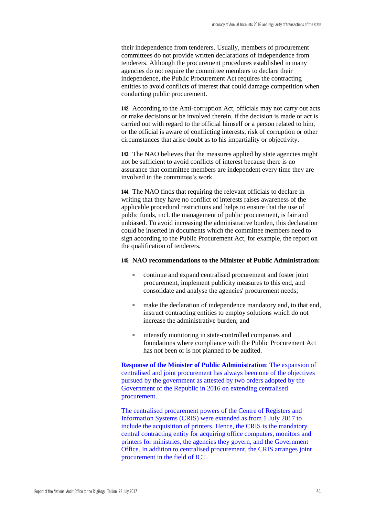their independence from tenderers. Usually, members of procurement committees do not provide written declarations of independence from tenderers. Although the procurement procedures established in many agencies do not require the committee members to declare their independence, the Public Procurement Act requires the contracting entities to avoid conflicts of interest that could damage competition when conducting public procurement.

**142.** According to the Anti-corruption Act, officials may not carry out acts or make decisions or be involved therein, if the decision is made or act is carried out with regard to the official himself or a person related to him, or the official is aware of conflicting interests, risk of corruption or other circumstances that arise doubt as to his impartiality or objectivity.

**143.** The NAO believes that the measures applied by state agencies might not be sufficient to avoid conflicts of interest because there is no assurance that committee members are independent every time they are involved in the committee's work.

**144.** The NAO finds that requiring the relevant officials to declare in writing that they have no conflict of interests raises awareness of the applicable procedural restrictions and helps to ensure that the use of public funds, incl. the management of public procurement, is fair and unbiased. To avoid increasing the administrative burden, this declaration could be inserted in documents which the committee members need to sign according to the Public Procurement Act, for example, the report on the qualification of tenderers.

#### **145. NAO recommendations to the Minister of Public Administration:**

- continue and expand centralised procurement and foster joint procurement, implement publicity measures to this end, and consolidate and analyse the agencies' procurement needs;
- make the declaration of independence mandatory and, to that end, instruct contracting entities to employ solutions which do not increase the administrative burden; and
- intensify monitoring in state-controlled companies and foundations where compliance with the Public Procurement Act has not been or is not planned to be audited.

**Response of the Minister of Public Administration**: The expansion of centralised and joint procurement has always been one of the objectives pursued by the government as attested by two orders adopted by the Government of the Republic in 2016 on extending centralised procurement.

The centralised procurement powers of the Centre of Registers and Information Systems (CRIS) were extended as from 1 July 2017 to include the acquisition of printers. Hence, the CRIS is the mandatory central contracting entity for acquiring office computers, monitors and printers for ministries, the agencies they govern, and the Government Office. In addition to centralised procurement, the CRIS arranges joint procurement in the field of ICT.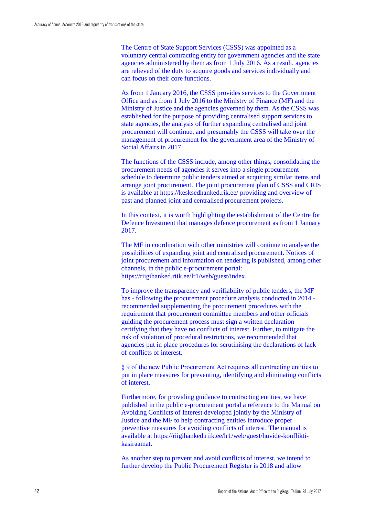The Centre of State Support Services (CSSS) was appointed as a voluntary central contracting entity for government agencies and the state agencies administered by them as from 1 July 2016. As a result, agencies are relieved of the duty to acquire goods and services individually and can focus on their core functions.

As from 1 January 2016, the CSSS provides services to the Government Office and as from 1 July 2016 to the Ministry of Finance (MF) and the Ministry of Justice and the agencies governed by them. As the CSSS was established for the purpose of providing centralised support services to state agencies, the analysis of further expanding centralised and joint procurement will continue, and presumably the CSSS will take over the management of procurement for the government area of the Ministry of Social Affairs in 2017.

The functions of the CSSS include, among other things, consolidating the procurement needs of agencies it serves into a single procurement schedule to determine public tenders aimed at acquiring similar items and arrange joint procurement. The joint procurement plan of CSSS and CRIS is available at https://kesksedhanked.rik.ee/ providing and overview of past and planned joint and centralised procurement projects.

In this context, it is worth highlighting the establishment of the Centre for Defence Investment that manages defence procurement as from 1 January 2017.

The MF in coordination with other ministries will continue to analyse the possibilities of expanding joint and centralised procurement. Notices of joint procurement and information on tendering is published, among other channels, in the public e-procurement portal: https://riigihanked.riik.ee/lr1/web/guest/index.

To improve the transparency and verifiability of public tenders, the MF has - following the procurement procedure analysis conducted in 2014 recommended supplementing the procurement procedures with the requirement that procurement committee members and other officials guiding the procurement process must sign a written declaration certifying that they have no conflicts of interest. Further, to mitigate the risk of violation of procedural restrictions, we recommended that agencies put in place procedures for scrutinising the declarations of lack of conflicts of interest.

§ 9 of the new Public Procurement Act requires all contracting entities to put in place measures for preventing, identifying and eliminating conflicts of interest.

Furthermore, for providing guidance to contracting entities, we have published in the public e-procurement portal a reference to the Manual on Avoiding Conflicts of Interest developed jointly by the Ministry of Justice and the MF to help contracting entities introduce proper preventive measures for avoiding conflicts of interest. The manual is available at https://riigihanked.riik.ee/lr1/web/guest/huvide-konfliktikasiraamat.

As another step to prevent and avoid conflicts of interest, we intend to further develop the Public Procurement Register is 2018 and allow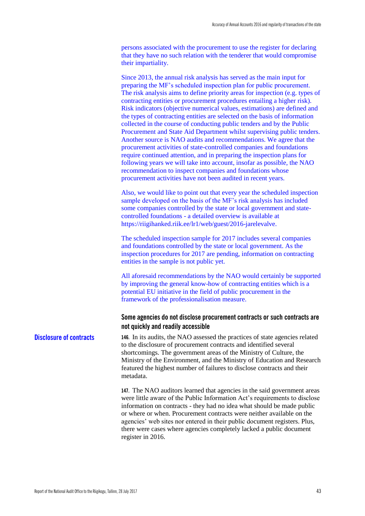persons associated with the procurement to use the register for declaring that they have no such relation with the tenderer that would compromise their impartiality.

Since 2013, the annual risk analysis has served as the main input for preparing the MF's scheduled inspection plan for public procurement. The risk analysis aims to define priority areas for inspection (e.g. types of contracting entities or procurement procedures entailing a higher risk). Risk indicators (objective numerical values, estimations) are defined and the types of contracting entities are selected on the basis of information collected in the course of conducting public tenders and by the Public Procurement and State Aid Department whilst supervising public tenders. Another source is NAO audits and recommendations. We agree that the procurement activities of state-controlled companies and foundations require continued attention, and in preparing the inspection plans for following years we will take into account, insofar as possible, the NAO recommendation to inspect companies and foundations whose procurement activities have not been audited in recent years.

Also, we would like to point out that every year the scheduled inspection sample developed on the basis of the MF's risk analysis has included some companies controlled by the state or local government and statecontrolled foundations - a detailed overview is available at https://riigihanked.riik.ee/lr1/web/guest/2016-jarelevalve.

The scheduled inspection sample for 2017 includes several companies and foundations controlled by the state or local government. As the inspection procedures for 2017 are pending, information on contracting entities in the sample is not public yet.

All aforesaid recommendations by the NAO would certainly be supported by improving the general know-how of contracting entities which is a potential EU initiative in the field of public procurement in the framework of the professionalisation measure.

### **Some agencies do not disclose procurement contracts or such contracts are not quickly and readily accessible**

**146.** In its audits, the NAO assessed the practices of state agencies related to the disclosure of procurement contracts and identified several shortcomings. The government areas of the Ministry of Culture, the Ministry of the Environment, and the Ministry of Education and Research featured the highest number of failures to disclose contracts and their metadata. **Disclosure of contracts**

> **147.** The NAO auditors learned that agencies in the said government areas were little aware of the Public Information Act's requirements to disclose information on contracts - they had no idea what should be made public or where or when. Procurement contracts were neither available on the agencies' web sites nor entered in their public document registers. Plus, there were cases where agencies completely lacked a public document register in 2016.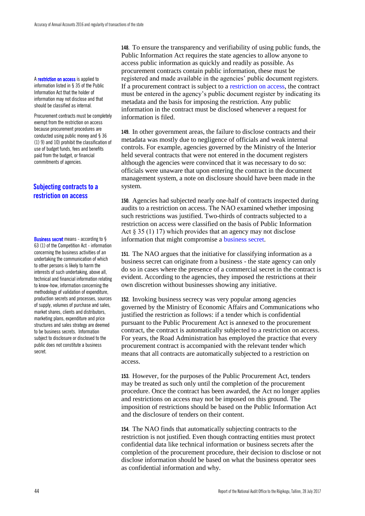A restriction on access is applied to information listed in § 35 of the Public Information Act that the holder of information may not disclose and that should be classified as internal.

Procurement contracts must be completely exempt from the restriction on access because procurement procedures are conducted using public money and § 36 (1) 9) and 10) prohibit the classification of use of budget funds, fees and benefits paid from the budget, or financial commitments of agencies.

### **Subjecting contracts to a restriction on access**

Business secret means - according to § 63 (1) of the Competition Act - information concerning the business activities of an undertaking the communication of which to other persons is likely to harm the interests of such undertaking, above all, technical and financial information relating to know-how, information concerning the methodology of validation of expenditure, production secrets and processes, sources of supply, volumes of purchase and sales, market shares, clients and distributors, marketing plans, expenditure and price structures and sales strategy are deemed to be business secrets. Information subject to disclosure or disclosed to the public does not constitute a business secret.

**148.** To ensure the transparency and verifiability of using public funds, the Public Information Act requires the state agencies to allow anyone to access public information as quickly and readily as possible. As procurement contracts contain public information, these must be registered and made available in the agencies' public document registers. If a procurement contract is subject to a restriction on access, the contract must be entered in the agency's public document register by indicating its metadata and the basis for imposing the restriction. Any public information in the contract must be disclosed whenever a request for information is filed.

**149.** In other government areas, the failure to disclose contracts and their metadata was mostly due to negligence of officials and weak internal controls. For example, agencies governed by the Ministry of the Interior held several contracts that were not entered in the document registers although the agencies were convinced that it was necessary to do so: officials were unaware that upon entering the contract in the document management system, a note on disclosure should have been made in the system.

**150.** Agencies had subjected nearly one-half of contracts inspected during audits to a restriction on access. The NAO examined whether imposing such restrictions was justified. Two-thirds of contracts subjected to a restriction on access were classified on the basis of Public Information Act  $\S 35(1)$  17) which provides that an agency may not disclose information that might compromise a business secret.

**151.** The NAO argues that the initiative for classifying information as a business secret can originate from a business - the state agency can only do so in cases where the presence of a commercial secret in the contract is evident. According to the agencies, they imposed the restrictions at their own discretion without businesses showing any initiative.

**152.** Invoking business secrecy was very popular among agencies governed by the Ministry of Economic Affairs and Communications who justified the restriction as follows: if a tender which is confidential pursuant to the Public Procurement Act is annexed to the procurement contract, the contract is automatically subjected to a restriction on access. For years, the Road Administration has employed the practice that every procurement contract is accompanied with the relevant tender which means that all contracts are automatically subjected to a restriction on access.

**153.** However, for the purposes of the Public Procurement Act, tenders may be treated as such only until the completion of the procurement procedure. Once the contract has been awarded, the Act no longer applies and restrictions on access may not be imposed on this ground. The imposition of restrictions should be based on the Public Information Act and the disclosure of tenders on their content.

**154.** The NAO finds that automatically subjecting contracts to the restriction is not justified. Even though contracting entities must protect confidential data like technical information or business secrets after the completion of the procurement procedure, their decision to disclose or not disclose information should be based on what the business operator sees as confidential information and why.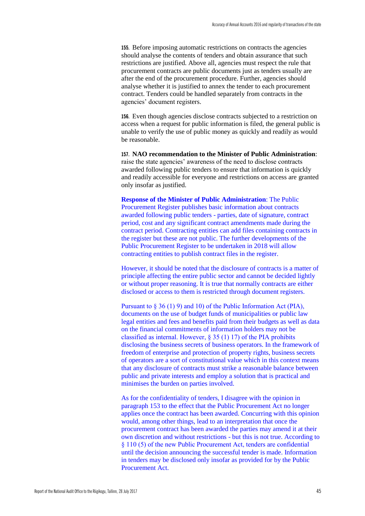**155.** Before imposing automatic restrictions on contracts the agencies should analyse the contents of tenders and obtain assurance that such restrictions are justified. Above all, agencies must respect the rule that procurement contracts are public documents just as tenders usually are after the end of the procurement procedure. Further, agencies should analyse whether it is justified to annex the tender to each procurement contract. Tenders could be handled separately from contracts in the agencies' document registers.

**156.** Even though agencies disclose contracts subjected to a restriction on access when a request for public information is filed, the general public is unable to verify the use of public money as quickly and readily as would be reasonable.

**157. NAO recommendation to the Minister of Public Administration**: raise the state agencies' awareness of the need to disclose contracts awarded following public tenders to ensure that information is quickly and readily accessible for everyone and restrictions on access are granted only insofar as justified.

**Response of the Minister of Public Administration**: The Public Procurement Register publishes basic information about contracts awarded following public tenders - parties, date of signature, contract period, cost and any significant contract amendments made during the contract period. Contracting entities can add files containing contracts in the register but these are not public. The further developments of the Public Procurement Register to be undertaken in 2018 will allow contracting entities to publish contract files in the register.

However, it should be noted that the disclosure of contracts is a matter of principle affecting the entire public sector and cannot be decided lightly or without proper reasoning. It is true that normally contracts are either disclosed or access to them is restricted through document registers.

Pursuant to § 36 (1) 9) and 10) of the Public Information Act (PIA), documents on the use of budget funds of municipalities or public law legal entities and fees and benefits paid from their budgets as well as data on the financial commitments of information holders may not be classified as internal. However,  $\S 35 (1) 17$  of the PIA prohibits disclosing the business secrets of business operators. In the framework of freedom of enterprise and protection of property rights, business secrets of operators are a sort of constitutional value which in this context means that any disclosure of contracts must strike a reasonable balance between public and private interests and employ a solution that is practical and minimises the burden on parties involved.

As for the confidentiality of tenders, I disagree with the opinion in paragraph 153 to the effect that the Public Procurement Act no longer applies once the contract has been awarded. Concurring with this opinion would, among other things, lead to an interpretation that once the procurement contract has been awarded the parties may amend it at their own discretion and without restrictions - but this is not true. According to § 110 (5) of the new Public Procurement Act, tenders are confidential until the decision announcing the successful tender is made. Information in tenders may be disclosed only insofar as provided for by the Public Procurement Act.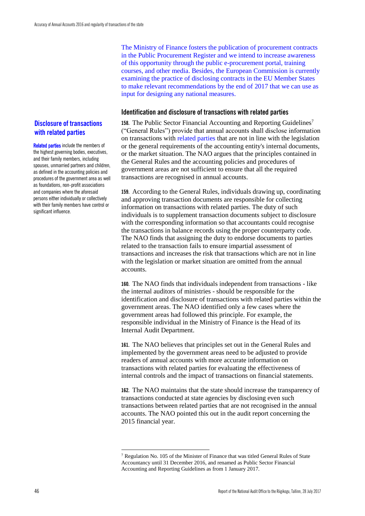### **Disclosure of transactions with related parties**

Related parties include the members of the highest governing bodies, executives, and their family members, including spouses, unmarried partners and children, as defined in the accounting policies and procedures of the government area as well as foundations, non-profit associations and companies where the aforesaid persons either individually or collectively with their family members have control or significant influence.

The Ministry of Finance fosters the publication of procurement contracts in the Public Procurement Register and we intend to increase awareness of this opportunity through the public e-procurement portal, training courses, and other media. Besides, the European Commission is currently examining the practice of disclosing contracts in the EU Member States to make relevant recommendations by the end of 2017 that we can use as input for designing any national measures.

### **Identification and disclosure of transactions with related parties**

**158.** The Public Sector Financial Accounting and Reporting Guidelines<sup>7</sup> ("General Rules") provide that annual accounts shall disclose information on transactions with related parties that are not in line with the legislation or the general requirements of the accounting entity's internal documents, or the market situation. The NAO argues that the principles contained in the General Rules and the accounting policies and procedures of government areas are not sufficient to ensure that all the required transactions are recognised in annual accounts.

**159.** According to the General Rules, individuals drawing up, coordinating and approving transaction documents are responsible for collecting information on transactions with related parties. The duty of such individuals is to supplement transaction documents subject to disclosure with the corresponding information so that accountants could recognise the transactions in balance records using the proper counterparty code. The NAO finds that assigning the duty to endorse documents to parties related to the transaction fails to ensure impartial assessment of transactions and increases the risk that transactions which are not in line with the legislation or market situation are omitted from the annual accounts.

**160.** The NAO finds that individuals independent from transactions - like the internal auditors of ministries - should be responsible for the identification and disclosure of transactions with related parties within the government areas. The NAO identified only a few cases where the government areas had followed this principle. For example, the responsible individual in the Ministry of Finance is the Head of its Internal Audit Department.

**161.** The NAO believes that principles set out in the General Rules and implemented by the government areas need to be adjusted to provide readers of annual accounts with more accurate information on transactions with related parties for evaluating the effectiveness of internal controls and the impact of transactions on financial statements.

**162.** The NAO maintains that the state should increase the transparency of transactions conducted at state agencies by disclosing even such transactions between related parties that are not recognised in the annual accounts. The NAO pointed this out in the audit report concerning the 2015 financial year.

<u>.</u>

<sup>7</sup> Regulation No. 105 of the Minister of Finance that was titled General Rules of State Accountancy until 31 December 2016, and renamed as Public Sector Financial Accounting and Reporting Guidelines as from 1 January 2017.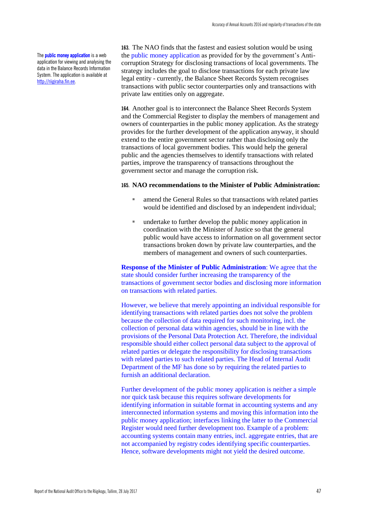The **public money application** is a web application for viewing and analysing the data in the Balance Records Information System. The application is available at [http://riigiraha.fin.ee.](http://riigiraha.fin.ee/)

**163.** The NAO finds that the fastest and easiest solution would be using the public money application as provided for by the government's Anticorruption Strategy for disclosing transactions of local governments. The strategy includes the goal to disclose transactions for each private law legal entity - currently, the Balance Sheet Records System recognises transactions with public sector counterparties only and transactions with private law entities only on aggregate.

**164.** Another goal is to interconnect the Balance Sheet Records System and the Commercial Register to display the members of management and owners of counterparties in the public money application. As the strategy provides for the further development of the application anyway, it should extend to the entire government sector rather than disclosing only the transactions of local government bodies. This would help the general public and the agencies themselves to identify transactions with related parties, improve the transparency of transactions throughout the government sector and manage the corruption risk.

#### **165. NAO recommendations to the Minister of Public Administration:**

- amend the General Rules so that transactions with related parties would be identified and disclosed by an independent individual;
- undertake to further develop the public money application in coordination with the Minister of Justice so that the general public would have access to information on all government sector transactions broken down by private law counterparties, and the members of management and owners of such counterparties.

**Response of the Minister of Public Administration**: We agree that the state should consider further increasing the transparency of the transactions of government sector bodies and disclosing more information on transactions with related parties.

However, we believe that merely appointing an individual responsible for identifying transactions with related parties does not solve the problem because the collection of data required for such monitoring, incl. the collection of personal data within agencies, should be in line with the provisions of the Personal Data Protection Act. Therefore, the individual responsible should either collect personal data subject to the approval of related parties or delegate the responsibility for disclosing transactions with related parties to such related parties. The Head of Internal Audit Department of the MF has done so by requiring the related parties to furnish an additional declaration.

Further development of the public money application is neither a simple nor quick task because this requires software developments for identifying information in suitable format in accounting systems and any interconnected information systems and moving this information into the public money application; interfaces linking the latter to the Commercial Register would need further development too. Example of a problem: accounting systems contain many entries, incl. aggregate entries, that are not accompanied by registry codes identifying specific counterparties. Hence, software developments might not yield the desired outcome.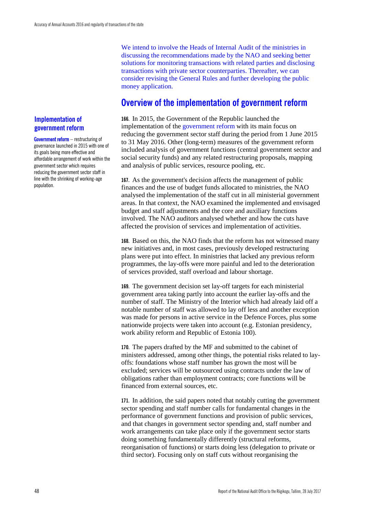We intend to involve the Heads of Internal Audit of the ministries in discussing the recommendations made by the NAO and seeking better solutions for monitoring transactions with related parties and disclosing transactions with private sector counterparties. Thereafter, we can consider revising the General Rules and further developing the public money application.

### **Overview of the implementation of government reform**

**166.** In 2015, the Government of the Republic launched the implementation of the government reform with its main focus on reducing the government sector staff during the period from 1 June 2015 to 31 May 2016. Other (long-term) measures of the government reform included analysis of government functions (central government sector and social security funds) and any related restructuring proposals, mapping and analysis of public services, resource pooling, etc.

**167.** As the government's decision affects the management of public finances and the use of budget funds allocated to ministries, the NAO analysed the implementation of the staff cut in all ministerial government areas. In that context, the NAO examined the implemented and envisaged budget and staff adjustments and the core and auxiliary functions involved. The NAO auditors analysed whether and how the cuts have affected the provision of services and implementation of activities.

**168.** Based on this, the NAO finds that the reform has not witnessed many new initiatives and, in most cases, previously developed restructuring plans were put into effect. In ministries that lacked any previous reform programmes, the lay-offs were more painful and led to the deterioration of services provided, staff overload and labour shortage.

**169.** The government decision set lay-off targets for each ministerial government area taking partly into account the earlier lay-offs and the number of staff. The Ministry of the Interior which had already laid off a notable number of staff was allowed to lay off less and another exception was made for persons in active service in the Defence Forces, plus some nationwide projects were taken into account (e.g. Estonian presidency, work ability reform and Republic of Estonia 100).

**170.** The papers drafted by the MF and submitted to the cabinet of ministers addressed, among other things, the potential risks related to layoffs: foundations whose staff number has grown the most will be excluded; services will be outsourced using contracts under the law of obligations rather than employment contracts; core functions will be financed from external sources, etc.

**171.** In addition, the said papers noted that notably cutting the government sector spending and staff number calls for fundamental changes in the performance of government functions and provision of public services, and that changes in government sector spending and, staff number and work arrangements can take place only if the government sector starts doing something fundamentally differently (structural reforms, reorganisation of functions) or starts doing less (delegation to private or third sector). Focusing only on staff cuts without reorganising the

### **Implementation of government reform**

Government reform - restructuring of governance launched in 2015 with one of its goals being more effective and affordable arrangement of work within the government sector which requires reducing the government sector staff in line with the shrinking of working-age population.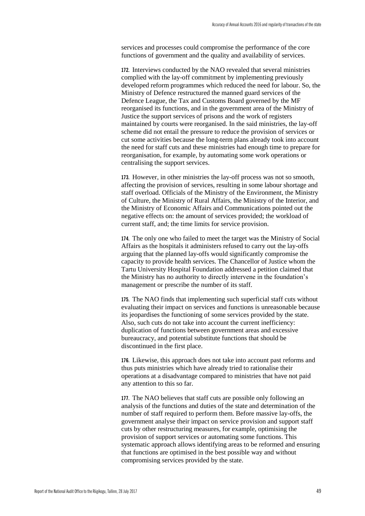services and processes could compromise the performance of the core functions of government and the quality and availability of services.

**172.** Interviews conducted by the NAO revealed that several ministries complied with the lay-off commitment by implementing previously developed reform programmes which reduced the need for labour. So, the Ministry of Defence restructured the manned guard services of the Defence League, the Tax and Customs Board governed by the MF reorganised its functions, and in the government area of the Ministry of Justice the support services of prisons and the work of registers maintained by courts were reorganised. In the said ministries, the lay-off scheme did not entail the pressure to reduce the provision of services or cut some activities because the long-term plans already took into account the need for staff cuts and these ministries had enough time to prepare for reorganisation, for example, by automating some work operations or centralising the support services.

**173.** However, in other ministries the lay-off process was not so smooth, affecting the provision of services, resulting in some labour shortage and staff overload. Officials of the Ministry of the Environment, the Ministry of Culture, the Ministry of Rural Affairs, the Ministry of the Interior, and the Ministry of Economic Affairs and Communications pointed out the negative effects on: the amount of services provided; the workload of current staff, and; the time limits for service provision.

**174.** The only one who failed to meet the target was the Ministry of Social Affairs as the hospitals it administers refused to carry out the lay-offs arguing that the planned lay-offs would significantly compromise the capacity to provide health services. The Chancellor of Justice whom the Tartu University Hospital Foundation addressed a petition claimed that the Ministry has no authority to directly intervene in the foundation's management or prescribe the number of its staff.

**175.** The NAO finds that implementing such superficial staff cuts without evaluating their impact on services and functions is unreasonable because its jeopardises the functioning of some services provided by the state. Also, such cuts do not take into account the current inefficiency: duplication of functions between government areas and excessive bureaucracy, and potential substitute functions that should be discontinued in the first place.

**176.** Likewise, this approach does not take into account past reforms and thus puts ministries which have already tried to rationalise their operations at a disadvantage compared to ministries that have not paid any attention to this so far.

**177.** The NAO believes that staff cuts are possible only following an analysis of the functions and duties of the state and determination of the number of staff required to perform them. Before massive lay-offs, the government analyse their impact on service provision and support staff cuts by other restructuring measures, for example, optimising the provision of support services or automating some functions. This systematic approach allows identifying areas to be reformed and ensuring that functions are optimised in the best possible way and without compromising services provided by the state.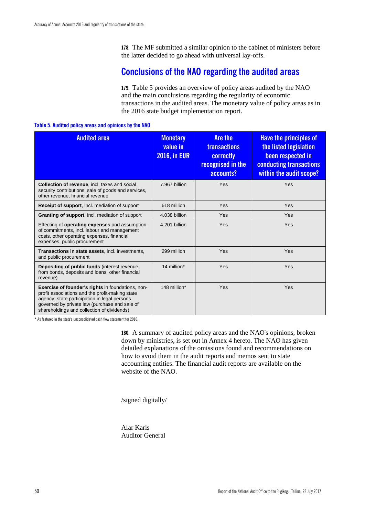**178.** The MF submitted a similar opinion to the cabinet of ministers before the latter decided to go ahead with universal lay-offs.

### **Conclusions of the NAO regarding the audited areas**

**179.** Table 5 provides an overview of policy areas audited by the NAO and the main conclusions regarding the regularity of economic transactions in the audited areas. The monetary value of policy areas as in the 2016 state budget implementation report.

#### **Table 5. Audited policy areas and opinions by the NAO**

| <b>Audited area</b>                                                                                                                                                                                                                                        | <b>Monetary</b><br>value in<br><b>2016, in EUR</b> | <b>Are the</b><br><b>transactions</b><br>correctly<br>recognised in the<br>accounts? | <b>Have the principles of</b><br>the listed legislation<br>been respected in<br><b>conducting transactions</b><br>within the audit scope? |
|------------------------------------------------------------------------------------------------------------------------------------------------------------------------------------------------------------------------------------------------------------|----------------------------------------------------|--------------------------------------------------------------------------------------|-------------------------------------------------------------------------------------------------------------------------------------------|
| <b>Collection of revenue, incl. taxes and social</b><br>security contributions, sale of goods and services,<br>other revenue, financial revenue                                                                                                            | 7.967 billion                                      | Yes                                                                                  | Yes                                                                                                                                       |
| Receipt of support, incl. mediation of support                                                                                                                                                                                                             | 618 million                                        | Yes                                                                                  | Yes                                                                                                                                       |
| Granting of support, incl. mediation of support                                                                                                                                                                                                            | 4.038 billion                                      | Yes                                                                                  | Yes                                                                                                                                       |
| Effecting of operating expenses and assumption<br>of commitments, incl. labour and management<br>costs, other operating expenses, financial<br>expenses, public procurement                                                                                | 4.201 billion                                      | Yes                                                                                  | Yes                                                                                                                                       |
| Transactions in state assets, incl. investments,<br>and public procurement                                                                                                                                                                                 | 299 million                                        | Yes                                                                                  | Yes                                                                                                                                       |
| <b>Depositing of public funds (interest revenue)</b><br>from bonds, deposits and loans, other financial<br>revenue)                                                                                                                                        | 14 million*                                        | Yes                                                                                  | Yes                                                                                                                                       |
| <b>Exercise of founder's rights in foundations, non-</b><br>profit associations and the profit-making state<br>agency; state participation in legal persons<br>governed by private law (purchase and sale of<br>shareholdings and collection of dividends) | 148 million*                                       | Yes                                                                                  | Yes                                                                                                                                       |

\* As featured in the state's unconsolidated cash flow statement for 2016.

**180.** A summary of audited policy areas and the NAO's opinions, broken down by ministries, is set out in Annex 4 hereto. The NAO has given detailed explanations of the omissions found and recommendations on how to avoid them in the audit reports and memos sent to state accounting entities. The financial audit reports are available on the website of the NAO.

/signed digitally/

Alar Karis Auditor General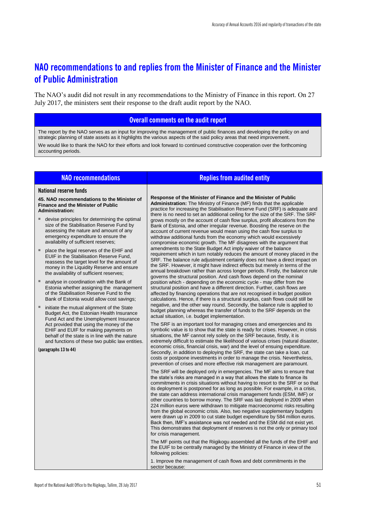### **NAO recommendations to and replies from the Minister of Finance and the Minister of Public Administration**

The NAO's audit did not result in any recommendations to the Ministry of Finance in this report. On 27 July 2017, the ministers sent their response to the draft audit report by the NAO.

### **Overall comments on the audit report**

The report by the NAO serves as an input for improving the management of public finances and developing the policy on and strategic planning of state assets as it highlights the various aspects of the said policy areas that need improvement. We would like to thank the NAO for their efforts and look forward to continued constructive cooperation over the forthcoming accounting periods.

| <b>NAO recommendations</b>                                                                                                                                                                                                  | <b>Replies from audited entity</b>                                                                                                                                                                                                                                                                                                                                                                                                                                                                                                                                                                                                                                                                                                                                                                                                                                                                                     |
|-----------------------------------------------------------------------------------------------------------------------------------------------------------------------------------------------------------------------------|------------------------------------------------------------------------------------------------------------------------------------------------------------------------------------------------------------------------------------------------------------------------------------------------------------------------------------------------------------------------------------------------------------------------------------------------------------------------------------------------------------------------------------------------------------------------------------------------------------------------------------------------------------------------------------------------------------------------------------------------------------------------------------------------------------------------------------------------------------------------------------------------------------------------|
| <b>National reserve funds</b>                                                                                                                                                                                               |                                                                                                                                                                                                                                                                                                                                                                                                                                                                                                                                                                                                                                                                                                                                                                                                                                                                                                                        |
| 45. NAO recommendations to the Minister of<br><b>Finance and the Minister of Public</b><br><b>Administration:</b>                                                                                                           | Response of the Minister of Finance and the Minister of Public<br><b>Administration:</b> The Ministry of Finance (MF) finds that the applicable<br>practice for increasing the Stabilisation Reserve Fund (SRF) is adequate and<br>there is no need to set an additional ceiling for the size of the SRF. The SRF                                                                                                                                                                                                                                                                                                                                                                                                                                                                                                                                                                                                      |
| devise principles for determining the optimal<br>size of the Stabilisation Reserve Fund by<br>assessing the nature and amount of any<br>emergency expenditure to ensure the<br>availability of sufficient reserves;         | grows mostly on the account of cash flow surplus, profit allocations from the<br>Bank of Estonia, and other irregular revenue. Boosting the reserve on the<br>account of current revenue would mean using the cash flow surplus to<br>withdraw additional funds from the economy which would excessively<br>compromise economic growth. The MF disagrees with the argument that                                                                                                                                                                                                                                                                                                                                                                                                                                                                                                                                        |
| place the legal reserves of the EHIF and<br>EUIF in the Stabilisation Reserve Fund.<br>reassess the target level for the amount of<br>money in the Liquidity Reserve and ensure<br>the availability of sufficient reserves; | amendments to the State Budget Act imply waiver of the balance<br>requirement which in turn notably reduces the amount of money placed in the<br>SRF. The balance rule adjustment certainly does not have a direct impact on<br>the SRF. However, it might have indirect effects but merely in terms of the<br>annual breakdown rather than across longer periods. Firstly, the balance rule<br>governs the structural position. And cash flows depend on the nominal                                                                                                                                                                                                                                                                                                                                                                                                                                                  |
| analyse in coordination with the Bank of<br>Estonia whether assigning the management<br>of the Stabilisation Reserve Fund to the<br>Bank of Estonia would allow cost savings;                                               | position which - depending on the economic cycle - may differ from the<br>structural position and have a different direction. Further, cash flows are<br>affected by financing operations that are not recognised in budget position<br>calculations. Hence, if there is a structural surplus, cash flows could still be                                                                                                                                                                                                                                                                                                                                                                                                                                                                                                                                                                                               |
| initiate the mutual alignment of the State<br>Budget Act, the Estonian Health Insurance<br>Fund Act and the Unemployment Insurance                                                                                          | negative, and the other way round. Secondly, the balance rule is applied to<br>budget planning whereas the transfer of funds to the SRF depends on the<br>actual situation, i.e. budget implementation.                                                                                                                                                                                                                                                                                                                                                                                                                                                                                                                                                                                                                                                                                                                |
| Act provided that using the money of the<br>EHIF and EUIF for making payments on<br>behalf of the state is in line with the nature<br>and functions of these two public law entities.                                       | The SRF is an important tool for managing crises and emergencies and its<br>symbolic value is to show that the state is ready for crises. However, in crisis<br>situations, the MF cannot rely solely on the SRF because, firstly, it is<br>extremely difficult to estimate the likelihood of various crises (natural disaster,                                                                                                                                                                                                                                                                                                                                                                                                                                                                                                                                                                                        |
| (paragraphs 13 to 44)                                                                                                                                                                                                       | economic crisis, financial crisis, war) and the level of ensuing expenditure.<br>Secondly, in addition to deploying the SRF, the state can take a loan, cut<br>costs or postpone investments in order to manage the crisis. Nevertheless,<br>prevention of crises and more effective risk management are paramount.                                                                                                                                                                                                                                                                                                                                                                                                                                                                                                                                                                                                    |
|                                                                                                                                                                                                                             | The SRF will be deployed only in emergencies. The MF aims to ensure that<br>the state's risks are managed in a way that allows the state to finance its<br>commitments in crisis situations without having to resort to the SRF or so that<br>its deployment is postponed for as long as possible. For example, in a crisis,<br>the state can address international crisis management funds (ESM, IMF) or<br>other countries to borrow money. The SRF was last deployed in 2009 when<br>224 million euros were withdrawn to mitigate macroeconomic risks resulting<br>from the global economic crisis. Also, two negative supplementary budgets<br>were drawn up in 2009 to cut state budget expenditure by 584 million euros.<br>Back then, IMF's assistance was not needed and the ESM did not exist yet.<br>This demonstrates that deployment of reserves is not the only or primary tool<br>for crisis management. |
|                                                                                                                                                                                                                             | The MF points out that the Riigikogu assembled all the funds of the EHIF and<br>the EUIF to be centrally managed by the Ministry of Finance in view of the<br>following policies:                                                                                                                                                                                                                                                                                                                                                                                                                                                                                                                                                                                                                                                                                                                                      |
|                                                                                                                                                                                                                             | 1. Improve the management of cash flows and debt commitments in the                                                                                                                                                                                                                                                                                                                                                                                                                                                                                                                                                                                                                                                                                                                                                                                                                                                    |

sector because: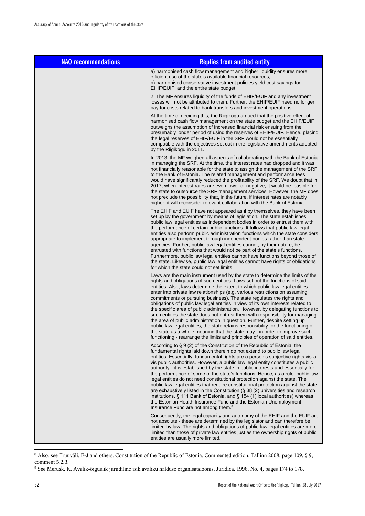| <b>NAO recommendations</b> | <b>Replies from audited entity</b>                                                                                                                                                                                                                                                                                                                                                                                                                                                                                                                                                                                                                                                                                                                                                                                                                                                                                                                                                                  |
|----------------------------|-----------------------------------------------------------------------------------------------------------------------------------------------------------------------------------------------------------------------------------------------------------------------------------------------------------------------------------------------------------------------------------------------------------------------------------------------------------------------------------------------------------------------------------------------------------------------------------------------------------------------------------------------------------------------------------------------------------------------------------------------------------------------------------------------------------------------------------------------------------------------------------------------------------------------------------------------------------------------------------------------------|
|                            | a) harmonised cash flow management and higher liquidity ensures more<br>efficient use of the state's available financial resources;<br>b) harmonised conservative investment policies yield cost savings for<br>EHIF/EUIF, and the entire state budget.                                                                                                                                                                                                                                                                                                                                                                                                                                                                                                                                                                                                                                                                                                                                             |
|                            | 2. The MF ensures liquidity of the funds of EHIF/EUIF and any investment<br>losses will not be attributed to them. Further, the EHIF/EUIF need no longer<br>pay for costs related to bank transfers and investment operations.                                                                                                                                                                                                                                                                                                                                                                                                                                                                                                                                                                                                                                                                                                                                                                      |
|                            | At the time of deciding this, the Riigikogu argued that the positive effect of<br>harmonised cash flow management on the state budget and the EHIF/EUIF<br>outweighs the assumption of increased financial risk ensuing from the<br>presumably longer period of using the reserves of EHIF/EUIF. Hence, placing<br>the legal reserves of EHIF/EUIF in the SRF would not be essentially<br>compatible with the objectives set out in the legislative amendments adopted<br>by the Riigikogu in 2011.                                                                                                                                                                                                                                                                                                                                                                                                                                                                                                 |
|                            | In 2013, the MF weighed all aspects of collaborating with the Bank of Estonia<br>in managing the SRF. At the time, the interest rates had dropped and it was<br>not financially reasonable for the state to assign the management of the SRF<br>to the Bank of Estonia. The related management and performance fees<br>would have significantly reduced the profitability of the SRF. We doubt that in<br>2017, when interest rates are even lower or negative, it would be feasible for<br>the state to outsource the SRF management services. However, the MF does<br>not preclude the possibility that, in the future, if interest rates are notably<br>higher, it will reconsider relevant collaboration with the Bank of Estonia.                                                                                                                                                                                                                                                              |
|                            | The EHIF and EUIF have not appeared as if by themselves, they have been<br>set up by the government by means of legislation. The state establishes<br>public law legal entities as independent bodies in order to entrust them with<br>the performance of certain public functions. It follows that public law legal<br>entities also perform public administration functions which the state considers<br>appropriate to implement through independent bodies rather than state<br>agencies. Further, public law legal entities cannot, by their nature, be<br>entrusted with functions that would not be part of the state's functions.<br>Furthermore, public law legal entities cannot have functions beyond those of<br>the state. Likewise, public law legal entities cannot have rights or obligations<br>for which the state could not set limits.                                                                                                                                          |
|                            | Laws are the main instrument used by the state to determine the limits of the<br>rights and obligations of such entities. Laws set out the functions of said<br>entities. Also, laws determine the extent to which public law legal entities<br>enter into private law relationships (e.g. various restrictions on assuming<br>commitments or pursuing business). The state regulates the rights and<br>obligations of public law legal entities in view of its own interests related to<br>the specific area of public administration. However, by delegating functions to<br>such entities the state does not entrust them with responsibility for managing<br>the area of public administration in question. Further, despite setting up<br>public law legal entities, the state retains responsibility for the functioning of<br>the state as a whole meaning that the state may - in order to improve such<br>functioning - rearrange the limits and principles of operation of said entities. |
|                            | According to § 9 (2) of the Constitution of the Republic of Estonia, the<br>fundamental rights laid down therein do not extend to public law legal<br>entities. Essentially, fundamental rights are a person's subjective rights vis-a-<br>vis public authorities. However, a public law legal entity constitutes a public<br>authority - it is established by the state in public interests and essentially for<br>the performance of some of the state's functions. Hence, as a rule, public law<br>legal entities do not need constitutional protection against the state. The<br>public law legal entities that require constitutional protection against the state<br>are exhaustively listed in the Constitution (§ 38 (2) universities and research<br>institutions, $\S$ 111 Bank of Estonia, and $\S$ 154 (1) local authorities) whereas<br>the Estonian Health Insurance Fund and the Estonian Unemployment<br>Insurance Fund are not among them. <sup>8</sup>                            |
|                            | Consequently, the legal capacity and autonomy of the EHIF and the EUIF are<br>not absolute - these are determined by the legislator and can therefore be<br>limited by law. The rights and obligations of public law legal entities are more<br>limited than those of private law entities just as the ownership rights of public<br>entities are usually more limited. <sup>9</sup>                                                                                                                                                                                                                                                                                                                                                                                                                                                                                                                                                                                                                |

<sup>8</sup> Also, see Truuväli, E-J and others. Constitution of the Republic of Estonia. Commented edition. Tallinn 2008, page 109, § 9, comment 5.2.3.

 $\overline{a}$ 

<sup>9</sup> See Merusk, K. Avalik-õiguslik juriidiline isik avaliku halduse organisatsioonis. Juridica, 1996, No. 4, pages 174 to 178.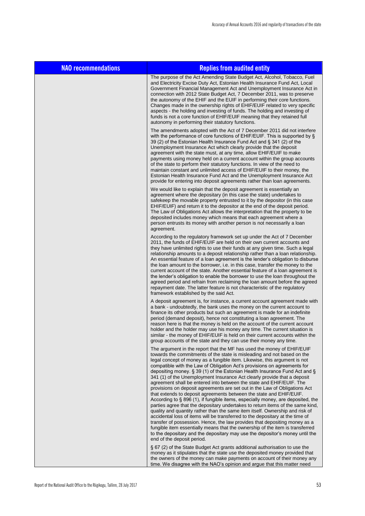| <b>NAO recommendations</b> | <b>Replies from audited entity</b>                                                                                                                                                                                                                                                                                                                                                                                                                                                                                                                                                                                                                                                                                                                                                                                                                                                                                                                                                                                                                                                                                                                                                                                                                                                                                   |
|----------------------------|----------------------------------------------------------------------------------------------------------------------------------------------------------------------------------------------------------------------------------------------------------------------------------------------------------------------------------------------------------------------------------------------------------------------------------------------------------------------------------------------------------------------------------------------------------------------------------------------------------------------------------------------------------------------------------------------------------------------------------------------------------------------------------------------------------------------------------------------------------------------------------------------------------------------------------------------------------------------------------------------------------------------------------------------------------------------------------------------------------------------------------------------------------------------------------------------------------------------------------------------------------------------------------------------------------------------|
|                            | The purpose of the Act Amending State Budget Act, Alcohol, Tobacco, Fuel<br>and Electricity Excise Duty Act, Estonian Health Insurance Fund Act, Local<br>Government Financial Management Act and Unemployment Insurance Act in<br>connection with 2012 State Budget Act, 7 December 2011, was to preserve<br>the autonomy of the EHIF and the EUIF in performing their core functions.<br>Changes made in the ownership rights of EHIF/EUIF related to very specific<br>aspects - the holding and investing of funds. The holding and investing of<br>funds is not a core function of EHIF/EUIF meaning that they retained full<br>autonomy in performing their statutory functions.                                                                                                                                                                                                                                                                                                                                                                                                                                                                                                                                                                                                                                |
|                            | The amendments adopted with the Act of 7 December 2011 did not interfere<br>with the performance of core functions of EHIF/EUIF. This is supported by §<br>39 (2) of the Estonian Health Insurance Fund Act and § 341 (2) of the<br>Unemployment Insurance Act which clearly provide that the deposit<br>agreement with the state must, at any time, allow EHIF/EUIF to make<br>payments using money held on a current account within the group accounts<br>of the state to perform their statutory functions. In view of the need to<br>maintain constant and unlimited access of EHIF/EUIF to their money, the<br>Estonian Health Insurance Fund Act and the Unemployment Insurance Act<br>provide for entering into deposit agreements rather than loan agreements.                                                                                                                                                                                                                                                                                                                                                                                                                                                                                                                                               |
|                            | We would like to explain that the deposit agreement is essentially an<br>agreement where the depositary (in this case the state) undertakes to<br>safekeep the movable property entrusted to it by the depositor (in this case<br>EHIF/EUIF) and return it to the depositor at the end of the deposit period.<br>The Law of Obligations Act allows the interpretation that the property to be<br>deposited includes money which means that each agreement where a<br>person entrusts its money with another person is not necessarily a loan<br>agreement.                                                                                                                                                                                                                                                                                                                                                                                                                                                                                                                                                                                                                                                                                                                                                           |
|                            | According to the regulatory framework set up under the Act of 7 December<br>2011, the funds of EHIF/EUIF are held on their own current accounts and<br>they have unlimited rights to use their funds at any given time. Such a legal<br>relationship amounts to a deposit relationship rather than a loan relationship.<br>An essential feature of a loan agreement is the lender's obligation to disburse<br>the loan amount to the borrower, i.e. in this case, transfer the money to the<br>current account of the state. Another essential feature of a loan agreement is<br>the lender's obligation to enable the borrower to use the loan throughout the<br>agreed period and refrain from reclaiming the loan amount before the agreed<br>repayment date. The latter feature is not characteristic of the regulatory<br>framework established by the said Act.                                                                                                                                                                                                                                                                                                                                                                                                                                                |
|                            | A deposit agreement is, for instance, a current account agreement made with<br>a bank - undoubtedly, the bank uses the money on the current account to<br>finance its other products but such an agreement is made for an indefinite<br>period (demand deposit), hence not constituting a loan agreement. The<br>reason here is that the money is held on the account of the current account<br>holder and the holder may use his money any time. The current situation is<br>similar - the money of EHIF/EUIF is held on their current accounts within the<br>group accounts of the state and they can use their money any time.                                                                                                                                                                                                                                                                                                                                                                                                                                                                                                                                                                                                                                                                                    |
|                            | The argument in the report that the MF has used the money of EHIF/EUIF<br>towards the commitments of the state is misleading and not based on the<br>legal concept of money as a fungible item. Likewise, this argument is not<br>compatible with the Law of Obligation Act's provisions on agreements for<br>depositing money. § 39 (1) of the Estonian Health Insurance Fund Act and §<br>341 (1) of the Unemployment Insurance Act clearly provide that a deposit<br>agreement shall be entered into between the state and EHIF/EUIF. The<br>provisions on deposit agreements are set out in the Law of Obligations Act<br>that extends to deposit agreements between the state and EHIF/EUIF.<br>According to § 896 (1), if fungible items, especially money, are deposited, the<br>parties agree that the depositary undertakes to return items of the same kind,<br>quality and quantity rather than the same item itself. Ownership and risk of<br>accidental loss of items will be transferred to the depositary at the time of<br>transfer of possession. Hence, the law provides that depositing money as a<br>fungible item essentially means that the ownership of the item is transferred<br>to the depositary and the depositary may use the depositor's money until the<br>end of the deposit period. |
|                            | § 67 (2) of the State Budget Act grants additional authorisation to use the<br>money as it stipulates that the state use the deposited money provided that<br>the owners of the money can make payments on account of their money any<br>time. We disagree with the NAO's opinion and argue that this matter need                                                                                                                                                                                                                                                                                                                                                                                                                                                                                                                                                                                                                                                                                                                                                                                                                                                                                                                                                                                                    |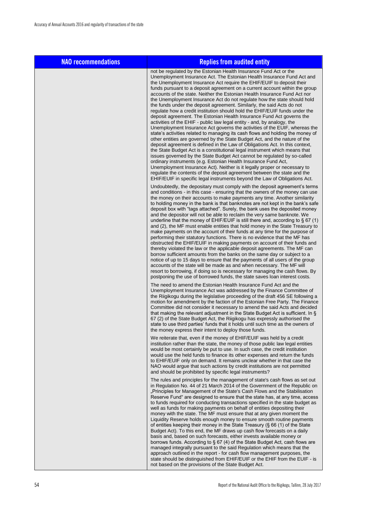| <b>NAO recommendations</b> | <b>Replies from audited entity</b>                                                                                                                                                                                                                                                                                                                                                                                                                                                                                                                                                                                                                                                                                                                                                                                                                                                                                                                                                                                                                                                                                                                                                                                                                                                                                                                                                                                                                                                                                                                                         |
|----------------------------|----------------------------------------------------------------------------------------------------------------------------------------------------------------------------------------------------------------------------------------------------------------------------------------------------------------------------------------------------------------------------------------------------------------------------------------------------------------------------------------------------------------------------------------------------------------------------------------------------------------------------------------------------------------------------------------------------------------------------------------------------------------------------------------------------------------------------------------------------------------------------------------------------------------------------------------------------------------------------------------------------------------------------------------------------------------------------------------------------------------------------------------------------------------------------------------------------------------------------------------------------------------------------------------------------------------------------------------------------------------------------------------------------------------------------------------------------------------------------------------------------------------------------------------------------------------------------|
|                            | not be regulated by the Estonian Health Insurance Fund Act or the<br>Unemployment Insurance Act. The Estonian Health Insurance Fund Act and<br>the Unemployment Insurance Act require the EHIF/EUIF to deposit their<br>funds pursuant to a deposit agreement on a current account within the group<br>accounts of the state. Neither the Estonian Health Insurance Fund Act nor<br>the Unemployment Insurance Act do not regulate how the state should hold<br>the funds under the deposit agreement. Similarly, the said Acts do not<br>regulate how a credit institution should hold the EHIF/EUIF funds under the<br>deposit agreement. The Estonian Health Insurance Fund Act governs the<br>activities of the EHIF - public law legal entity - and, by analogy, the<br>Unemployment Insurance Act governs the activities of the EUIF, whereas the<br>state's activities related to managing its cash flows and holding the money of<br>other entities are governed by the State Budget Act, and the nature of the<br>deposit agreement is defined in the Law of Obligations Act. In this context,<br>the State Budget Act is a constitutional legal instrument which means that<br>issues governed by the State Budget Act cannot be regulated by so-called<br>ordinary instruments (e.g. Estonian Health Insurance Fund Act,<br>Unemployment Insurance Act). Neither is it legally proper or necessary to<br>regulate the contents of the deposit agreement between the state and the<br>EHIF/EUIF in specific legal instruments beyond the Law of Obligations Act. |
|                            | Undoubtedly, the depositary must comply with the deposit agreement's terms<br>and conditions - in this case - ensuring that the owners of the money can use<br>the money on their accounts to make payments any time. Another similarity<br>to holding money in the bank is that banknotes are not kept in the bank's safe<br>deposit box with "tags attached". Surely, the bank uses the deposited money<br>and the depositor will not be able to reclaim the very same banknote. We<br>underline that the money of EHIF/EUIF is still there and, according to $\S$ 67 (1)<br>and (2), the MF must enable entities that hold money in the State Treasury to<br>make payments on the account of their funds at any time for the purpose of<br>performing their statutory functions. There is no evidence that the MF has<br>obstructed the EHIF/EUIF in making payments on account of their funds and<br>thereby violated the law or the applicable deposit agreements. The MF can<br>borrow sufficient amounts from the banks on the same day or subject to a<br>notice of up to 15 days to ensure that the payments of all users of the group<br>accounts of the state will be made as and when necessary. The MF will<br>resort to borrowing, if doing so is necessary for managing the cash flows. By<br>postponing the use of borrowed funds, the state saves loan interest costs.                                                                                                                                                                                    |
|                            | The need to amend the Estonian Health Insurance Fund Act and the<br>Unemployment Insurance Act was addressed by the Finance Committee of<br>the Riigikogu during the legislative proceeding of the draft 456 SE following a<br>motion for amendment by the faction of the Estonian Free Party. The Finance<br>Committee did not consider it necessary to amend the said Acts and decided<br>that making the relevant adjustment in the State Budget Act is sufficient. In §<br>67 (2) of the State Budget Act, the Riigikogu has expressly authorised the<br>state to use third parties' funds that it holds until such time as the owners of<br>the money express their intent to deploy those funds.                                                                                                                                                                                                                                                                                                                                                                                                                                                                                                                                                                                                                                                                                                                                                                                                                                                                     |
|                            | We reiterate that, even if the money of EHIF/EUIF was held by a credit<br>institution rather than the state, the money of those public law legal entities<br>would be most certainly be put to use. In such case, the credit institution<br>would use the held funds to finance its other expenses and return the funds<br>to EHIF/EUIF only on demand. It remains unclear whether in that case the<br>NAO would argue that such actions by credit institutions are not permitted<br>and should be prohibited by specific legal instruments?                                                                                                                                                                                                                                                                                                                                                                                                                                                                                                                                                                                                                                                                                                                                                                                                                                                                                                                                                                                                                               |
|                            | The rules and principles for the management of state's cash flows as set out<br>in Regulation No. 44 of 21 March 2014 of the Government of the Republic on<br>"Principles for Management of the State's Cash Flows and the Stabilisation<br>Reserve Fund" are designed to ensure that the state has, at any time, access<br>to funds required for conducting transactions specified in the state budget as<br>well as funds for making payments on behalf of entities depositing their<br>money with the state. The MF must ensure that at any given moment the<br>Liquidity Reserve holds enough money to ensure smooth routine payments<br>of entities keeping their money in the State Treasury (§ 66 (1) of the State<br>Budget Act). To this end, the MF draws up cash flow forecasts on a daily<br>basis and, based on such forecasts, either invests available money or<br>borrows funds. According to $\S$ 67 (4) of the State Budget Act, cash flows are<br>managed integrally pursuant to the said Regulation which means that the<br>approach outlined in the report - for cash flow management purposes, the<br>state should be distinguished from EHIF/EUIF or the EHIF from the EUIF - is<br>not based on the provisions of the State Budget Act.                                                                                                                                                                                                                                                                                                            |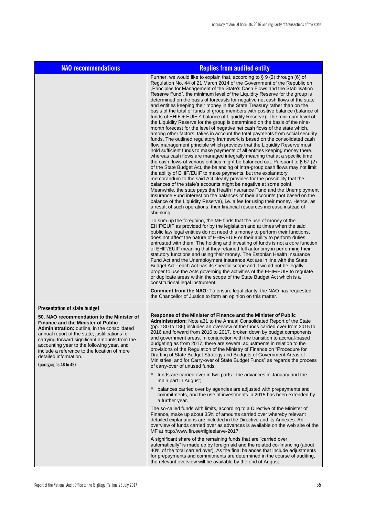| <b>NAO recommendations</b>                                                                                                                                                                                                                                                                                                                                                                                                      | <b>Replies from audited entity</b>                                                                                                                                                                                                                                                                                                                                                                                                                                                                                                                                                                                                                                                                                                                                                                                                                                                                                                                                                                                                                                                                                                                                                                                                                                                                                                                                                                                                                                                                                                                                                                                                                                                                                                                                                                                                                                                                                                                              |
|---------------------------------------------------------------------------------------------------------------------------------------------------------------------------------------------------------------------------------------------------------------------------------------------------------------------------------------------------------------------------------------------------------------------------------|-----------------------------------------------------------------------------------------------------------------------------------------------------------------------------------------------------------------------------------------------------------------------------------------------------------------------------------------------------------------------------------------------------------------------------------------------------------------------------------------------------------------------------------------------------------------------------------------------------------------------------------------------------------------------------------------------------------------------------------------------------------------------------------------------------------------------------------------------------------------------------------------------------------------------------------------------------------------------------------------------------------------------------------------------------------------------------------------------------------------------------------------------------------------------------------------------------------------------------------------------------------------------------------------------------------------------------------------------------------------------------------------------------------------------------------------------------------------------------------------------------------------------------------------------------------------------------------------------------------------------------------------------------------------------------------------------------------------------------------------------------------------------------------------------------------------------------------------------------------------------------------------------------------------------------------------------------------------|
|                                                                                                                                                                                                                                                                                                                                                                                                                                 | Further, we would like to explain that, according to $\S$ 9 (2) through (6) of<br>Regulation No. 44 of 21 March 2014 of the Government of the Republic on<br>"Principles for Management of the State's Cash Flows and the Stabilisation<br>Reserve Fund", the minimum level of the Liquidity Reserve for the group is<br>determined on the basis of forecasts for negative net cash flows of the state<br>and entities keeping their money in the State Treasury rather than on the<br>basis of the total of funds of group members with positive balance (balance of<br>funds of $EHIF + EUIF \leq balance$ of Liquidity Reserve). The minimum level of<br>the Liquidity Reserve for the group is determined on the basis of the nine-<br>month forecast for the level of negative net cash flows of the state which,<br>among other factors, takes in account the total payments from social security<br>funds. The outlined regulatory framework is based on the consolidated cash<br>flow management principle which provides that the Liquidity Reserve must<br>hold sufficient funds to make payments of all entities keeping money there,<br>whereas cash flows are managed integrally meaning that at a specific time<br>the cash flows of various entities might be balanced out. Pursuant to $\S 67(2)$<br>of the State Budget Act, the balancing of intra-group cash flows may not limit<br>the ability of EHIF/EUIF to make payments, but the explanatory<br>memorandum to the said Act clearly provides for the possibility that the<br>balances of the state's accounts might be negative at some point.<br>Meanwhile, the state pays the Health Insurance Fund and the Unemployment<br>Insurance Fund interest on the balances of their accounts (not based on the<br>balance of the Liquidity Reserve), i.e. a fee for using their money. Hence, as<br>a result of such operations, their financial resources increase instead of<br>shrinking. |
|                                                                                                                                                                                                                                                                                                                                                                                                                                 | To sum up the foregoing, the MF finds that the use of money of the<br>EHIF/EUIF as provided for by the legislation and at times when the said<br>public law legal entities do not need this money to perform their functions,<br>does not affect the nature of EHIF/EUIF or their ability to perform duties<br>entrusted with them. The holding and investing of funds is not a core function<br>of EHIF/EUIF meaning that they retained full autonomy in performing their<br>statutory functions and using their money. The Estonian Health Insurance<br>Fund Act and the Unemployment Insurance Act are in line with the State<br>Budget Act - each Act has its specific scope and it would not be legally<br>proper to use the Acts governing the activities of the EHIF/EUIF to regulate<br>or duplicate areas within the scope of the State Budget Act which is a<br>constitutional legal instrument.<br><b>Comment from the NAO:</b> To ensure legal clarity, the NAO has requested                                                                                                                                                                                                                                                                                                                                                                                                                                                                                                                                                                                                                                                                                                                                                                                                                                                                                                                                                                       |
|                                                                                                                                                                                                                                                                                                                                                                                                                                 | the Chancellor of Justice to form an opinion on this matter.                                                                                                                                                                                                                                                                                                                                                                                                                                                                                                                                                                                                                                                                                                                                                                                                                                                                                                                                                                                                                                                                                                                                                                                                                                                                                                                                                                                                                                                                                                                                                                                                                                                                                                                                                                                                                                                                                                    |
| <b>Presentation of state budget</b><br>50. NAO recommendation to the Minister of<br><b>Finance and the Minister of Public</b><br>Administration: outline, in the consolidated<br>annual report of the state, justifications for<br>carrying forward significant amounts from the<br>accounting year to the following year, and<br>include a reference to the location of more<br>detailed information.<br>(paragraphs 46 to 49) | Response of the Minister of Finance and the Minister of Public<br>Administration: Note a31 to the Annual Consolidated Report of the State<br>(pp. 180 to 186) includes an overview of the funds carried over from 2015 to<br>2016 and forward from 2016 to 2017, broken down by budget components<br>and government areas. In conjunction with the transition to accrual-based<br>budgeting as from 2017, there are several adjustments in relation to the<br>provisions of the Regulation of the Ministry of Finance on "Procedure for<br>Drafting of State Budget Strategy and Budgets of Government Areas of<br>Ministries, and for Carry-over of State Budget Funds" as regards the process<br>of carry-over of unused funds:                                                                                                                                                                                                                                                                                                                                                                                                                                                                                                                                                                                                                                                                                                                                                                                                                                                                                                                                                                                                                                                                                                                                                                                                                               |
|                                                                                                                                                                                                                                                                                                                                                                                                                                 | funds are carried over in two parts - the advances in January and the<br>main part in August;                                                                                                                                                                                                                                                                                                                                                                                                                                                                                                                                                                                                                                                                                                                                                                                                                                                                                                                                                                                                                                                                                                                                                                                                                                                                                                                                                                                                                                                                                                                                                                                                                                                                                                                                                                                                                                                                   |
|                                                                                                                                                                                                                                                                                                                                                                                                                                 | balances carried over by agencies are adjusted with prepayments and<br>ш<br>commitments, and the use of investments in 2015 has been extended by<br>a further year.                                                                                                                                                                                                                                                                                                                                                                                                                                                                                                                                                                                                                                                                                                                                                                                                                                                                                                                                                                                                                                                                                                                                                                                                                                                                                                                                                                                                                                                                                                                                                                                                                                                                                                                                                                                             |
|                                                                                                                                                                                                                                                                                                                                                                                                                                 | The so-called funds with limits, according to a Directive of the Minister of<br>Finance, make up about 35% of amounts carried over whereby relevant<br>detailed explanations are included in the Directive and its Annexes. An<br>overview of funds carried over as advances is available on the web site of the<br>MF at http://www.fin.ee/riigieelarve-2017.                                                                                                                                                                                                                                                                                                                                                                                                                                                                                                                                                                                                                                                                                                                                                                                                                                                                                                                                                                                                                                                                                                                                                                                                                                                                                                                                                                                                                                                                                                                                                                                                  |
|                                                                                                                                                                                                                                                                                                                                                                                                                                 | A significant share of the remaining funds that are "carried over<br>automatically" is made up by foreign aid and the related co-financing (about<br>40% of the total carried over). As the final balances that include adjustments<br>for prepayments and commitments are determined in the course of auditing,<br>the relevant overview will be available by the end of August.                                                                                                                                                                                                                                                                                                                                                                                                                                                                                                                                                                                                                                                                                                                                                                                                                                                                                                                                                                                                                                                                                                                                                                                                                                                                                                                                                                                                                                                                                                                                                                               |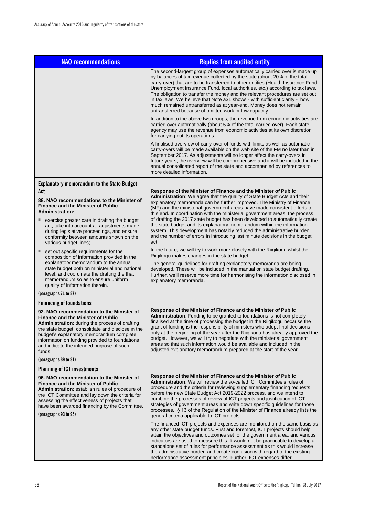| <b>NAO recommendations</b>                                                                                                                                                                                                                                                                                                                                                  | <b>Replies from audited entity</b>                                                                                                                                                                                                                                                                                                                                                                                                                                                                                                                                                                                                                                                                           |
|-----------------------------------------------------------------------------------------------------------------------------------------------------------------------------------------------------------------------------------------------------------------------------------------------------------------------------------------------------------------------------|--------------------------------------------------------------------------------------------------------------------------------------------------------------------------------------------------------------------------------------------------------------------------------------------------------------------------------------------------------------------------------------------------------------------------------------------------------------------------------------------------------------------------------------------------------------------------------------------------------------------------------------------------------------------------------------------------------------|
|                                                                                                                                                                                                                                                                                                                                                                             | The second-largest group of expenses automatically carried over is made up<br>by balances of tax revenue collected by the state (about 20% of the total<br>carry-over) that are to be transferred to other entities (Health Insurance Fund,<br>Unemployment Insurance Fund, local authorities, etc.) according to tax laws.<br>The obligation to transfer the money and the relevant procedures are set out<br>in tax laws. We believe that Note a31 shows - with sufficient clarity - how<br>much remained untransferred as at year-end. Money does not remain<br>untransferred because of omitted work or low capacity.                                                                                    |
|                                                                                                                                                                                                                                                                                                                                                                             | In addition to the above two groups, the revenue from economic activities are<br>carried over automatically (about 5% of the total carried over). Each state<br>agency may use the revenue from economic activities at its own discretion<br>for carrying out its operations.                                                                                                                                                                                                                                                                                                                                                                                                                                |
|                                                                                                                                                                                                                                                                                                                                                                             | A finalised overview of carry-over of funds with limits as well as automatic<br>carry-overs will be made available on the web site of the FM no later than in<br>September 2017. As adjustments will no longer affect the carry-overs in<br>future years, the overview will be comprehensive and it will be included in the<br>annual consolidated report of the state and accompanied by references to<br>more detailed information.                                                                                                                                                                                                                                                                        |
| <b>Explanatory memorandum to the State Budget</b>                                                                                                                                                                                                                                                                                                                           |                                                                                                                                                                                                                                                                                                                                                                                                                                                                                                                                                                                                                                                                                                              |
| Act<br>88. NAO recommendations to the Minister of<br><b>Finance and the Minister of Public</b><br><b>Administration:</b><br>exercise greater care in drafting the budget<br>ш<br>act, take into account all adjustments made<br>during legislative proceedings, and ensure<br>conformity between amounts shown on the<br>various budget lines;                              | Response of the Minister of Finance and the Minister of Public<br>Administration: We agree that the quality of State Budget Acts and their<br>explanatory memoranda can be further improved. The Ministry of Finance<br>(MF) and the ministerial government areas have made consistent efforts to<br>this end. In coordination with the ministerial government areas, the process<br>of drafting the 2017 state budget has been developed to automatically create<br>the state budget and its explanatory memorandum within the information<br>system. This development has notably reduced the administrative burden<br>and the number of errors in introducing last minute decisions in the budget<br>act. |
| ٠<br>set out specific requirements for the<br>composition of information provided in the<br>explanatory memorandum to the annual<br>state budget both on ministerial and national<br>level, and coordinate the drafting the that<br>memorandum so as to ensure uniform<br>quality of information therein.                                                                   | In the future, we will try to work more closely with the Riigikogu whilst the<br>Riigikogu makes changes in the state budget.<br>The general guidelines for drafting explanatory memoranda are being<br>developed. These will be included in the manual on state budget drafting.<br>Further, we'll reserve more time for harmonising the information disclosed in<br>explanatory memoranda.                                                                                                                                                                                                                                                                                                                 |
| (paragraphs 71 to 87)<br><b>Financing of foundations</b>                                                                                                                                                                                                                                                                                                                    |                                                                                                                                                                                                                                                                                                                                                                                                                                                                                                                                                                                                                                                                                                              |
| 92. NAO recommendation to the Minister of<br><b>Finance and the Minister of Public</b><br>Administration: during the process of drafting<br>the state budget, consolidate and disclose in the<br>budget's explanatory memorandum complete<br>information on funding provided to foundations<br>and indicate the intended purpose of such<br>funds.<br>(paragraphs 89 to 91) | Response of the Minister of Finance and the Minister of Public<br><b>Administration:</b> Funding to be granted to foundations is not completely<br>finalised at the time of processing the budget in the Riigikogu because the<br>grant of funding is the responsibility of ministers who adopt final decisions<br>only at the beginning of the year after the Riigikogu has already approved the<br>budget. However, we will try to negotiate with the ministerial government<br>areas so that such information would be available and included in the<br>adjusted explanatory memorandum prepared at the start of the year.                                                                                |
| <b>Planning of ICT investments</b>                                                                                                                                                                                                                                                                                                                                          |                                                                                                                                                                                                                                                                                                                                                                                                                                                                                                                                                                                                                                                                                                              |
| 96. NAO recommendation to the Minister of<br><b>Finance and the Minister of Public</b><br>Administration: establish rules of procedure of<br>the ICT Committee and lay down the criteria for<br>assessing the effectiveness of projects that<br>have been awarded financing by the Committee.<br>(paragraphs 93 to 95)                                                      | Response of the Minister of Finance and the Minister of Public<br><b>Administration:</b> We will review the so-called ICT Committee's rules of<br>procedure and the criteria for reviewing supplementary financing requests<br>before the new State Budget Act 2019-2022 process, and we intend to<br>combine the processes of review of ICT projects and justification of ICT<br>strategies of government areas and write down specific guidelines for those<br>processes. § 13 of the Regulation of the Minister of Finance already lists the<br>general criteria applicable to ICT projects.                                                                                                              |
|                                                                                                                                                                                                                                                                                                                                                                             | The financed ICT projects and expenses are monitored on the same basis as<br>any other state budget funds. First and foremost, ICT projects should help<br>attain the objectives and outcomes set for the government area, and various<br>indicators are used to measure this. It would not be practicable to develop a<br>standalone set of rules for performance assessment as this would increase<br>the administrative burden and create confusion with regard to the existing<br>performance assessment principles. Further, ICT expenses differ                                                                                                                                                        |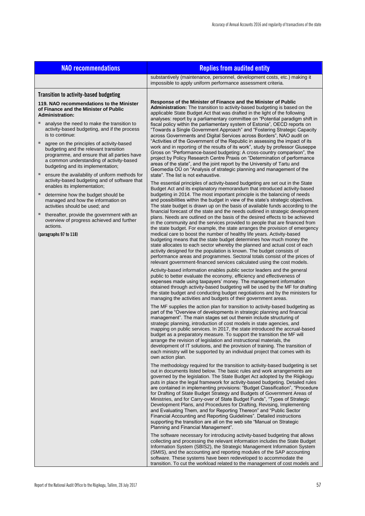| <b>NAO recommendations</b>                                                                                                                                                                                                                                                                                                                                                                                                                                                                                                                                                                                                                                                                                                     | <b>Replies from audited entity</b>                                                                                                                                                                                                                                                                                                                                                                                                                                                                                                                                                                                                                                                                                                                                                                                                                                                                                                                                                                                                                                                                                                                                                                                                                                                                                                                                                                                                                                                                                                                                                                                                                                                                                                                                                                                                                                                                                                                                                                                                                                                                                                                                                                                                                                                                                                                                                                                                                                                                                                                                                   |  |  |  |  |
|--------------------------------------------------------------------------------------------------------------------------------------------------------------------------------------------------------------------------------------------------------------------------------------------------------------------------------------------------------------------------------------------------------------------------------------------------------------------------------------------------------------------------------------------------------------------------------------------------------------------------------------------------------------------------------------------------------------------------------|--------------------------------------------------------------------------------------------------------------------------------------------------------------------------------------------------------------------------------------------------------------------------------------------------------------------------------------------------------------------------------------------------------------------------------------------------------------------------------------------------------------------------------------------------------------------------------------------------------------------------------------------------------------------------------------------------------------------------------------------------------------------------------------------------------------------------------------------------------------------------------------------------------------------------------------------------------------------------------------------------------------------------------------------------------------------------------------------------------------------------------------------------------------------------------------------------------------------------------------------------------------------------------------------------------------------------------------------------------------------------------------------------------------------------------------------------------------------------------------------------------------------------------------------------------------------------------------------------------------------------------------------------------------------------------------------------------------------------------------------------------------------------------------------------------------------------------------------------------------------------------------------------------------------------------------------------------------------------------------------------------------------------------------------------------------------------------------------------------------------------------------------------------------------------------------------------------------------------------------------------------------------------------------------------------------------------------------------------------------------------------------------------------------------------------------------------------------------------------------------------------------------------------------------------------------------------------------|--|--|--|--|
|                                                                                                                                                                                                                                                                                                                                                                                                                                                                                                                                                                                                                                                                                                                                | substantively (maintenance, personnel, development costs, etc.) making it<br>impossible to apply uniform performance assessment criteria.                                                                                                                                                                                                                                                                                                                                                                                                                                                                                                                                                                                                                                                                                                                                                                                                                                                                                                                                                                                                                                                                                                                                                                                                                                                                                                                                                                                                                                                                                                                                                                                                                                                                                                                                                                                                                                                                                                                                                                                                                                                                                                                                                                                                                                                                                                                                                                                                                                            |  |  |  |  |
| <b>Transition to activity-based budgeting</b><br>119. NAO recommendations to the Minister<br>of Finance and the Minister of Public<br><b>Administration:</b>                                                                                                                                                                                                                                                                                                                                                                                                                                                                                                                                                                   | Response of the Minister of Finance and the Minister of Public<br>Administration: The transition to activity-based budgeting is based on the<br>applicable State Budget Act that was drafted in the light of the following                                                                                                                                                                                                                                                                                                                                                                                                                                                                                                                                                                                                                                                                                                                                                                                                                                                                                                                                                                                                                                                                                                                                                                                                                                                                                                                                                                                                                                                                                                                                                                                                                                                                                                                                                                                                                                                                                                                                                                                                                                                                                                                                                                                                                                                                                                                                                           |  |  |  |  |
| analyse the need to make the transition to<br>activity-based budgeting, and if the process<br>is to continue:<br>ш<br>agree on the principles of activity-based<br>budgeting and the relevant transition<br>programme, and ensure that all parties have<br>a common understanding of activity-based<br>budgeting and its implementation;<br>ensure the availability of uniform methods for<br>activity-based budgeting and of software that<br>enables its implementation;<br>ш<br>determine how the budget should be<br>managed and how the information on<br>activities should be used; and<br>thereafter, provide the government with an<br>overview of progress achieved and further<br>actions.<br>(paragraphs 97 to 118) | analyses: report by a parliamentary committee on "Potential paradigm shift in<br>fiscal policy within the parliamentary system of Estonia", OECD reports on<br>"Towards a Single Government Approach" and "Fostering Strategic Capacity<br>across Governments and Digital Services across Borders", NAO audit on<br>"Activities of the Government of the Republic in assessing the impact of its<br>work and in reporting of the results of its work", study by professor Giuseppe<br>Gross on "Performance-based budgeting: A cross-country comparison", the<br>project by Policy Research Centre Praxis on "Determination of performance<br>areas of the state", and the joint report by the University of Tartu and<br>Geomedia OÜ on "Analysis of strategic planning and management of the<br>state". The list is not exhaustive.<br>The essential principles of activity-based budgeting are set out in the State<br>Budget Act and its explanatory memorandum that introduced activity-based<br>budgeting in 2014. The most important principle is the balancing of needs<br>and possibilities within the budget in view of the state's strategic objectives.<br>The state budget is drawn up on the basis of available funds according to the<br>financial forecast of the state and the needs outlined in strategic development<br>plans. Needs are outlined on the basis of the desired effects to be achieved<br>in the community and the services provided to people that are financed from<br>the state budget. For example, the state arranges the provision of emergency<br>medical care to boost the number of healthy life years. Activity-based<br>budgeting means that the state budget determines how much money the<br>state allocates to each sector whereby the planned and actual cost of each<br>activity designed for the population is known. The budget consists of<br>performance areas and programmes. Sectoral totals consist of the prices of                                                                                                                                                                                                                                                                                                                                                                                                                                                                                                                                                                                                         |  |  |  |  |
|                                                                                                                                                                                                                                                                                                                                                                                                                                                                                                                                                                                                                                                                                                                                | relevant government-financed services calculated using the cost models.<br>Activity-based information enables public sector leaders and the general<br>public to better evaluate the economy, efficiency and effectiveness of<br>expenses made using taxpayers' money. The management information<br>obtained through activity-based budgeting will be used by the MF for drafting<br>the state budget and conducting budget negotiations and by the ministers for<br>managing the activities and budgets of their government areas.<br>The MF supplies the action plan for transition to activity-based budgeting as<br>part of the "Overview of developments in strategic planning and financial<br>management". The main stages set out therein include structuring of<br>strategic planning, introduction of cost models in state agencies, and<br>mapping on public services. In 2017, the state introduced the accrual-based<br>budget as a preparatory measure. To support the transition the MF will<br>arrange the revision of legislation and instructional materials, the<br>development of IT solutions, and the provision of training. The transition of<br>each ministry will be supported by an individual project that comes with its<br>own action plan.<br>The methodology required for the transition to activity-based budgeting is set<br>out in documents listed below. The basic rules and work arrangements are<br>governed by the legislation. The State Budget Act adopted by the Riigikogu<br>puts in place the legal framework for activity-based budgeting. Detailed rules<br>are contained in implementing provisions: "Budget Classification", "Procedure<br>for Drafting of State Budget Strategy and Budgets of Government Areas of<br>Ministries, and for Carry-over of State Budget Funds", "Types of Strategic<br>Development Plans, and Procedures for Drafting, Revising, Implementing<br>and Evaluating Them, and for Reporting Thereon" and "Public Sector<br>Financial Accounting and Reporting Guidelines". Detailed instructions<br>supporting the transition are all on the web site "Manual on Strategic<br>Planning and Financial Management".<br>The software necessary for introducing activity-based budgeting that allows<br>collecting and processing the relevant information includes the State Budget<br>Information System (SBIS2), the Strategic Management Information System<br>(SMIS), and the accounting and reporting modules of the SAP accounting<br>software. These systems have been redeveloped to accommodate the |  |  |  |  |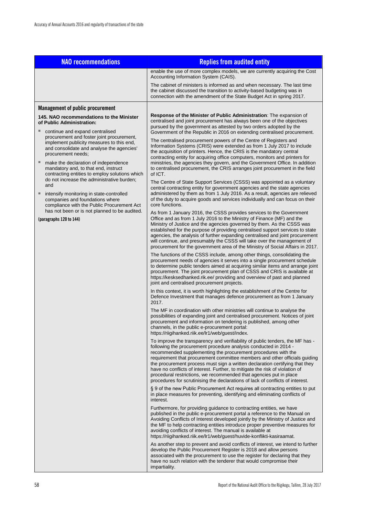| <b>NAO recommendations</b>                                                                                                                                                                   | <b>Replies from audited entity</b>                                                                                                                                                                                                                                                                                                                                                                                                                                                                                                                                                                                       |  |  |  |  |
|----------------------------------------------------------------------------------------------------------------------------------------------------------------------------------------------|--------------------------------------------------------------------------------------------------------------------------------------------------------------------------------------------------------------------------------------------------------------------------------------------------------------------------------------------------------------------------------------------------------------------------------------------------------------------------------------------------------------------------------------------------------------------------------------------------------------------------|--|--|--|--|
|                                                                                                                                                                                              | enable the use of more complex models, we are currently acquiring the Cost<br>Accounting Information System (CAIS).                                                                                                                                                                                                                                                                                                                                                                                                                                                                                                      |  |  |  |  |
|                                                                                                                                                                                              | The cabinet of ministers is informed as and when necessary. The last time<br>the cabinet discussed the transition to activity-based budgeting was in<br>connection with the amendment of the State Budget Act in spring 2017.                                                                                                                                                                                                                                                                                                                                                                                            |  |  |  |  |
| <b>Management of public procurement</b>                                                                                                                                                      |                                                                                                                                                                                                                                                                                                                                                                                                                                                                                                                                                                                                                          |  |  |  |  |
| 145. NAO recommendations to the Minister<br>of Public Administration:                                                                                                                        | <b>Response of the Minister of Public Administration:</b> The expansion of<br>centralised and joint procurement has always been one of the objectives<br>pursued by the government as attested by two orders adopted by the                                                                                                                                                                                                                                                                                                                                                                                              |  |  |  |  |
| continue and expand centralised<br>procurement and foster joint procurement,<br>implement publicity measures to this end,<br>and consolidate and analyse the agencies'<br>procurement needs; | Government of the Republic in 2016 on extending centralised procurement.<br>The centralised procurement powers of the Centre of Registers and<br>Information Systems (CRIS) were extended as from 1 July 2017 to include<br>the acquisition of printers. Hence, the CRIS is the mandatory central<br>contracting entity for acquiring office computers, monitors and printers for                                                                                                                                                                                                                                        |  |  |  |  |
| ٠<br>make the declaration of independence<br>mandatory and, to that end, instruct<br>contracting entities to employ solutions which                                                          | ministries, the agencies they govern, and the Government Office. In addition<br>to centralised procurement, the CRIS arranges joint procurement in the field<br>of ICT.                                                                                                                                                                                                                                                                                                                                                                                                                                                  |  |  |  |  |
| do not increase the administrative burden;<br>and<br>٠<br>intensify monitoring in state-controlled<br>companies and foundations where<br>compliance with the Public Procurement Act          | The Centre of State Support Services (CSSS) was appointed as a voluntary<br>central contracting entity for government agencies and the state agencies<br>administered by them as from 1 July 2016. As a result, agencies are relieved<br>of the duty to acquire goods and services individually and can focus on their<br>core functions.                                                                                                                                                                                                                                                                                |  |  |  |  |
| has not been or is not planned to be audited.<br>(paragraphs 120 to 144)                                                                                                                     | As from 1 January 2016, the CSSS provides services to the Government<br>Office and as from 1 July 2016 to the Ministry of Finance (MF) and the<br>Ministry of Justice and the agencies governed by them. As the CSSS was<br>established for the purpose of providing centralised support services to state<br>agencies, the analysis of further expanding centralised and joint procurement<br>will continue, and presumably the CSSS will take over the management of<br>procurement for the government area of the Ministry of Social Affairs in 2017.                                                                 |  |  |  |  |
|                                                                                                                                                                                              | The functions of the CSSS include, among other things, consolidating the<br>procurement needs of agencies it serves into a single procurement schedule<br>to determine public tenders aimed at acquiring similar items and arrange joint<br>procurement. The joint procurement plan of CSSS and CRIS is available at<br>https://kesksedhanked.rik.ee/ providing and overview of past and planned<br>joint and centralised procurement projects.                                                                                                                                                                          |  |  |  |  |
|                                                                                                                                                                                              | In this context, it is worth highlighting the establishment of the Centre for<br>Defence Investment that manages defence procurement as from 1 January<br>2017.                                                                                                                                                                                                                                                                                                                                                                                                                                                          |  |  |  |  |
|                                                                                                                                                                                              | The MF in coordination with other ministries will continue to analyse the<br>possibilities of expanding joint and centralised procurement. Notices of joint<br>procurement and information on tendering is published, among other<br>channels, in the public e-procurement portal:<br>https://riigihanked.riik.ee/lr1/web/quest/index.                                                                                                                                                                                                                                                                                   |  |  |  |  |
|                                                                                                                                                                                              | To improve the transparency and verifiability of public tenders, the MF has -<br>following the procurement procedure analysis conducted in 2014 -<br>recommended supplementing the procurement procedures with the<br>requirement that procurement committee members and other officials quiding<br>the procurement process must sign a written declaration certifying that they<br>have no conflicts of interest. Further, to mitigate the risk of violation of<br>procedural restrictions, we recommended that agencies put in place<br>procedures for scrutinising the declarations of lack of conflicts of interest. |  |  |  |  |
|                                                                                                                                                                                              | § 9 of the new Public Procurement Act requires all contracting entities to put<br>in place measures for preventing, identifying and eliminating conflicts of<br>interest.                                                                                                                                                                                                                                                                                                                                                                                                                                                |  |  |  |  |
|                                                                                                                                                                                              | Furthermore, for providing guidance to contracting entities, we have<br>published in the public e-procurement portal a reference to the Manual on<br>Avoiding Conflicts of Interest developed jointly by the Ministry of Justice and<br>the MF to help contracting entities introduce proper preventive measures for<br>avoiding conflicts of interest. The manual is available at<br>https://riigihanked.riik.ee/lr1/web/guest/huvide-konflikti-kasiraamat.                                                                                                                                                             |  |  |  |  |
|                                                                                                                                                                                              | As another step to prevent and avoid conflicts of interest, we intend to further<br>develop the Public Procurement Register is 2018 and allow persons<br>associated with the procurement to use the register for declaring that they<br>have no such relation with the tenderer that would compromise their<br><i>impartiality.</i>                                                                                                                                                                                                                                                                                      |  |  |  |  |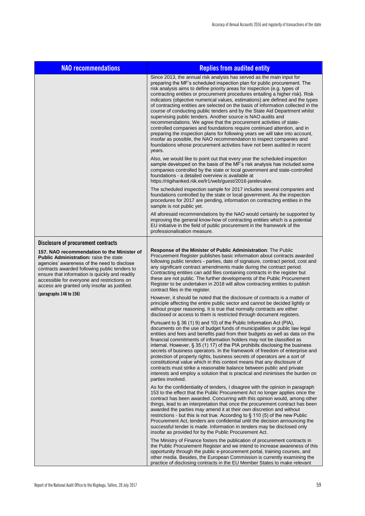| <b>NAO recommendations</b>                                                                                                                                                                                                                                                                                                                    | <b>Replies from audited entity</b>                                                                                                                                                                                                                                                                                                                                                                                                                                                                                                                                                                                                                                                                                                                                                                                                                                                                                                                                                                                                     |  |  |  |
|-----------------------------------------------------------------------------------------------------------------------------------------------------------------------------------------------------------------------------------------------------------------------------------------------------------------------------------------------|----------------------------------------------------------------------------------------------------------------------------------------------------------------------------------------------------------------------------------------------------------------------------------------------------------------------------------------------------------------------------------------------------------------------------------------------------------------------------------------------------------------------------------------------------------------------------------------------------------------------------------------------------------------------------------------------------------------------------------------------------------------------------------------------------------------------------------------------------------------------------------------------------------------------------------------------------------------------------------------------------------------------------------------|--|--|--|
|                                                                                                                                                                                                                                                                                                                                               | Since 2013, the annual risk analysis has served as the main input for<br>preparing the MF's scheduled inspection plan for public procurement. The<br>risk analysis aims to define priority areas for inspection (e.g. types of<br>contracting entities or procurement procedures entailing a higher risk). Risk<br>indicators (objective numerical values, estimations) are defined and the types<br>of contracting entities are selected on the basis of information collected in the<br>course of conducting public tenders and by the State Aid Department whilst<br>supervising public tenders. Another source is NAO audits and<br>recommendations. We agree that the procurement activities of state-<br>controlled companies and foundations require continued attention, and in<br>preparing the inspection plans for following years we will take into account,<br>insofar as possible, the NAO recommendation to inspect companies and<br>foundations whose procurement activities have not been audited in recent<br>years. |  |  |  |
|                                                                                                                                                                                                                                                                                                                                               | Also, we would like to point out that every year the scheduled inspection<br>sample developed on the basis of the MF's risk analysis has included some<br>companies controlled by the state or local government and state-controlled<br>foundations - a detailed overview is available at<br>https://riigihanked.riik.ee/lr1/web/guest/2016-jarelevalve.                                                                                                                                                                                                                                                                                                                                                                                                                                                                                                                                                                                                                                                                               |  |  |  |
|                                                                                                                                                                                                                                                                                                                                               | The scheduled inspection sample for 2017 includes several companies and<br>foundations controlled by the state or local government. As the inspection<br>procedures for 2017 are pending, information on contracting entities in the<br>sample is not public yet.                                                                                                                                                                                                                                                                                                                                                                                                                                                                                                                                                                                                                                                                                                                                                                      |  |  |  |
|                                                                                                                                                                                                                                                                                                                                               | All aforesaid recommendations by the NAO would certainly be supported by<br>improving the general know-how of contracting entities which is a potential<br>EU initiative in the field of public procurement in the framework of the<br>professionalisation measure.                                                                                                                                                                                                                                                                                                                                                                                                                                                                                                                                                                                                                                                                                                                                                                    |  |  |  |
| Disclosure of procurement contracts                                                                                                                                                                                                                                                                                                           |                                                                                                                                                                                                                                                                                                                                                                                                                                                                                                                                                                                                                                                                                                                                                                                                                                                                                                                                                                                                                                        |  |  |  |
| 157. NAO recommendation to the Minister of<br><b>Public Administration:</b> raise the state<br>agencies' awareness of the need to disclose<br>contracts awarded following public tenders to<br>ensure that information is quickly and readily<br>accessible for everyone and restrictions on<br>access are granted only insofar as justified. | Response of the Minister of Public Administration: The Public<br>Procurement Register publishes basic information about contracts awarded<br>following public tenders - parties, date of signature, contract period, cost and<br>any significant contract amendments made during the contract period.<br>Contracting entities can add files containing contracts in the register but<br>these are not public. The further developments of the Public Procurement<br>Register to be undertaken in 2018 will allow contracting entities to publish<br>contract files in the register.                                                                                                                                                                                                                                                                                                                                                                                                                                                    |  |  |  |
| $\frac{156}{2}$                                                                                                                                                                                                                                                                                                                               | However, it should be noted that the disclosure of contracts is a matter of<br>principle affecting the entire public sector and cannot be decided lightly or<br>without proper reasoning. It is true that normally contracts are either<br>disclosed or access to them is restricted through document registers.                                                                                                                                                                                                                                                                                                                                                                                                                                                                                                                                                                                                                                                                                                                       |  |  |  |
|                                                                                                                                                                                                                                                                                                                                               | Pursuant to § 36 (1) 9) and 10) of the Public Information Act (PIA),<br>documents on the use of budget funds of municipalities or public law legal<br>entities and fees and benefits paid from their budgets as well as data on the<br>financial commitments of information holders may not be classified as<br>internal. However, $\S 35(1) 17$ of the PIA prohibits disclosing the business<br>secrets of business operators. In the framework of freedom of enterprise and<br>protection of property rights, business secrets of operators are a sort of<br>constitutional value which in this context means that any disclosure of<br>contracts must strike a reasonable balance between public and private<br>interests and employ a solution that is practical and minimises the burden on<br>parties involved.                                                                                                                                                                                                                  |  |  |  |
|                                                                                                                                                                                                                                                                                                                                               | As for the confidentiality of tenders, I disagree with the opinion in paragraph<br>153 to the effect that the Public Procurement Act no longer applies once the<br>contract has been awarded. Concurring with this opinion would, among other<br>things, lead to an interpretation that once the procurement contract has been<br>awarded the parties may amend it at their own discretion and without<br>restrictions - but this is not true. According to $\S$ 110 (5) of the new Public<br>Procurement Act, tenders are confidential until the decision announcing the<br>successful tender is made. Information in tenders may be disclosed only<br>insofar as provided for by the Public Procurement Act.                                                                                                                                                                                                                                                                                                                         |  |  |  |
|                                                                                                                                                                                                                                                                                                                                               | The Ministry of Finance fosters the publication of procurement contracts in<br>the Public Procurement Register and we intend to increase awareness of this<br>opportunity through the public e-procurement portal, training courses, and<br>other media. Besides, the European Commission is currently examining the<br>practice of disclosing contracts in the EU Member States to make relevant                                                                                                                                                                                                                                                                                                                                                                                                                                                                                                                                                                                                                                      |  |  |  |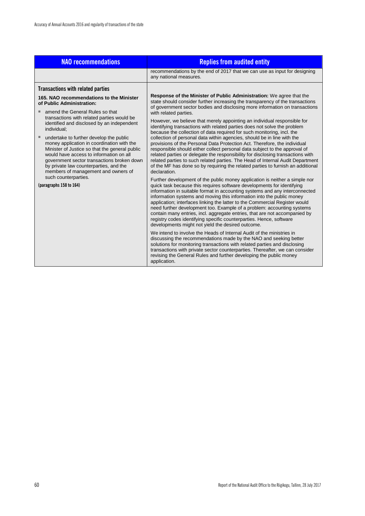| <b>NAO recommendations</b>                                                                                                                                                                                                                                                                                             | <b>Replies from audited entity</b>                                                                                                                                                                                                                                                                                                                                                                                                                                                                                                                                                                                                                                               |  |  |
|------------------------------------------------------------------------------------------------------------------------------------------------------------------------------------------------------------------------------------------------------------------------------------------------------------------------|----------------------------------------------------------------------------------------------------------------------------------------------------------------------------------------------------------------------------------------------------------------------------------------------------------------------------------------------------------------------------------------------------------------------------------------------------------------------------------------------------------------------------------------------------------------------------------------------------------------------------------------------------------------------------------|--|--|
|                                                                                                                                                                                                                                                                                                                        | recommendations by the end of 2017 that we can use as input for designing<br>any national measures.                                                                                                                                                                                                                                                                                                                                                                                                                                                                                                                                                                              |  |  |
| <b>Transactions with related parties</b>                                                                                                                                                                                                                                                                               |                                                                                                                                                                                                                                                                                                                                                                                                                                                                                                                                                                                                                                                                                  |  |  |
| 165. NAO recommendations to the Minister<br>of Public Administration:                                                                                                                                                                                                                                                  | <b>Response of the Minister of Public Administration:</b> We agree that the<br>state should consider further increasing the transparency of the transactions<br>of government sector bodies and disclosing more information on transactions                                                                                                                                                                                                                                                                                                                                                                                                                                      |  |  |
| amend the General Rules so that<br>ш                                                                                                                                                                                                                                                                                   | with related parties.                                                                                                                                                                                                                                                                                                                                                                                                                                                                                                                                                                                                                                                            |  |  |
| transactions with related parties would be<br>identified and disclosed by an independent<br>individual:                                                                                                                                                                                                                | However, we believe that merely appointing an individual responsible for<br>identifying transactions with related parties does not solve the problem<br>because the collection of data required for such monitoring, incl. the                                                                                                                                                                                                                                                                                                                                                                                                                                                   |  |  |
| ш<br>undertake to further develop the public<br>money application in coordination with the<br>Minister of Justice so that the general public<br>would have access to information on all<br>government sector transactions broken down<br>by private law counterparties, and the<br>members of management and owners of | collection of personal data within agencies, should be in line with the<br>provisions of the Personal Data Protection Act. Therefore, the individual<br>responsible should either collect personal data subject to the approval of<br>related parties or delegate the responsibility for disclosing transactions with<br>related parties to such related parties. The Head of Internal Audit Department<br>of the MF has done so by requiring the related parties to furnish an additional<br>declaration.                                                                                                                                                                       |  |  |
| such counterparties.<br>(paragraphs 158 to 164)                                                                                                                                                                                                                                                                        | Further development of the public money application is neither a simple nor<br>quick task because this requires software developments for identifying<br>information in suitable format in accounting systems and any interconnected<br>information systems and moving this information into the public money<br>application; interfaces linking the latter to the Commercial Register would<br>need further development too. Example of a problem: accounting systems<br>contain many entries, incl. aggregate entries, that are not accompanied by<br>registry codes identifying specific counterparties. Hence, software<br>developments might not yield the desired outcome. |  |  |
|                                                                                                                                                                                                                                                                                                                        | We intend to involve the Heads of Internal Audit of the ministries in<br>discussing the recommendations made by the NAO and seeking better<br>solutions for monitoring transactions with related parties and disclosing<br>transactions with private sector counterparties. Thereafter, we can consider<br>revising the General Rules and further developing the public money<br>application.                                                                                                                                                                                                                                                                                    |  |  |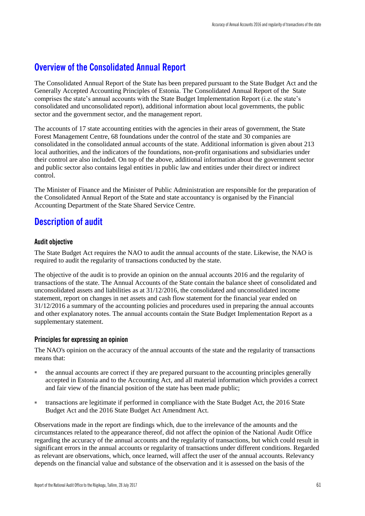### **Overview of the Consolidated Annual Report**

The Consolidated Annual Report of the State has been prepared pursuant to the State Budget Act and the Generally Accepted Accounting Principles of Estonia. The Consolidated Annual Report of the State comprises the state's annual accounts with the State Budget Implementation Report (i.e. the state's consolidated and unconsolidated report), additional information about local governments, the public sector and the government sector, and the management report.

The accounts of 17 state accounting entities with the agencies in their areas of government, the State Forest Management Centre, 68 foundations under the control of the state and 30 companies are consolidated in the consolidated annual accounts of the state. Additional information is given about 213 local authorities, and the indicators of the foundations, non-profit organisations and subsidiaries under their control are also included. On top of the above, additional information about the government sector and public sector also contains legal entities in public law and entities under their direct or indirect control.

The Minister of Finance and the Minister of Public Administration are responsible for the preparation of the Consolidated Annual Report of the State and state accountancy is organised by the Financial Accounting Department of the State Shared Service Centre.

### **Description of audit**

### **Audit objective**

The State Budget Act requires the NAO to audit the annual accounts of the state. Likewise, the NAO is required to audit the regularity of transactions conducted by the state.

The objective of the audit is to provide an opinion on the annual accounts 2016 and the regularity of transactions of the state. The Annual Accounts of the State contain the balance sheet of consolidated and unconsolidated assets and liabilities as at 31/12/2016, the consolidated and unconsolidated income statement, report on changes in net assets and cash flow statement for the financial year ended on 31/12/2016 a summary of the accounting policies and procedures used in preparing the annual accounts and other explanatory notes. The annual accounts contain the State Budget Implementation Report as a supplementary statement.

### **Principles for expressing an opinion**

The NAO's opinion on the accuracy of the annual accounts of the state and the regularity of transactions means that:

- the annual accounts are correct if they are prepared pursuant to the accounting principles generally accepted in Estonia and to the Accounting Act, and all material information which provides a correct and fair view of the financial position of the state has been made public;
- transactions are legitimate if performed in compliance with the State Budget Act, the 2016 State Budget Act and the 2016 State Budget Act Amendment Act.

Observations made in the report are findings which, due to the irrelevance of the amounts and the circumstances related to the appearance thereof, did not affect the opinion of the National Audit Office regarding the accuracy of the annual accounts and the regularity of transactions, but which could result in significant errors in the annual accounts or regularity of transactions under different conditions. Regarded as relevant are observations, which, once learned, will affect the user of the annual accounts. Relevancy depends on the financial value and substance of the observation and it is assessed on the basis of the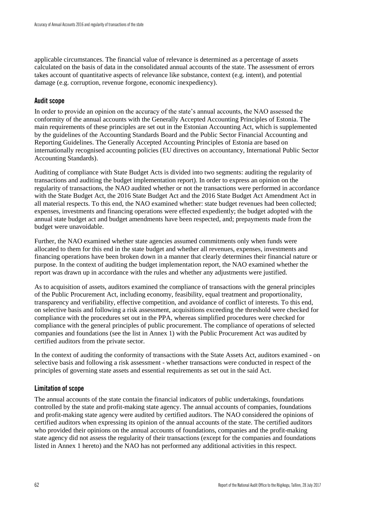applicable circumstances. The financial value of relevance is determined as a percentage of assets calculated on the basis of data in the consolidated annual accounts of the state. The assessment of errors takes account of quantitative aspects of relevance like substance, context (e.g. intent), and potential damage (e.g. corruption, revenue forgone, economic inexpediency).

### **Audit scope**

In order to provide an opinion on the accuracy of the state's annual accounts, the NAO assessed the conformity of the annual accounts with the Generally Accepted Accounting Principles of Estonia. The main requirements of these principles are set out in the Estonian Accounting Act, which is supplemented by the guidelines of the Accounting Standards Board and the Public Sector Financial Accounting and Reporting Guidelines. The Generally Accepted Accounting Principles of Estonia are based on internationally recognised accounting policies (EU directives on accountancy, International Public Sector Accounting Standards).

Auditing of compliance with State Budget Acts is divided into two segments: auditing the regularity of transactions and auditing the budget implementation report). In order to express an opinion on the regularity of transactions, the NAO audited whether or not the transactions were performed in accordance with the State Budget Act, the 2016 State Budget Act and the 2016 State Budget Act Amendment Act in all material respects. To this end, the NAO examined whether: state budget revenues had been collected; expenses, investments and financing operations were effected expediently; the budget adopted with the annual state budget act and budget amendments have been respected, and; prepayments made from the budget were unavoidable.

Further, the NAO examined whether state agencies assumed commitments only when funds were allocated to them for this end in the state budget and whether all revenues, expenses, investments and financing operations have been broken down in a manner that clearly determines their financial nature or purpose. In the context of auditing the budget implementation report, the NAO examined whether the report was drawn up in accordance with the rules and whether any adjustments were justified.

As to acquisition of assets, auditors examined the compliance of transactions with the general principles of the Public Procurement Act, including economy, feasibility, equal treatment and proportionality, transparency and verifiability, effective competition, and avoidance of conflict of interests. To this end, on selective basis and following a risk assessment, acquisitions exceeding the threshold were checked for compliance with the procedures set out in the PPA, whereas simplified procedures were checked for compliance with the general principles of public procurement. The compliance of operations of selected companies and foundations (see the list in Annex 1) with the Public Procurement Act was audited by certified auditors from the private sector.

In the context of auditing the conformity of transactions with the State Assets Act, auditors examined - on selective basis and following a risk assessment - whether transactions were conducted in respect of the principles of governing state assets and essential requirements as set out in the said Act.

### **Limitation of scope**

The annual accounts of the state contain the financial indicators of public undertakings, foundations controlled by the state and profit-making state agency. The annual accounts of companies, foundations and profit-making state agency were audited by certified auditors. The NAO considered the opinions of certified auditors when expressing its opinion of the annual accounts of the state. The certified auditors who provided their opinions on the annual accounts of foundations, companies and the profit-making state agency did not assess the regularity of their transactions (except for the companies and foundations listed in Annex 1 hereto) and the NAO has not performed any additional activities in this respect.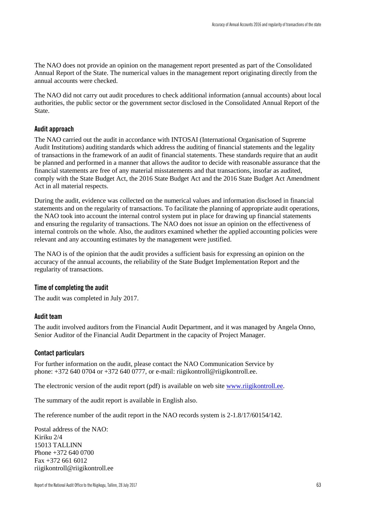The NAO does not provide an opinion on the management report presented as part of the Consolidated Annual Report of the State. The numerical values in the management report originating directly from the annual accounts were checked.

The NAO did not carry out audit procedures to check additional information (annual accounts) about local authorities, the public sector or the government sector disclosed in the Consolidated Annual Report of the State.

### **Audit approach**

The NAO carried out the audit in accordance with INTOSAI (International Organisation of Supreme Audit Institutions) auditing standards which address the auditing of financial statements and the legality of transactions in the framework of an audit of financial statements. These standards require that an audit be planned and performed in a manner that allows the auditor to decide with reasonable assurance that the financial statements are free of any material misstatements and that transactions, insofar as audited, comply with the State Budget Act, the 2016 State Budget Act and the 2016 State Budget Act Amendment Act in all material respects.

During the audit, evidence was collected on the numerical values and information disclosed in financial statements and on the regularity of transactions. To facilitate the planning of appropriate audit operations, the NAO took into account the internal control system put in place for drawing up financial statements and ensuring the regularity of transactions. The NAO does not issue an opinion on the effectiveness of internal controls on the whole. Also, the auditors examined whether the applied accounting policies were relevant and any accounting estimates by the management were justified.

The NAO is of the opinion that the audit provides a sufficient basis for expressing an opinion on the accuracy of the annual accounts, the reliability of the State Budget Implementation Report and the regularity of transactions.

### **Time of completing the audit**

The audit was completed in July 2017.

### **Audit team**

The audit involved auditors from the Financial Audit Department, and it was managed by Angela Onno, Senior Auditor of the Financial Audit Department in the capacity of Project Manager.

#### **Contact particulars**

For further information on the audit, please contact the NAO Communication Service by phone: +372 640 0704 or +372 640 0777, or e-mail: riigikontroll@riigikontroll.ee.

The electronic version of the audit report (pdf) is available on web site [www.riigikontroll.ee.](http://www.riigikontroll.ee/)

The summary of the audit report is available in English also.

The reference number of the audit report in the NAO records system is 2-1.8/17/60154/142.

Postal address of the NAO: Kiriku 2/4 15013 TALLINN Phone +372 640 0700 Fax +372 661 6012 riigikontroll@riigikontroll.ee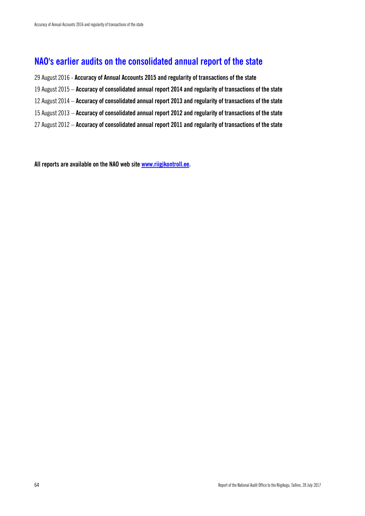## **NAO's earlier audits on the consolidated annual report of the state**

29 August 2016 - **Accuracy of Annual Accounts 2015 and regularity of transactions of the state** 19 August 2015 – **Accuracy of consolidated annual report 2014 and regularity of transactions of the state** 12 August 2014 – **Accuracy of consolidated annual report 2013 and regularity of transactions of the state**

- 15 August 2013 **Accuracy of consolidated annual report 2012 and regularity of transactions of the state**
- 27 August 2012 **Accuracy of consolidated annual report 2011 and regularity of transactions of the state**

**All reports are available on the NAO web sit[e www.riigikontroll.ee.](http://www.riigikontroll.ee/)**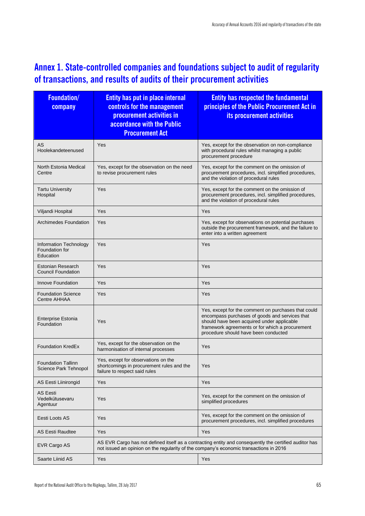# **Annex 1. State-controlled companies and foundations subject to audit of regularity of transactions, and results of audits of their procurement activities**

| <b>Foundation/</b><br>company                         | <b>Entity has put in place internal</b><br>controls for the management<br>procurement activities in<br>accordance with the Public<br><b>Procurement Act</b> | <b>Entity has respected the fundamental</b><br>principles of the Public Procurement Act in<br>its procurement activities                                                                                                                       |  |  |
|-------------------------------------------------------|-------------------------------------------------------------------------------------------------------------------------------------------------------------|------------------------------------------------------------------------------------------------------------------------------------------------------------------------------------------------------------------------------------------------|--|--|
| AS<br>Hoolekandeteenused                              | Yes                                                                                                                                                         | Yes, except for the observation on non-compliance<br>with procedural rules whilst managing a public<br>procurement procedure                                                                                                                   |  |  |
| North Estonia Medical<br>Centre                       | Yes, except for the observation on the need<br>to revise procurement rules                                                                                  | Yes, except for the comment on the omission of<br>procurement procedures, incl. simplified procedures,<br>and the violation of procedural rules                                                                                                |  |  |
| <b>Tartu University</b><br>Hospital                   | Yes                                                                                                                                                         | Yes, except for the comment on the omission of<br>procurement procedures, incl. simplified procedures,<br>and the violation of procedural rules                                                                                                |  |  |
| Viljandi Hospital                                     | Yes                                                                                                                                                         | Yes                                                                                                                                                                                                                                            |  |  |
| <b>Archimedes Foundation</b>                          | Yes                                                                                                                                                         | Yes, except for observations on potential purchases<br>outside the procurement framework, and the failure to<br>enter into a written agreement                                                                                                 |  |  |
| Information Technology<br>Foundation for<br>Education | Yes                                                                                                                                                         | Yes                                                                                                                                                                                                                                            |  |  |
| <b>Estonian Research</b><br><b>Council Foundation</b> | Yes                                                                                                                                                         | Yes                                                                                                                                                                                                                                            |  |  |
| <b>Innove Foundation</b>                              | Yes                                                                                                                                                         | Yes                                                                                                                                                                                                                                            |  |  |
| <b>Foundation Science</b><br>Centre AHHAA             | Yes                                                                                                                                                         | Yes                                                                                                                                                                                                                                            |  |  |
| <b>Enterprise Estonia</b><br>Foundation               | Yes                                                                                                                                                         | Yes, except for the comment on purchases that could<br>encompass purchases of goods and services that<br>should have been acquired under applicable<br>framework agreements or for which a procurement<br>procedure should have been conducted |  |  |
| <b>Foundation KredEx</b>                              | Yes, except for the observation on the<br>harmonisation of internal processes                                                                               | Yes                                                                                                                                                                                                                                            |  |  |
| <b>Foundation Tallinn</b><br>Science Park Tehnopol    | Yes, except for observations on the<br>shortcomings in procurement rules and the<br>failure to respect said rules                                           | Yes                                                                                                                                                                                                                                            |  |  |
| AS Eesti Liinirongid                                  | Yes                                                                                                                                                         | Yes                                                                                                                                                                                                                                            |  |  |
| <b>AS Eesti</b><br>Vedelkütusevaru<br>Agentuur        | Yes                                                                                                                                                         | Yes, except for the comment on the omission of<br>simplified procedures                                                                                                                                                                        |  |  |
| Eesti Loots AS                                        | Yes                                                                                                                                                         | Yes, except for the comment on the omission of<br>procurement procedures, incl. simplified procedures                                                                                                                                          |  |  |
| <b>AS Eesti Raudtee</b>                               | Yes                                                                                                                                                         | Yes                                                                                                                                                                                                                                            |  |  |
| EVR Cargo AS                                          | not issued an opinion on the regularity of the company's economic transactions in 2016                                                                      | AS EVR Cargo has not defined itself as a contracting entity and consequently the certified auditor has                                                                                                                                         |  |  |
| Saarte Liinid AS                                      | Yes                                                                                                                                                         | Yes                                                                                                                                                                                                                                            |  |  |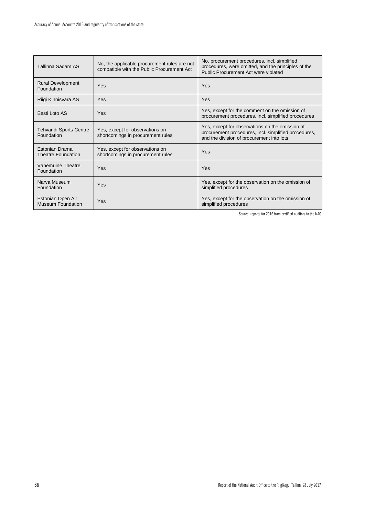| Tallinna Sadam AS                             | No, the applicable procurement rules are not<br>compatible with the Public Procurement Act | No, procurement procedures, incl. simplified<br>procedures, were omitted, and the principles of the<br>Public Procurement Act were violated          |
|-----------------------------------------------|--------------------------------------------------------------------------------------------|------------------------------------------------------------------------------------------------------------------------------------------------------|
| <b>Rural Development</b><br>Foundation        | Yes                                                                                        | Yes                                                                                                                                                  |
| Riigi Kinnisvara AS                           | Yes                                                                                        | Yes                                                                                                                                                  |
| Eesti Loto AS                                 | Yes                                                                                        | Yes, except for the comment on the omission of<br>procurement procedures, incl. simplified procedures                                                |
| Tehvandi Sports Centre<br>Foundation          | Yes, except for observations on<br>shortcomings in procurement rules                       | Yes, except for observations on the omission of<br>procurement procedures, incl. simplified procedures,<br>and the division of procurement into lots |
| Estonian Drama<br><b>Theatre Foundation</b>   | Yes, except for observations on<br>shortcomings in procurement rules                       | Yes                                                                                                                                                  |
| Vanemuine Theatre<br>Foundation               | Yes                                                                                        | Yes                                                                                                                                                  |
| Narva Museum<br>Foundation                    | Yes                                                                                        | Yes, except for the observation on the omission of<br>simplified procedures                                                                          |
| Estonian Open Air<br><b>Museum Foundation</b> | Yes                                                                                        | Yes, except for the observation on the omission of<br>simplified procedures                                                                          |

Source: reports for 2016 from certified auditors to the NAO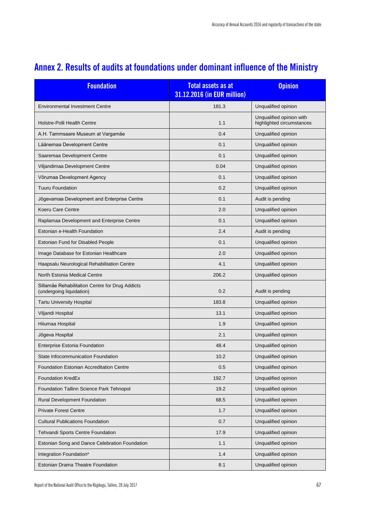| <b>Foundation</b>                                                           | <b>Total assets as at</b><br>31.12.2016 (in EUR million) | <b>Opinion</b>                                        |  |  |
|-----------------------------------------------------------------------------|----------------------------------------------------------|-------------------------------------------------------|--|--|
| <b>Environmental Investment Centre</b>                                      | 181.3                                                    | Unqualified opinion                                   |  |  |
| <b>Holstre-Polli Health Centre</b>                                          | 1.1                                                      | Unqualified opinion with<br>highlighted circumstances |  |  |
| A.H. Tammsaare Museum at Vargamäe                                           | 0.4                                                      | Unqualified opinion                                   |  |  |
| Läänemaa Development Centre                                                 | 0.1                                                      | Unqualified opinion                                   |  |  |
| Saaremaa Development Centre                                                 | 0.1                                                      | Unqualified opinion                                   |  |  |
| Viljandimaa Development Centre                                              | 0.04                                                     | Unqualified opinion                                   |  |  |
| Võrumaa Development Agency                                                  | 0.1                                                      | Unqualified opinion                                   |  |  |
| <b>Tuuru Foundation</b>                                                     | 0.2                                                      | Unqualified opinion                                   |  |  |
| Jõgevamaa Development and Enterprise Centre                                 | 0.1                                                      | Audit is pending                                      |  |  |
| Koeru Care Centre                                                           | 2.0                                                      | Unqualified opinion                                   |  |  |
| Raplamaa Development and Enterprise Centre                                  | 0.1                                                      | Unqualified opinion                                   |  |  |
| Estonian e-Health Foundation                                                | 2.4                                                      | Audit is pending                                      |  |  |
| Estonian Fund for Disabled People                                           | 0.1                                                      | Unqualified opinion                                   |  |  |
| Image Database for Estonian Healthcare                                      | 2.0                                                      | Unqualified opinion                                   |  |  |
| Haapsalu Neurological Rehabilitation Centre                                 | 4.1                                                      | Unqualified opinion                                   |  |  |
| North Estonia Medical Centre                                                | 206.2                                                    | Unqualified opinion                                   |  |  |
| Sillamäe Rehabilitation Centre for Drug Addicts<br>(undergoing liquidation) | 0.2                                                      | Audit is pending                                      |  |  |
| <b>Tartu University Hospital</b>                                            | 183.8                                                    | Unqualified opinion                                   |  |  |
| Viljandi Hospital                                                           | 13.1                                                     | Unqualified opinion                                   |  |  |
| Hiiumaa Hospital                                                            | 1.9                                                      | Unqualified opinion                                   |  |  |
| Jõgeva Hospital                                                             | 2.1                                                      | Unqualified opinion                                   |  |  |
| <b>Enterprise Estonia Foundation</b>                                        | 48.4                                                     | Unqualified opinion                                   |  |  |
| State Infocommunication Foundation                                          | 10.2                                                     | Unqualified opinion                                   |  |  |
| Foundation Estonian Accreditation Centre                                    | 0.5                                                      | Unqualified opinion                                   |  |  |
| Foundation KredEx                                                           | 192.7                                                    | Unqualified opinion                                   |  |  |
| Foundation Tallinn Science Park Tehnopol                                    | 19.2                                                     | Unqualified opinion                                   |  |  |
| Rural Development Foundation                                                | 68.5                                                     | Unqualified opinion                                   |  |  |
| <b>Private Forest Centre</b>                                                | 1.7                                                      | Unqualified opinion                                   |  |  |
| <b>Cultural Publications Foundation</b>                                     | 0.7                                                      | Unqualified opinion                                   |  |  |
| Tehvandi Sports Centre Foundation                                           | 17.9                                                     | Unqualified opinion                                   |  |  |
| Estonian Song and Dance Celebration Foundation                              | 1.1<br>Unqualified opinion                               |                                                       |  |  |
| Integration Foundation*                                                     | 1.4                                                      | Unqualified opinion                                   |  |  |
| Estonian Drama Theatre Foundation                                           | 8.1                                                      | Unqualified opinion                                   |  |  |

# **Annex 2. Results of audits at foundations under dominant influence of the Ministry**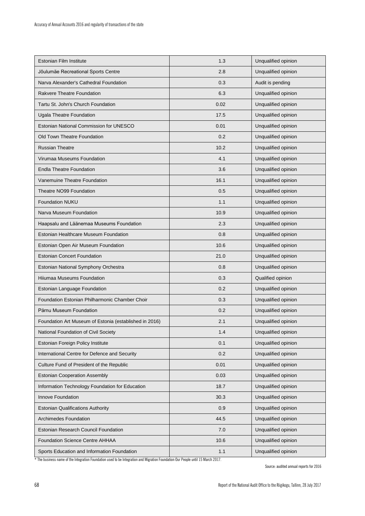| Estonian Film Institute                                | 1.3  | Unqualified opinion |  |  |
|--------------------------------------------------------|------|---------------------|--|--|
| Jõulumäe Recreational Sports Centre                    | 2.8  | Unqualified opinion |  |  |
| Narva Alexander's Cathedral Foundation                 | 0.3  | Audit is pending    |  |  |
| <b>Rakvere Theatre Foundation</b>                      | 6.3  | Unqualified opinion |  |  |
| Tartu St. John's Church Foundation                     | 0.02 | Unqualified opinion |  |  |
| Ugala Theatre Foundation                               | 17.5 | Unqualified opinion |  |  |
| Estonian National Commission for UNESCO                | 0.01 | Unqualified opinion |  |  |
| Old Town Theatre Foundation                            | 0.2  | Unqualified opinion |  |  |
| <b>Russian Theatre</b>                                 | 10.2 | Unqualified opinion |  |  |
| Virumaa Museums Foundation                             | 4.1  | Unqualified opinion |  |  |
| <b>Endla Theatre Foundation</b>                        | 3.6  | Unqualified opinion |  |  |
| Vanemuine Theatre Foundation                           | 16.1 | Unqualified opinion |  |  |
| Theatre NO99 Foundation                                | 0.5  | Unqualified opinion |  |  |
| Foundation NUKU                                        | 1.1  | Unqualified opinion |  |  |
| Narva Museum Foundation                                | 10.9 | Unqualified opinion |  |  |
| Haapsalu and Läänemaa Museums Foundation               | 2.3  | Unqualified opinion |  |  |
| Estonian Healthcare Museum Foundation                  | 0.8  | Unqualified opinion |  |  |
| Estonian Open Air Museum Foundation                    | 10.6 | Unqualified opinion |  |  |
| <b>Estonian Concert Foundation</b>                     | 21.0 | Unqualified opinion |  |  |
| Estonian National Symphony Orchestra                   | 0.8  | Unqualified opinion |  |  |
| Hiiumaa Museums Foundation                             | 0.3  | Qualified opinion   |  |  |
| Estonian Language Foundation                           | 0.2  | Unqualified opinion |  |  |
| Foundation Estonian Philharmonic Chamber Choir         | 0.3  | Unqualified opinion |  |  |
| Pärnu Museum Foundation                                | 0.2  | Unqualified opinion |  |  |
| Foundation Art Museum of Estonia (established in 2016) | 2.1  | Unqualified opinion |  |  |
| National Foundation of Civil Society                   | 1.4  | Unqualified opinion |  |  |
| Estonian Foreign Policy Institute                      | 0.1  | Unqualified opinion |  |  |
| International Centre for Defence and Security          | 0.2  | Unqualified opinion |  |  |
| Culture Fund of President of the Republic              | 0.01 | Unqualified opinion |  |  |
| <b>Estonian Cooperation Assembly</b>                   | 0.03 | Unqualified opinion |  |  |
| Information Technology Foundation for Education        | 18.7 | Unqualified opinion |  |  |
| Innove Foundation                                      | 30.3 | Unqualified opinion |  |  |
| <b>Estonian Qualifications Authority</b>               | 0.9  | Unqualified opinion |  |  |
| Archimedes Foundation                                  | 44.5 | Unqualified opinion |  |  |
| Estonian Research Council Foundation                   | 7.0  | Unqualified opinion |  |  |
| <b>Foundation Science Centre AHHAA</b>                 | 10.6 | Unqualified opinion |  |  |
| Sports Education and Information Foundation            | 1.1  | Unqualified opinion |  |  |

\* The business name of the Integration Foundation used to be Integration and Migration Foundation Our People until 15 March 2017.

Source: audited annual reports for 2016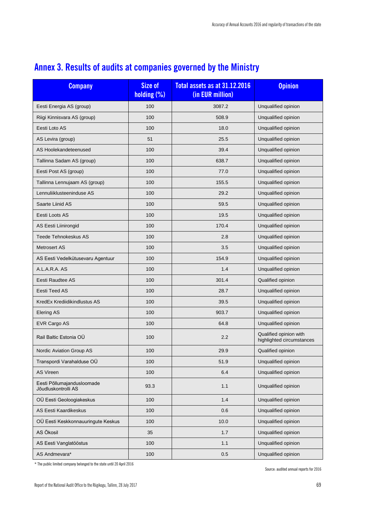| <b>Company</b>                                    | Size of<br>holding (%) | Total assets as at 31.12.2016<br>(in EUR million) | <b>Opinion</b>                                      |  |
|---------------------------------------------------|------------------------|---------------------------------------------------|-----------------------------------------------------|--|
| Eesti Energia AS (group)                          | 100                    | 3087.2                                            | Unqualified opinion                                 |  |
| Riigi Kinnisvara AS (group)                       | 100                    | 508.9                                             | Unqualified opinion                                 |  |
| Eesti Loto AS                                     | 100                    | 18.0                                              | Unqualified opinion                                 |  |
| AS Levira (group)                                 | 51                     | 25.5                                              | Unqualified opinion                                 |  |
| AS Hoolekandeteenused                             | 100                    | 39.4                                              | Unqualified opinion                                 |  |
| Tallinna Sadam AS (group)                         | 100                    | 638.7                                             | Unqualified opinion                                 |  |
| Eesti Post AS (group)                             | 100                    | 77.0                                              | Unqualified opinion                                 |  |
| Tallinna Lennujaam AS (group)                     | 100                    | 155.5                                             | Unqualified opinion                                 |  |
| Lennuliiklusteeninduse AS                         | 100                    | 29.2                                              | Unqualified opinion                                 |  |
| Saarte Liinid AS                                  | 100                    | 59.5                                              | Unqualified opinion                                 |  |
| Eesti Loots AS                                    | 100                    | 19.5                                              | Unqualified opinion                                 |  |
| AS Eesti Liinirongid                              | 100                    | 170.4                                             | Unqualified opinion                                 |  |
| <b>Teede Tehnokeskus AS</b>                       | 100                    | 2.8                                               | Unqualified opinion                                 |  |
| <b>Metrosert AS</b>                               | 100                    | 3.5                                               | Unqualified opinion                                 |  |
| AS Eesti Vedelkütusevaru Agentuur                 | 100                    | 154.9                                             | Unqualified opinion                                 |  |
| A.L.A.R.A. AS                                     | 100                    | 1.4                                               | Unqualified opinion                                 |  |
| Eesti Raudtee AS                                  | 100                    | 301.4                                             | Qualified opinion                                   |  |
| Eesti Teed AS                                     | 100                    | 28.7                                              | Unqualified opinion                                 |  |
| KredEx Krediidikindlustus AS                      | 100                    | 39.5                                              | Unqualified opinion                                 |  |
| <b>Elering AS</b>                                 | 100                    | 903.7                                             | Unqualified opinion                                 |  |
| EVR Cargo AS                                      | 100                    | 64.8                                              | Unqualified opinion                                 |  |
| Rail Baltic Estonia OÜ                            | 100                    | 2.2                                               | Qualified opinion with<br>highlighted circumstances |  |
| Nordic Aviation Group AS                          | 100                    | 29.9                                              | Qualified opinion                                   |  |
| Transpordi Varahalduse OÜ                         | 100                    | 51.9                                              | Unqualified opinion                                 |  |
| <b>AS Vireen</b>                                  | 100                    | 6.4                                               | Unqualified opinion                                 |  |
| Eesti Põllumajandusloomade<br>Jõudluskontrolli AS | 93.3                   | 1.1                                               | Unqualified opinion                                 |  |
| OÜ Eesti Geoloogiakeskus                          | 100                    | 1.4                                               | Unqualified opinion                                 |  |
| AS Eesti Kaardikeskus                             | 100                    | 0.6                                               | Unqualified opinion                                 |  |
| OÜ Eesti Keskkonnauuringute Keskus                | 100                    | 10.0                                              | Unqualified opinion                                 |  |
| AS Ökosil                                         | 35                     | 1.7                                               | Unqualified opinion                                 |  |
| AS Eesti Vanglatööstus                            | 100                    | 1.1                                               | Unqualified opinion                                 |  |
| AS Andmevara*                                     | 100                    | 0.5                                               | Unqualified opinion                                 |  |

# **Annex 3. Results of audits at companies governed by the Ministry**

 $*$  The public limited company belonged to the state until 20 April 2016

Source: audited annual reports for 2016